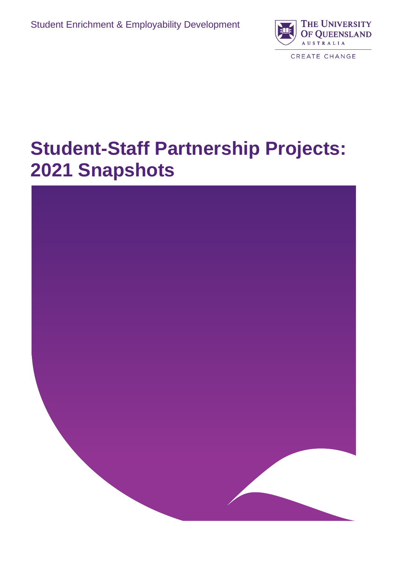

# **Student-Staff Partnership Projects: 2021 Snapshots**

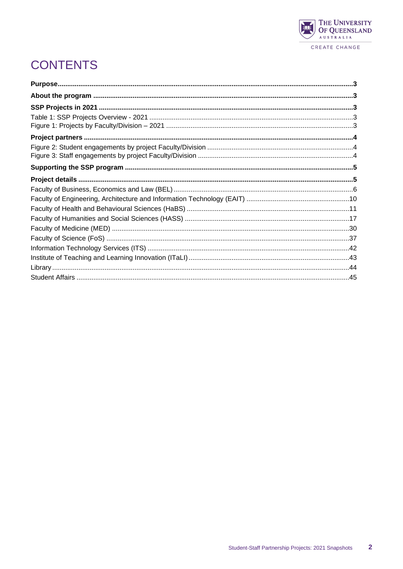

# **CONTENTS**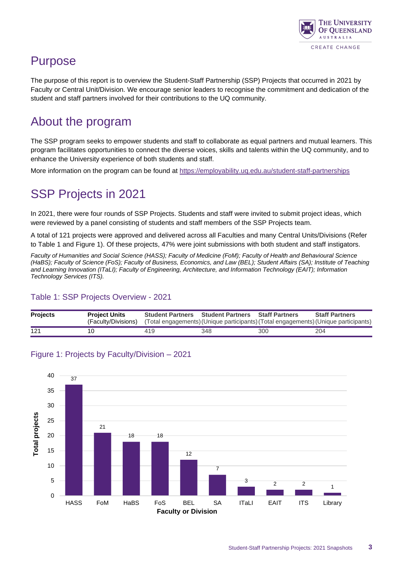

## <span id="page-2-0"></span>Purpose

The purpose of this report is to overview the Student-Staff Partnership (SSP) Projects that occurred in 2021 by Faculty or Central Unit/Division. We encourage senior leaders to recognise the commitment and dedication of the student and staff partners involved for their contributions to the UQ community.

## <span id="page-2-1"></span>About the program

The SSP program seeks to empower students and staff to collaborate as equal partners and mutual learners. This program facilitates opportunities to connect the diverse voices, skills and talents within the UQ community, and to enhance the University experience of both students and staff.

<span id="page-2-2"></span>More information on the program can be found at <https://employability.uq.edu.au/student-staff-partnerships>

## SSP Projects in 2021

In 2021, there were four rounds of SSP Projects. Students and staff were invited to submit project ideas, which were reviewed by a panel consisting of students and staff members of the SSP Projects team.

A total of 121 projects were approved and delivered across all Faculties and many Central Units/Divisions (Refer to Table 1 and Figure 1). Of these projects, 47% were joint submissions with both student and staff instigators.

*Faculty of Humanities and Social Science (HASS); Faculty of Medicine (FoM); Faculty of Health and Behavioural Science (HaBS); Faculty of Science (FoS); Faculty of Business, Economics, and Law (BEL); Student Affairs (SA); Institute of Teaching*  and Learning Innovation (ITaLI); Faculty of Engineering, Architecture, and Information Technology (EAIT); Information *Technology Services (ITS).*

#### <span id="page-2-3"></span>Table 1: SSP Projects Overview - 2021

| <b>Projects</b> | <b>Project Units</b> | <b>Student Partners Student Partners Staff Partners</b> |     |     | <b>Staff Partners</b>                                                               |
|-----------------|----------------------|---------------------------------------------------------|-----|-----|-------------------------------------------------------------------------------------|
|                 | (Faculty/Divisions)  |                                                         |     |     | (Total engagements) (Unique participants) (Total engagements) (Unique participants) |
| 121             | 10.                  | 419                                                     | 348 | 300 | 204                                                                                 |



#### <span id="page-2-4"></span>Figure 1: Projects by Faculty/Division – 2021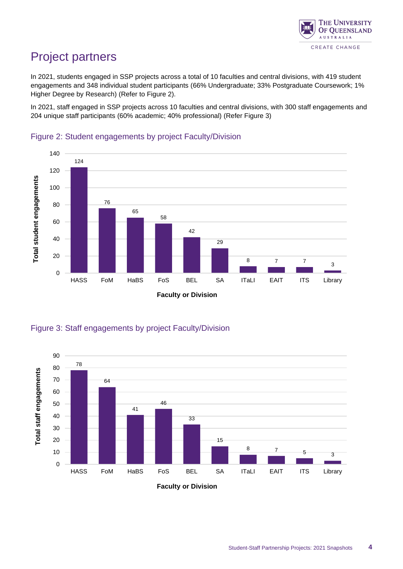

## <span id="page-3-0"></span>Project partners

In 2021, students engaged in SSP projects across a total of 10 faculties and central divisions, with 419 student engagements and 348 individual student participants (66% Undergraduate; 33% Postgraduate Coursework; 1% Higher Degree by Research) (Refer to Figure 2).

In 2021, staff engaged in SSP projects across 10 faculties and central divisions, with 300 staff engagements and 204 unique staff participants (60% academic; 40% professional) (Refer Figure 3)



#### <span id="page-3-1"></span>Figure 2: Student engagements by project Faculty/Division

<span id="page-3-2"></span>



**Faculty or Division**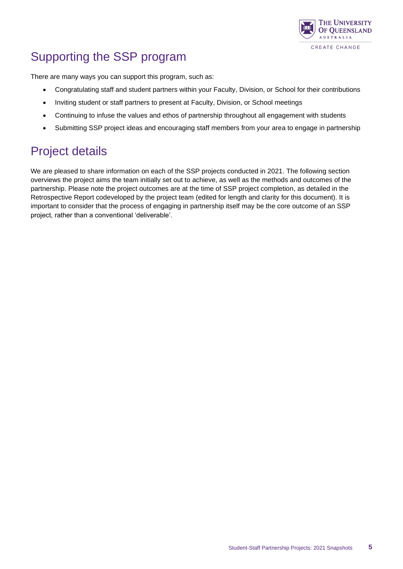

# <span id="page-4-0"></span>Supporting the SSP program

There are many ways you can support this program, such as:

- Congratulating staff and student partners within your Faculty, Division, or School for their contributions
- Inviting student or staff partners to present at Faculty, Division, or School meetings
- Continuing to infuse the values and ethos of partnership throughout all engagement with students
- Submitting SSP project ideas and encouraging staff members from your area to engage in partnership

## <span id="page-4-1"></span>Project details

We are pleased to share information on each of the SSP projects conducted in 2021. The following section overviews the project aims the team initially set out to achieve, as well as the methods and outcomes of the partnership. Please note the project outcomes are at the time of SSP project completion, as detailed in the Retrospective Report codeveloped by the project team (edited for length and clarity for this document). It is important to consider that the process of engaging in partnership itself may be the core outcome of an SSP project, rather than a conventional 'deliverable'.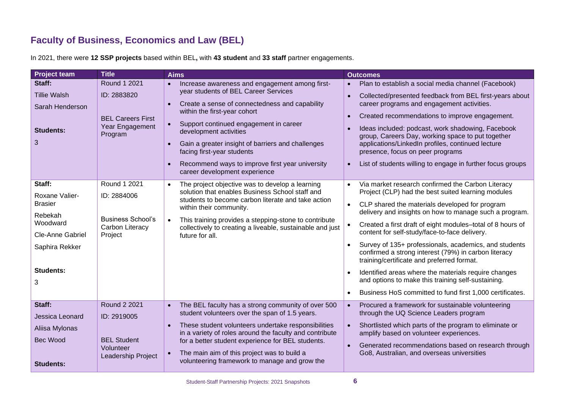#### **Faculty of Business, Economics and Law (BEL)**

<span id="page-5-0"></span>

| <b>Project team</b>                                                                                                                     | <b>Title</b>                                                                                | <b>Aims</b>                                                                                                                                                                                                                                                                                                                                                                                                                                                                          | <b>Outcomes</b>                                                                                                                                                                                                                                                                                                                                                                                                                                                                                                                                                                                                                                                                          |
|-----------------------------------------------------------------------------------------------------------------------------------------|---------------------------------------------------------------------------------------------|--------------------------------------------------------------------------------------------------------------------------------------------------------------------------------------------------------------------------------------------------------------------------------------------------------------------------------------------------------------------------------------------------------------------------------------------------------------------------------------|------------------------------------------------------------------------------------------------------------------------------------------------------------------------------------------------------------------------------------------------------------------------------------------------------------------------------------------------------------------------------------------------------------------------------------------------------------------------------------------------------------------------------------------------------------------------------------------------------------------------------------------------------------------------------------------|
| Staff:<br><b>Tillie Walsh</b><br>Sarah Henderson<br><b>Students:</b><br>3                                                               | Round 1 2021<br>ID: 2883820<br><b>BEL Careers First</b><br>Year Engagement<br>Program       | Increase awareness and engagement among first-<br>$\bullet$<br>year students of BEL Career Services<br>Create a sense of connectedness and capability<br>$\bullet$<br>within the first-year cohort<br>Support continued engagement in career<br>$\bullet$<br>development activities<br>Gain a greater insight of barriers and challenges<br>$\bullet$<br>facing first-year students<br>Recommend ways to improve first year university<br>$\bullet$<br>career development experience | Plan to establish a social media channel (Facebook)<br>$\bullet$<br>Collected/presented feedback from BEL first-years about<br>$\bullet$<br>career programs and engagement activities.<br>Created recommendations to improve engagement.<br>$\bullet$<br>Ideas included: podcast, work shadowing, Facebook<br>group, Careers Day, working space to put together<br>applications/LinkedIn profiles, continued lecture<br>presence, focus on peer programs<br>List of students willing to engage in further focus groups<br>$\bullet$                                                                                                                                                      |
| Staff:<br>Roxane Valier-<br><b>Brasier</b><br>Rebekah<br>Woodward<br><b>Cle-Anne Gabriel</b><br>Saphira Rekker<br><b>Students:</b><br>3 | Round 1 2021<br>ID: 2884006<br><b>Business School's</b><br>Carbon Literacy<br>Project       | The project objective was to develop a learning<br>$\bullet$<br>solution that enables Business School staff and<br>students to become carbon literate and take action<br>within their community.<br>This training provides a stepping-stone to contribute<br>collectively to creating a liveable, sustainable and just<br>future for all.                                                                                                                                            | Via market research confirmed the Carbon Literacy<br>Project (CLP) had the best suited learning modules<br>CLP shared the materials developed for program<br>$\bullet$<br>delivery and insights on how to manage such a program.<br>Created a first draft of eight modules-total of 8 hours of<br>content for self-study/face-to-face delivery.<br>Survey of 135+ professionals, academics, and students<br>confirmed a strong interest (79%) in carbon literacy<br>training/certificate and preferred format.<br>Identified areas where the materials require changes<br>and options to make this training self-sustaining.<br>Business HoS committed to fund first 1,000 certificates. |
| Staff:<br>Jessica Leonard<br>Aliisa Mylonas<br><b>Bec Wood</b><br><b>Students:</b>                                                      | <b>Round 2 2021</b><br>ID: 2919005<br><b>BEL Student</b><br>Volunteer<br>Leadership Project | The BEL faculty has a strong community of over 500<br>$\bullet$<br>student volunteers over the span of 1.5 years.<br>These student volunteers undertake responsibilities<br>$\bullet$<br>in a variety of roles around the faculty and contribute<br>for a better student experience for BEL students.<br>The main aim of this project was to build a<br>$\bullet$<br>volunteering framework to manage and grow the                                                                   | Procured a framework for sustainable volunteering<br>$\bullet$<br>through the UQ Science Leaders program<br>Shortlisted which parts of the program to eliminate or<br>$\bullet$<br>amplify based on volunteer experiences.<br>Generated recommendations based on research through<br>$\bullet$<br>Go8, Australian, and overseas universities                                                                                                                                                                                                                                                                                                                                             |

In 2021, there were **12 SSP projects** based within BEL**,** with **43 student** and **33 staff** partner engagements.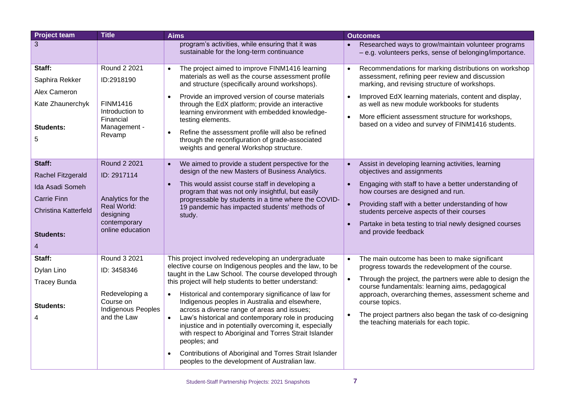| <b>Project team</b>                                                                                                   | <b>Title</b>                                                                                                     | <b>Aims</b>                                                                                                                                                                                                                                                                                                                                                                                                                                                                                                                                                                                                                                                                                                                            | <b>Outcomes</b>                                                                                                                                                                                                                                                                                                                                                                                   |
|-----------------------------------------------------------------------------------------------------------------------|------------------------------------------------------------------------------------------------------------------|----------------------------------------------------------------------------------------------------------------------------------------------------------------------------------------------------------------------------------------------------------------------------------------------------------------------------------------------------------------------------------------------------------------------------------------------------------------------------------------------------------------------------------------------------------------------------------------------------------------------------------------------------------------------------------------------------------------------------------------|---------------------------------------------------------------------------------------------------------------------------------------------------------------------------------------------------------------------------------------------------------------------------------------------------------------------------------------------------------------------------------------------------|
| 3                                                                                                                     |                                                                                                                  | program's activities, while ensuring that it was<br>sustainable for the long-term continuance                                                                                                                                                                                                                                                                                                                                                                                                                                                                                                                                                                                                                                          | Researched ways to grow/maintain volunteer programs<br>- e.g. volunteers perks, sense of belonging/importance.                                                                                                                                                                                                                                                                                    |
| Staff:<br>Saphira Rekker<br>Alex Cameron<br>Kate Zhaunerchyk<br><b>Students:</b><br>5                                 | Round 2 2021<br>ID:2918190<br><b>FINM1416</b><br>Introduction to<br>Financial<br>Management -<br>Revamp          | The project aimed to improve FINM1416 learning<br>$\bullet$<br>materials as well as the course assessment profile<br>and structure (specifically around workshops).<br>Provide an improved version of course materials<br>$\bullet$<br>through the EdX platform; provide an interactive<br>learning environment with embedded knowledge-<br>testing elements.<br>Refine the assessment profile will also be refined<br>$\bullet$<br>through the reconfiguration of grade-associated<br>weights and general Workshop structure.                                                                                                                                                                                                         | Recommendations for marking distributions on workshop<br>assessment, refining peer review and discussion<br>marking, and revising structure of workshops.<br>Improved EdX learning materials, content and display,<br>as well as new module workbooks for students<br>More efficient assessment structure for workshops,<br>$\bullet$<br>based on a video and survey of FINM1416 students.        |
| Staff:<br>Rachel Fitzgerald<br>Ida Asadi Someh<br><b>Carrie Finn</b><br>Christina Katterfeld<br><b>Students:</b><br>4 | Round 2 2021<br>ID: 2917114<br>Analytics for the<br>Real World:<br>designing<br>contemporary<br>online education | We aimed to provide a student perspective for the<br>$\bullet$<br>design of the new Masters of Business Analytics.<br>This would assist course staff in developing a<br>$\bullet$<br>program that was not only insightful, but easily<br>progressable by students in a time where the COVID-<br>19 pandemic has impacted students' methods of<br>study.                                                                                                                                                                                                                                                                                                                                                                                | Assist in developing learning activities, learning<br>$\bullet$<br>objectives and assignments<br>Engaging with staff to have a better understanding of<br>how courses are designed and run.<br>Providing staff with a better understanding of how<br>$\bullet$<br>students perceive aspects of their courses<br>Partake in beta testing to trial newly designed courses<br>and provide feedback   |
| Staff:<br>Dylan Lino<br><b>Tracey Bunda</b><br><b>Students:</b><br>4                                                  | Round 3 2021<br>ID: 3458346<br>Redeveloping a<br>Course on<br>Indigenous Peoples<br>and the Law                  | This project involved redeveloping an undergraduate<br>elective course on Indigenous peoples and the law, to be<br>taught in the Law School. The course developed through<br>this project will help students to better understand:<br>Historical and contemporary significance of law for<br>$\bullet$<br>Indigenous peoples in Australia and elsewhere,<br>across a diverse range of areas and issues;<br>Law's historical and contemporary role in producing<br>$\bullet$<br>injustice and in potentially overcoming it, especially<br>with respect to Aboriginal and Torres Strait Islander<br>peoples; and<br>Contributions of Aboriginal and Torres Strait Islander<br>$\bullet$<br>peoples to the development of Australian law. | The main outcome has been to make significant<br>progress towards the redevelopment of the course.<br>Through the project, the partners were able to design the<br>course fundamentals: learning aims, pedagogical<br>approach, overarching themes, assessment scheme and<br>course topics.<br>The project partners also began the task of co-designing<br>the teaching materials for each topic. |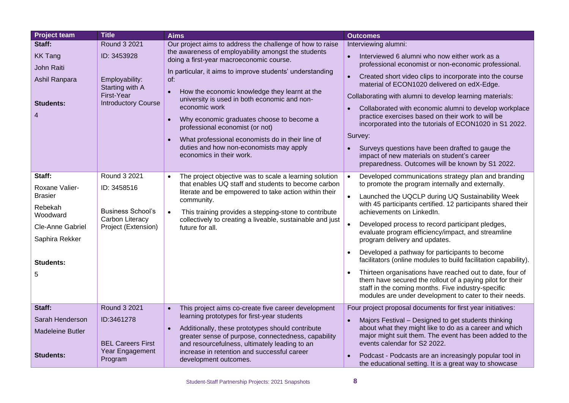| <b>Project team</b>                                                                                                              | <b>Title</b>                                                                                                 | <b>Aims</b>                                                                                                                                                                                                                                                                                                                                                                                                                                                                                                                                                                                          | <b>Outcomes</b>                                                                                                                                                                                                                                                                                                                                                                                                                                                                                                                                                                                                                                                                                                                                                    |
|----------------------------------------------------------------------------------------------------------------------------------|--------------------------------------------------------------------------------------------------------------|------------------------------------------------------------------------------------------------------------------------------------------------------------------------------------------------------------------------------------------------------------------------------------------------------------------------------------------------------------------------------------------------------------------------------------------------------------------------------------------------------------------------------------------------------------------------------------------------------|--------------------------------------------------------------------------------------------------------------------------------------------------------------------------------------------------------------------------------------------------------------------------------------------------------------------------------------------------------------------------------------------------------------------------------------------------------------------------------------------------------------------------------------------------------------------------------------------------------------------------------------------------------------------------------------------------------------------------------------------------------------------|
| Staff:<br><b>KK Tang</b><br>John Raiti<br>Ashil Ranpara<br><b>Students:</b><br>4                                                 | Round 3 2021<br>ID: 3453928<br>Employability:<br>Starting with A<br>First-Year<br><b>Introductory Course</b> | Our project aims to address the challenge of how to raise<br>the awareness of employability amongst the students<br>doing a first-year macroeconomic course.<br>In particular, it aims to improve students' understanding<br>of:<br>How the economic knowledge they learnt at the<br>$\bullet$<br>university is used in both economic and non-<br>economic work<br>Why economic graduates choose to become a<br>$\bullet$<br>professional economist (or not)<br>What professional economists do in their line of<br>$\bullet$<br>duties and how non-economists may apply<br>economics in their work. | Interviewing alumni:<br>Interviewed 6 alumni who now either work as a<br>professional economist or non-economic professional.<br>Created short video clips to incorporate into the course<br>$\bullet$<br>material of ECON1020 delivered on edX-Edge.<br>Collaborating with alumni to develop learning materials:<br>Collaborated with economic alumni to develop workplace<br>practice exercises based on their work to will be<br>incorporated into the tutorials of ECON1020 in S1 2022.<br>Survey:<br>Surveys questions have been drafted to gauge the<br>impact of new materials on student's career<br>preparedness. Outcomes will be known by S1 2022.                                                                                                      |
| Staff:<br>Roxane Valier-<br><b>Brasier</b><br>Rebekah<br>Woodward<br>Cle-Anne Gabriel<br>Saphira Rekker<br><b>Students:</b><br>5 | Round 3 2021<br>ID: 3458516<br><b>Business School's</b><br>Carbon Literacy<br>Project (Extension)            | The project objective was to scale a learning solution<br>$\bullet$<br>that enables UQ staff and students to become carbon<br>literate and be empowered to take action within their<br>community.<br>This training provides a stepping-stone to contribute<br>$\bullet$<br>collectively to creating a liveable, sustainable and just<br>future for all.                                                                                                                                                                                                                                              | Developed communications strategy plan and branding<br>to promote the program internally and externally.<br>Launched the UQCLP during UQ Sustainability Week<br>with 45 participants certified. 12 participants shared their<br>achievements on LinkedIn.<br>Developed process to record participant pledges,<br>evaluate program efficiency/impact, and streamline<br>program delivery and updates.<br>Developed a pathway for participants to become<br>facilitators (online modules to build facilitation capability).<br>Thirteen organisations have reached out to date, four of<br>them have secured the rollout of a paying pilot for their<br>staff in the coming months. Five industry-specific<br>modules are under development to cater to their needs. |
| Staff:<br>Sarah Henderson<br><b>Madeleine Butler</b><br><b>Students:</b>                                                         | Round 3 2021<br>ID:3461278<br><b>BEL Careers First</b><br>Year Engagement<br>Program                         | This project aims co-create five career development<br>$\bullet$<br>learning prototypes for first-year students<br>Additionally, these prototypes should contribute<br>$\bullet$<br>greater sense of purpose, connectedness, capability<br>and resourcefulness, ultimately leading to an<br>increase in retention and successful career<br>development outcomes.                                                                                                                                                                                                                                     | Four project proposal documents for first year initiatives:<br>Majors Festival - Designed to get students thinking<br>$\bullet$<br>about what they might like to do as a career and which<br>major might suit them. The event has been added to the<br>events calendar for S2 2022.<br>Podcast - Podcasts are an increasingly popular tool in<br>the educational setting. It is a great way to showcase                                                                                                                                                                                                                                                                                                                                                            |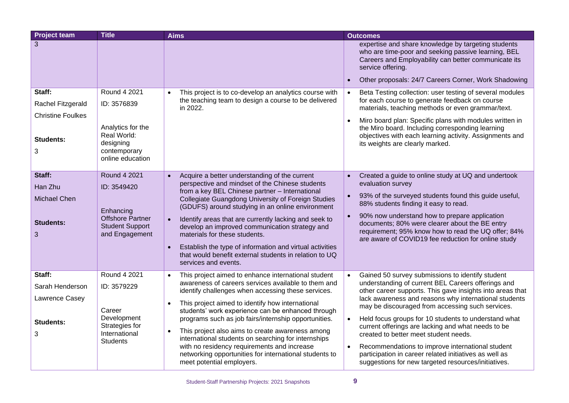| <b>Project team</b>                                                              | <b>Title</b>                                                                                                     | <b>Aims</b>                                                                                                                                                                                                                                                                                                                                                                                                                                                                                                                                                                                                               | <b>Outcomes</b>                                                                                                                                                                                                                                                                                                                                                                                                                                                                                                                                                                                                                                     |
|----------------------------------------------------------------------------------|------------------------------------------------------------------------------------------------------------------|---------------------------------------------------------------------------------------------------------------------------------------------------------------------------------------------------------------------------------------------------------------------------------------------------------------------------------------------------------------------------------------------------------------------------------------------------------------------------------------------------------------------------------------------------------------------------------------------------------------------------|-----------------------------------------------------------------------------------------------------------------------------------------------------------------------------------------------------------------------------------------------------------------------------------------------------------------------------------------------------------------------------------------------------------------------------------------------------------------------------------------------------------------------------------------------------------------------------------------------------------------------------------------------------|
| 3                                                                                |                                                                                                                  |                                                                                                                                                                                                                                                                                                                                                                                                                                                                                                                                                                                                                           | expertise and share knowledge by targeting students<br>who are time-poor and seeking passive learning, BEL<br>Careers and Employability can better communicate its<br>service offering.                                                                                                                                                                                                                                                                                                                                                                                                                                                             |
|                                                                                  |                                                                                                                  |                                                                                                                                                                                                                                                                                                                                                                                                                                                                                                                                                                                                                           | Other proposals: 24/7 Careers Corner, Work Shadowing<br>$\bullet$                                                                                                                                                                                                                                                                                                                                                                                                                                                                                                                                                                                   |
| Staff:<br>Rachel Fitzgerald<br><b>Christine Foulkes</b><br><b>Students:</b><br>3 | Round 4 2021<br>ID: 3576839<br>Analytics for the<br>Real World:<br>designing<br>contemporary<br>online education | This project is to co-develop an analytics course with<br>the teaching team to design a course to be delivered<br>in 2022.                                                                                                                                                                                                                                                                                                                                                                                                                                                                                                | Beta Testing collection: user testing of several modules<br>for each course to generate feedback on course<br>materials, teaching methods or even grammar/text.<br>Miro board plan: Specific plans with modules written in<br>$\bullet$<br>the Miro board. Including corresponding learning<br>objectives with each learning activity. Assignments and<br>its weights are clearly marked.                                                                                                                                                                                                                                                           |
| Staff:<br>Han Zhu<br>Michael Chen<br><b>Students:</b><br>3                       | Round 4 2021<br>ID: 3549420<br>Enhancing<br><b>Offshore Partner</b><br><b>Student Support</b><br>and Engagement  | Acquire a better understanding of the current<br>$\bullet$<br>perspective and mindset of the Chinese students<br>from a key BEL Chinese partner - International<br>Collegiate Guangdong University of Foreign Studies<br>(GDUFS) around studying in an online environment<br>Identify areas that are currently lacking and seek to<br>$\bullet$<br>develop an improved communication strategy and<br>materials for these students.<br>Establish the type of information and virtual activities<br>that would benefit external students in relation to UQ<br>services and events.                                          | Created a guide to online study at UQ and undertook<br>$\bullet$<br>evaluation survey<br>93% of the surveyed students found this guide useful,<br>$\bullet$<br>88% students finding it easy to read.<br>90% now understand how to prepare application<br>$\bullet$<br>documents; 80% were clearer about the BE entry<br>requirement; 95% know how to read the UQ offer; 84%<br>are aware of COVID19 fee reduction for online study                                                                                                                                                                                                                  |
| Staff:<br>Sarah Henderson<br>Lawrence Casey<br><b>Students:</b><br>3             | Round 4 2021<br>ID: 3579229<br>Career<br>Development<br>Strategies for<br>International<br><b>Students</b>       | This project aimed to enhance international student<br>$\bullet$<br>awareness of careers services available to them and<br>identify challenges when accessing these services.<br>This project aimed to identify how international<br>$\bullet$<br>students' work experience can be enhanced through<br>programs such as job fairs/internship opportunities.<br>This project also aims to create awareness among<br>$\bullet$<br>international students on searching for internships<br>with no residency requirements and increase<br>networking opportunities for international students to<br>meet potential employers. | Gained 50 survey submissions to identify student<br>$\bullet$<br>understanding of current BEL Careers offerings and<br>other career supports. This gave insights into areas that<br>lack awareness and reasons why international students<br>may be discouraged from accessing such services.<br>Held focus groups for 10 students to understand what<br>$\bullet$<br>current offerings are lacking and what needs to be<br>created to better meet student needs.<br>Recommendations to improve international student<br>$\bullet$<br>participation in career related initiatives as well as<br>suggestions for new targeted resources/initiatives. |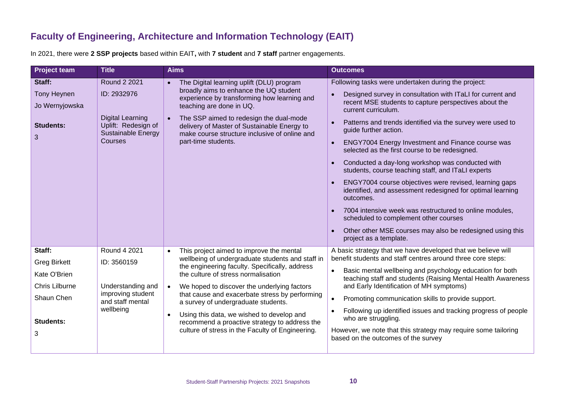#### **Faculty of Engineering, Architecture and Information Technology (EAIT)**

In 2021, there were **2 SSP projects** based within EAIT**,** with **7 student** and **7 staff** partner engagements.

<span id="page-9-0"></span>

| <b>Project team</b>                                                                                    | <b>Title</b>                                                                                                                 | <b>Aims</b>                                                                                                                                                                                                                                                                                                                                                                                                                                                                                               | <b>Outcomes</b>                                                                                                                                                                                                                                                                                                                                                                                                                                                                                                                                                                                                                                                                                                                                                                                                                                        |
|--------------------------------------------------------------------------------------------------------|------------------------------------------------------------------------------------------------------------------------------|-----------------------------------------------------------------------------------------------------------------------------------------------------------------------------------------------------------------------------------------------------------------------------------------------------------------------------------------------------------------------------------------------------------------------------------------------------------------------------------------------------------|--------------------------------------------------------------------------------------------------------------------------------------------------------------------------------------------------------------------------------------------------------------------------------------------------------------------------------------------------------------------------------------------------------------------------------------------------------------------------------------------------------------------------------------------------------------------------------------------------------------------------------------------------------------------------------------------------------------------------------------------------------------------------------------------------------------------------------------------------------|
| Staff:<br><b>Tony Heynen</b><br>Jo Wernyjowska<br><b>Students:</b><br>3                                | <b>Round 2 2021</b><br>ID: 2932976<br><b>Digital Learning</b><br>Uplift: Redesign of<br>Sustainable Energy<br><b>Courses</b> | The Digital learning uplift (DLU) program<br>broadly aims to enhance the UQ student<br>experience by transforming how learning and<br>teaching are done in UQ.<br>The SSP aimed to redesign the dual-mode<br>delivery of Master of Sustainable Energy to<br>make course structure inclusive of online and<br>part-time students.                                                                                                                                                                          | Following tasks were undertaken during the project:<br>Designed survey in consultation with ITaLI for current and<br>recent MSE students to capture perspectives about the<br>current curriculum.<br>Patterns and trends identified via the survey were used to<br>guide further action.<br>ENGY7004 Energy Investment and Finance course was<br>$\bullet$<br>selected as the first course to be redesigned.<br>Conducted a day-long workshop was conducted with<br>students, course teaching staff, and ITaLI experts<br>ENGY7004 course objectives were revised, learning gaps<br>identified, and assessment redesigned for optimal learning<br>outcomes.<br>7004 intensive week was restructured to online modules,<br>scheduled to complement other courses<br>Other other MSE courses may also be redesigned using this<br>project as a template. |
| Staff:<br><b>Greg Birkett</b><br>Kate O'Brien<br>Chris Lilburne<br>Shaun Chen<br><b>Students:</b><br>3 | Round 4 2021<br>ID: 3560159<br>Understanding and<br>improving student<br>and staff mental<br>wellbeing                       | This project aimed to improve the mental<br>$\bullet$<br>wellbeing of undergraduate students and staff in<br>the engineering faculty. Specifically, address<br>the culture of stress normalisation<br>We hoped to discover the underlying factors<br>that cause and exacerbate stress by performing<br>a survey of undergraduate students.<br>Using this data, we wished to develop and<br>$\bullet$<br>recommend a proactive strategy to address the<br>culture of stress in the Faculty of Engineering. | A basic strategy that we have developed that we believe will<br>benefit students and staff centres around three core steps:<br>Basic mental wellbeing and psychology education for both<br>teaching staff and students (Raising Mental Health Awareness<br>and Early Identification of MH symptoms)<br>Promoting communication skills to provide support.<br>Following up identified issues and tracking progress of people<br>who are struggling.<br>However, we note that this strategy may require some tailoring<br>based on the outcomes of the survey                                                                                                                                                                                                                                                                                            |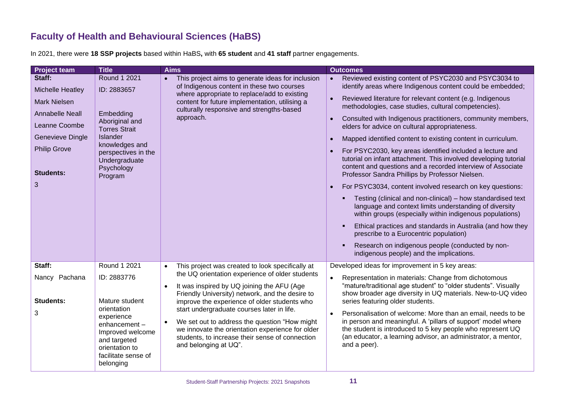#### **Faculty of Health and Behavioural Sciences (HaBS)**

In 2021, there were **18 SSP projects** based within HaBS**,** with **65 student** and **41 staff** partner engagements.

<span id="page-10-0"></span>

| <b>Project team</b>                                                                                                                                                     | <b>Title</b>                                                                                                                                                                         | <b>Aims</b>                                                                                                                                                                                                                                                                                                                                                                                                                                                                                                                | <b>Outcomes</b>                                                                                                                                                                                                                                                                                                                                                                                                                                                                                                                                                                                                                                                                                                                                                                                                                                                                                                                                                                                                                                                                                                                                     |
|-------------------------------------------------------------------------------------------------------------------------------------------------------------------------|--------------------------------------------------------------------------------------------------------------------------------------------------------------------------------------|----------------------------------------------------------------------------------------------------------------------------------------------------------------------------------------------------------------------------------------------------------------------------------------------------------------------------------------------------------------------------------------------------------------------------------------------------------------------------------------------------------------------------|-----------------------------------------------------------------------------------------------------------------------------------------------------------------------------------------------------------------------------------------------------------------------------------------------------------------------------------------------------------------------------------------------------------------------------------------------------------------------------------------------------------------------------------------------------------------------------------------------------------------------------------------------------------------------------------------------------------------------------------------------------------------------------------------------------------------------------------------------------------------------------------------------------------------------------------------------------------------------------------------------------------------------------------------------------------------------------------------------------------------------------------------------------|
| Staff:<br>Michelle Heatley<br><b>Mark Nielsen</b><br><b>Annabelle Neall</b><br>Leanne Coombe<br><b>Genevieve Dingle</b><br><b>Philip Grove</b><br><b>Students:</b><br>3 | Round 1 2021<br>ID: 2883657<br>Embedding<br>Aboriginal and<br><b>Torres Strait</b><br>Islander<br>knowledges and<br>perspectives in the<br>Undergraduate<br>Psychology<br>Program    | This project aims to generate ideas for inclusion<br>$\bullet$<br>of Indigenous content in these two courses<br>where appropriate to replace/add to existing<br>content for future implementation, utilising a<br>culturally responsive and strengths-based<br>approach.                                                                                                                                                                                                                                                   | Reviewed existing content of PSYC2030 and PSYC3034 to<br>$\bullet$<br>identify areas where Indigenous content could be embedded;<br>Reviewed literature for relevant content (e.g. Indigenous<br>methodologies, case studies, cultural competencies).<br>Consulted with Indigenous practitioners, community members,<br>elders for advice on cultural appropriateness.<br>Mapped identified content to existing content in curriculum.<br>For PSYC2030, key areas identified included a lecture and<br>tutorial on infant attachment. This involved developing tutorial<br>content and questions and a recorded interview of Associate<br>Professor Sandra Phillips by Professor Nielsen.<br>For PSYC3034, content involved research on key questions:<br>Testing (clinical and non-clinical) – how standardised text<br>language and context limits understanding of diversity<br>within groups (especially within indigenous populations)<br>Ethical practices and standards in Australia (and how they<br>prescribe to a Eurocentric population)<br>Research on indigenous people (conducted by non-<br>indigenous people) and the implications. |
| Staff:<br>Nancy Pachana<br><b>Students:</b><br>3                                                                                                                        | Round 1 2021<br>ID: 2883776<br>Mature student<br>orientation<br>experience<br>enhancement-<br>Improved welcome<br>and targeted<br>orientation to<br>facilitate sense of<br>belonging | This project was created to look specifically at<br>$\bullet$<br>the UQ orientation experience of older students<br>It was inspired by UQ joining the AFU (Age<br>$\bullet$<br>Friendly University) network, and the desire to<br>improve the experience of older students who<br>start undergraduate courses later in life.<br>We set out to address the question "How might<br>$\bullet$<br>we innovate the orientation experience for older<br>students, to increase their sense of connection<br>and belonging at UQ". | Developed ideas for improvement in 5 key areas:<br>Representation in materials: Change from dichotomous<br>$\bullet$<br>"mature/traditional age student" to "older students". Visually<br>show broader age diversity in UQ materials. New-to-UQ video<br>series featuring older students.<br>Personalisation of welcome: More than an email, needs to be<br>$\bullet$<br>in person and meaningful. A 'pillars of support' model where<br>the student is introduced to 5 key people who represent UQ<br>(an educator, a learning advisor, an administrator, a mentor,<br>and a peer).                                                                                                                                                                                                                                                                                                                                                                                                                                                                                                                                                                |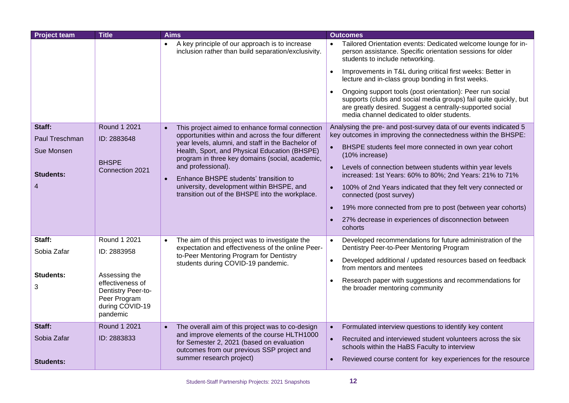| <b>Project team</b>             | <b>Title</b>                                                                                           | <b>Aims</b>                                                                                                                                                        | <b>Outcomes</b>                                                                                                                                                                                                                          |
|---------------------------------|--------------------------------------------------------------------------------------------------------|--------------------------------------------------------------------------------------------------------------------------------------------------------------------|------------------------------------------------------------------------------------------------------------------------------------------------------------------------------------------------------------------------------------------|
|                                 |                                                                                                        | A key principle of our approach is to increase<br>inclusion rather than build separation/exclusivity.                                                              | Tailored Orientation events: Dedicated welcome lounge for in-<br>person assistance. Specific orientation sessions for older<br>students to include networking.                                                                           |
|                                 |                                                                                                        |                                                                                                                                                                    | Improvements in T&L during critical first weeks: Better in<br>$\bullet$<br>lecture and in-class group bonding in first weeks.                                                                                                            |
|                                 |                                                                                                        |                                                                                                                                                                    | Ongoing support tools (post orientation): Peer run social<br>supports (clubs and social media groups) fail quite quickly, but<br>are greatly desired. Suggest a centrally-supported social<br>media channel dedicated to older students. |
| Staff:                          | <b>Round 1 2021</b>                                                                                    | This project aimed to enhance formal connection<br>$\bullet$                                                                                                       | Analysing the pre- and post-survey data of our events indicated 5                                                                                                                                                                        |
| Paul Treschman                  | ID: 2883648                                                                                            | opportunities within and across the four different<br>year levels, alumni, and staff in the Bachelor of                                                            | key outcomes in improving the connectedness within the BHSPE:                                                                                                                                                                            |
| Sue Monsen                      |                                                                                                        | Health, Sport, and Physical Education (BHSPE)<br>program in three key domains (social, academic,                                                                   | BHSPE students feel more connected in own year cohort<br>(10% increase)                                                                                                                                                                  |
| <b>Students:</b>                | <b>BHSPE</b><br>Connection 2021                                                                        | and professional).                                                                                                                                                 | Levels of connection between students within year levels<br>$\bullet$<br>increased: 1st Years: 60% to 80%; 2nd Years: 21% to 71%                                                                                                         |
| 4                               |                                                                                                        | Enhance BHSPE students' transition to<br>$\bullet$<br>university, development within BHSPE, and<br>transition out of the BHSPE into the workplace.                 | 100% of 2nd Years indicated that they felt very connected or<br>$\bullet$<br>connected (post survey)                                                                                                                                     |
|                                 |                                                                                                        |                                                                                                                                                                    | 19% more connected from pre to post (between year cohorts)<br>$\bullet$                                                                                                                                                                  |
|                                 |                                                                                                        |                                                                                                                                                                    | 27% decrease in experiences of disconnection between<br>cohorts                                                                                                                                                                          |
| Staff:                          | Round 1 2021                                                                                           | The aim of this project was to investigate the                                                                                                                     | Developed recommendations for future administration of the<br>$\bullet$                                                                                                                                                                  |
| Sobia Zafar                     | ID: 2883958                                                                                            | expectation and effectiveness of the online Peer-<br>to-Peer Mentoring Program for Dentistry                                                                       | Dentistry Peer-to-Peer Mentoring Program                                                                                                                                                                                                 |
|                                 |                                                                                                        | students during COVID-19 pandemic.                                                                                                                                 | Developed additional / updated resources based on feedback<br>$\bullet$<br>from mentors and mentees                                                                                                                                      |
| <b>Students:</b><br>3           | Assessing the<br>effectiveness of<br>Dentistry Peer-to-<br>Peer Program<br>during COVID-19<br>pandemic |                                                                                                                                                                    | Research paper with suggestions and recommendations for<br>the broader mentoring community                                                                                                                                               |
| Staff:                          | Round 1 2021                                                                                           | The overall aim of this project was to co-design<br>$\bullet$                                                                                                      | Formulated interview questions to identify key content<br>$\bullet$                                                                                                                                                                      |
| Sobia Zafar<br><b>Students:</b> | ID: 2883833                                                                                            | and improve elements of the course HLTH1000<br>for Semester 2, 2021 (based on evaluation<br>outcomes from our previous SSP project and<br>summer research project) | Recruited and interviewed student volunteers across the six<br>schools within the HaBS Faculty to interview<br>Reviewed course content for key experiences for the resource<br>$\bullet$                                                 |
|                                 |                                                                                                        |                                                                                                                                                                    |                                                                                                                                                                                                                                          |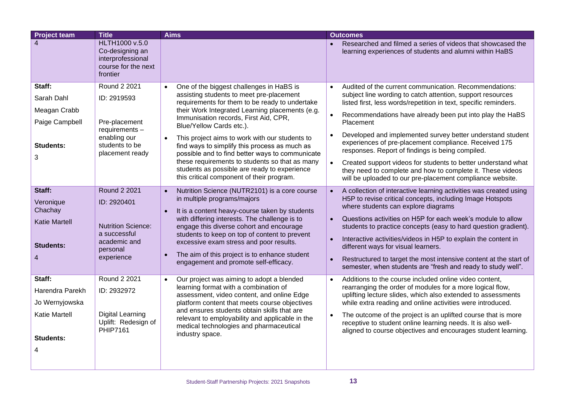| <b>Project team</b>                                                                     | <b>Title</b>                                                                                                        | <b>Aims</b>                                                                                                                                                                                                                                                                                                                                                                                                                                                                                                            | <b>Outcomes</b>                                                                                                                                                                                                                                                                                                                                                                                                                                                                                                                                                                                                    |
|-----------------------------------------------------------------------------------------|---------------------------------------------------------------------------------------------------------------------|------------------------------------------------------------------------------------------------------------------------------------------------------------------------------------------------------------------------------------------------------------------------------------------------------------------------------------------------------------------------------------------------------------------------------------------------------------------------------------------------------------------------|--------------------------------------------------------------------------------------------------------------------------------------------------------------------------------------------------------------------------------------------------------------------------------------------------------------------------------------------------------------------------------------------------------------------------------------------------------------------------------------------------------------------------------------------------------------------------------------------------------------------|
| $\overline{4}$                                                                          | HLTH1000 v.5.0<br>Co-designing an<br>interprofessional<br>course for the next<br>frontier                           |                                                                                                                                                                                                                                                                                                                                                                                                                                                                                                                        | Researched and filmed a series of videos that showcased the<br>learning experiences of students and alumni within HaBS                                                                                                                                                                                                                                                                                                                                                                                                                                                                                             |
| Staff:<br>Sarah Dahl<br>Meagan Crabb<br>Paige Campbell<br><b>Students:</b><br>3         | Round 2 2021<br>ID: 2919593<br>Pre-placement<br>requirements -<br>enabling our<br>students to be<br>placement ready | One of the biggest challenges in HaBS is<br>assisting students to meet pre-placement<br>requirements for them to be ready to undertake<br>their Work Integrated Learning placements (e.g.<br>Immunisation records, First Aid, CPR,<br>Blue/Yellow Cards etc.).<br>This project aims to work with our students to<br>find ways to simplify this process as much as<br>possible and to find better ways to communicate<br>these requirements to students so that as many<br>students as possible are ready to experience | Audited of the current communication. Recommendations:<br>$\bullet$<br>subject line wording to catch attention, support resources<br>listed first, less words/repetition in text, specific reminders.<br>Recommendations have already been put into play the HaBS<br>Placement<br>Developed and implemented survey better understand student<br>$\bullet$<br>experiences of pre-placement compliance. Received 175<br>responses. Report of findings is being compiled.<br>Created support videos for students to better understand what<br>they need to complete and how to complete it. These videos              |
| Staff:<br>Veronique<br>Chachay<br><b>Katie Martell</b><br><b>Students:</b><br>4         | Round 2 2021<br>ID: 2920401<br><b>Nutrition Science:</b><br>a successful<br>academic and<br>personal<br>experience  | this critical component of their program.<br>Nutrition Science (NUTR2101) is a core course<br>in multiple programs/majors<br>It is a content heavy-course taken by students<br>with differing interests. The challenge is to<br>engage this diverse cohort and encourage<br>students to keep on top of content to prevent<br>excessive exam stress and poor results.<br>The aim of this project is to enhance student<br>engagement and promote self-efficacy.                                                         | will be uploaded to our pre-placement compliance website.<br>A collection of interactive learning activities was created using<br>H5P to revise critical concepts, including Image Hotspots<br>where students can explore diagrams<br>Questions activities on H5P for each week's module to allow<br>students to practice concepts (easy to hard question gradient).<br>Interactive activities/videos in H5P to explain the content in<br>different ways for visual learners.<br>Restructured to target the most intensive content at the start of<br>semester, when students are "fresh and ready to study well". |
| Staff:<br>Harendra Parekh<br>Jo Wernyjowska<br><b>Katie Martell</b><br><b>Students:</b> | Round 2 2021<br>ID: 2932972<br><b>Digital Learning</b><br>Uplift: Redesign of<br>PHIP7161                           | Our project was aiming to adopt a blended<br>$\bullet$<br>learning format with a combination of<br>assessment, video content, and online Edge<br>platform content that meets course objectives<br>and ensures students obtain skills that are<br>relevant to employability and applicable in the<br>medical technologies and pharmaceutical<br>industry space.                                                                                                                                                         | Additions to the course included online video content,<br>$\bullet$<br>rearranging the order of modules for a more logical flow,<br>uplifting lecture slides, which also extended to assessments<br>while extra reading and online activities were introduced.<br>The outcome of the project is an uplifted course that is more<br>$\bullet$<br>receptive to student online learning needs. It is also well-<br>aligned to course objectives and encourages student learning.                                                                                                                                      |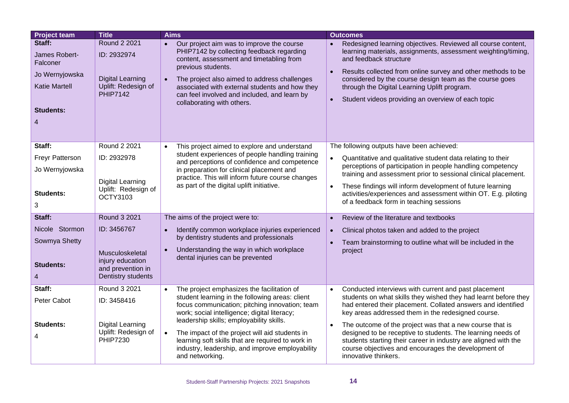| <b>Project team</b>                                                                                    | <b>Title</b>                                                                                     | <b>Aims</b>                                                                                                                                                                                                                                                                                                                                                                                                                                        | <b>Outcomes</b>                                                                                                                                                                                                                                                                                                                                                                                                                                                                                                                                      |
|--------------------------------------------------------------------------------------------------------|--------------------------------------------------------------------------------------------------|----------------------------------------------------------------------------------------------------------------------------------------------------------------------------------------------------------------------------------------------------------------------------------------------------------------------------------------------------------------------------------------------------------------------------------------------------|------------------------------------------------------------------------------------------------------------------------------------------------------------------------------------------------------------------------------------------------------------------------------------------------------------------------------------------------------------------------------------------------------------------------------------------------------------------------------------------------------------------------------------------------------|
| Staff:<br>James Robert-<br>Falconer<br>Jo Wernyjowska<br><b>Katie Martell</b><br><b>Students:</b><br>4 | Round 2 2021<br>ID: 2932974<br><b>Digital Learning</b><br>Uplift: Redesign of<br><b>PHIP7142</b> | Our project aim was to improve the course<br>$\bullet$<br>PHIP7142 by collecting feedback regarding<br>content, assessment and timetabling from<br>previous students.<br>The project also aimed to address challenges<br>$\bullet$<br>associated with external students and how they<br>can feel involved and included, and learn by<br>collaborating with others.                                                                                 | Redesigned learning objectives. Reviewed all course content,<br>learning materials, assignments, assessment weighting/timing,<br>and feedback structure<br>Results collected from online survey and other methods to be<br>$\bullet$<br>considered by the course design team as the course goes<br>through the Digital Learning Uplift program.<br>Student videos providing an overview of each topic<br>$\bullet$                                                                                                                                   |
| Staff:<br>Freyr Patterson<br>Jo Wernyjowska<br><b>Students:</b><br>3                                   | Round 2 2021<br>ID: 2932978<br><b>Digital Learning</b><br>Uplift: Redesign of<br><b>OCTY3103</b> | This project aimed to explore and understand<br>$\bullet$<br>student experiences of people handling training<br>and perceptions of confidence and competence<br>in preparation for clinical placement and<br>practice. This will inform future course changes<br>as part of the digital uplift initiative.                                                                                                                                         | The following outputs have been achieved:<br>Quantitative and qualitative student data relating to their<br>perceptions of participation in people handling competency<br>training and assessment prior to sessional clinical placement.<br>These findings will inform development of future learning<br>activities/experiences and assessment within OT. E.g. piloting<br>of a feedback form in teaching sessions                                                                                                                                   |
| Staff:                                                                                                 | <b>Round 3 2021</b>                                                                              | The aims of the project were to:                                                                                                                                                                                                                                                                                                                                                                                                                   | Review of the literature and textbooks<br>$\bullet$                                                                                                                                                                                                                                                                                                                                                                                                                                                                                                  |
| Nicole Stormon<br>Sowmya Shetty<br><b>Students:</b>                                                    | ID: 3456767<br>Musculoskeletal<br>injury education<br>and prevention in<br>Dentistry students    | Identify common workplace injuries experienced<br>$\bullet$<br>by dentistry students and professionals<br>Understanding the way in which workplace<br>$\bullet$<br>dental injuries can be prevented                                                                                                                                                                                                                                                | Clinical photos taken and added to the project<br>Team brainstorming to outline what will be included in the<br>project                                                                                                                                                                                                                                                                                                                                                                                                                              |
| Staff:<br>Peter Cabot<br><b>Students:</b><br>4                                                         | Round 3 2021<br>ID: 3458416<br><b>Digital Learning</b><br>Uplift: Redesign of<br><b>PHIP7230</b> | The project emphasizes the facilitation of<br>$\bullet$<br>student learning in the following areas: client<br>focus communication; pitching innovation; team<br>work; social intelligence; digital literacy;<br>leadership skills; employability skills.<br>The impact of the project will aid students in<br>$\bullet$<br>learning soft skills that are required to work in<br>industry, leadership, and improve employability<br>and networking. | Conducted interviews with current and past placement<br>$\bullet$<br>students on what skills they wished they had learnt before they<br>had entered their placement. Collated answers and identified<br>key areas addressed them in the redesigned course.<br>The outcome of the project was that a new course that is<br>$\bullet$<br>designed to be receptive to students. The learning needs of<br>students starting their career in industry are aligned with the<br>course objectives and encourages the development of<br>innovative thinkers. |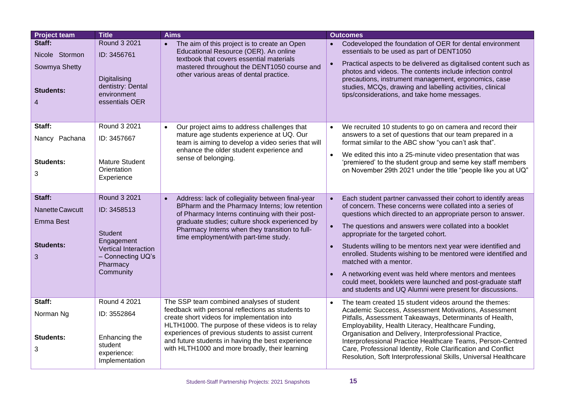| <b>Project team</b>                                           | <b>Title</b>                                                                                      | <b>Aims</b>                                                                                                                                                                                                                   | <b>Outcomes</b>                                                                                                                                                                                                                                                                                                                                                                                             |
|---------------------------------------------------------------|---------------------------------------------------------------------------------------------------|-------------------------------------------------------------------------------------------------------------------------------------------------------------------------------------------------------------------------------|-------------------------------------------------------------------------------------------------------------------------------------------------------------------------------------------------------------------------------------------------------------------------------------------------------------------------------------------------------------------------------------------------------------|
| Staff:<br>Nicole Stormon<br>Sowmya Shetty<br><b>Students:</b> | Round 3 2021<br>ID: 3456761<br>Digitalising<br>dentistry: Dental<br>environment<br>essentials OER | • The aim of this project is to create an Open<br>Educational Resource (OER). An online<br>textbook that covers essential materials<br>mastered throughout the DENT1050 course and<br>other various areas of dental practice. | Codeveloped the foundation of OER for dental environment<br>essentials to be used as part of DENT1050<br>Practical aspects to be delivered as digitalised content such as<br>photos and videos. The contents include infection control<br>precautions, instrument management, ergonomics, case<br>studies, MCQs, drawing and labelling activities, clinical<br>tips/considerations, and take home messages. |
| Staff:                                                        | Round 3 2021                                                                                      | Our project aims to address challenges that<br>$\bullet$                                                                                                                                                                      | We recruited 10 students to go on camera and record their<br>$\bullet$                                                                                                                                                                                                                                                                                                                                      |
| Nancy Pachana                                                 | ID: 3457667                                                                                       | mature age students experience at UQ. Our<br>team is aiming to develop a video series that will                                                                                                                               | answers to a set of questions that our team prepared in a<br>format similar to the ABC show "you can't ask that".                                                                                                                                                                                                                                                                                           |
|                                                               |                                                                                                   | enhance the older student experience and                                                                                                                                                                                      | We edited this into a 25-minute video presentation that was<br>$\bullet$                                                                                                                                                                                                                                                                                                                                    |
| <b>Students:</b>                                              | <b>Mature Student</b><br>Orientation                                                              | sense of belonging.                                                                                                                                                                                                           | 'premiered' to the student group and seme key staff members<br>on November 29th 2021 under the title "people like you at UQ"                                                                                                                                                                                                                                                                                |
| 3                                                             | Experience                                                                                        |                                                                                                                                                                                                                               |                                                                                                                                                                                                                                                                                                                                                                                                             |
|                                                               |                                                                                                   |                                                                                                                                                                                                                               |                                                                                                                                                                                                                                                                                                                                                                                                             |
| Staff:                                                        | Round 3 2021                                                                                      | Address: lack of collegiality between final-year<br>$\bullet$<br>BPharm and the Pharmacy Interns; low retention                                                                                                               | Each student partner canvassed their cohort to identify areas<br>$\bullet$<br>of concern. These concerns were collated into a series of                                                                                                                                                                                                                                                                     |
| Nanette Cawcutt                                               | ID: 3458513                                                                                       | of Pharmacy Interns continuing with their post-                                                                                                                                                                               | questions which directed to an appropriate person to answer.                                                                                                                                                                                                                                                                                                                                                |
| <b>Emma Best</b>                                              | Student                                                                                           | graduate studies; culture shock experienced by<br>Pharmacy Interns when they transition to full-<br>time employment/with part-time study.                                                                                     | The questions and answers were collated into a booklet<br>appropriate for the targeted cohort.                                                                                                                                                                                                                                                                                                              |
| <b>Students:</b>                                              | Engagement<br>Vertical Interaction                                                                |                                                                                                                                                                                                                               | Students willing to be mentors next year were identified and                                                                                                                                                                                                                                                                                                                                                |
| 3                                                             | - Connecting UQ's<br>Pharmacy                                                                     |                                                                                                                                                                                                                               | enrolled. Students wishing to be mentored were identified and<br>matched with a mentor.                                                                                                                                                                                                                                                                                                                     |
|                                                               | Community                                                                                         |                                                                                                                                                                                                                               | A networking event was held where mentors and mentees<br>could meet, booklets were launched and post-graduate staff                                                                                                                                                                                                                                                                                         |
|                                                               |                                                                                                   |                                                                                                                                                                                                                               | and students and UQ Alumni were present for discussions.                                                                                                                                                                                                                                                                                                                                                    |
| Staff:                                                        | Round 4 2021                                                                                      | The SSP team combined analyses of student                                                                                                                                                                                     | The team created 15 student videos around the themes:<br>$\bullet$                                                                                                                                                                                                                                                                                                                                          |
| Norman Ng                                                     | ID: 3552864                                                                                       | feedback with personal reflections as students to<br>create short videos for implementation into<br>HLTH1000. The purpose of these videos is to relay                                                                         | Academic Success, Assessment Motivations, Assessment<br>Pitfalls, Assessment Takeaways, Determinants of Health,<br>Employability, Health Literacy, Healthcare Funding,                                                                                                                                                                                                                                      |
| <b>Students:</b>                                              | Enhancing the                                                                                     | experiences of previous students to assist current<br>and future students in having the best experience                                                                                                                       | Organisation and Delivery, Interprofessional Practice,<br>Interprofessional Practice Healthcare Teams, Person-Centred                                                                                                                                                                                                                                                                                       |
| 3                                                             | student<br>experience:<br>Implementation                                                          | with HLTH1000 and more broadly, their learning                                                                                                                                                                                | Care, Professional Identity, Role Clarification and Conflict<br>Resolution, Soft Interprofessional Skills, Universal Healthcare                                                                                                                                                                                                                                                                             |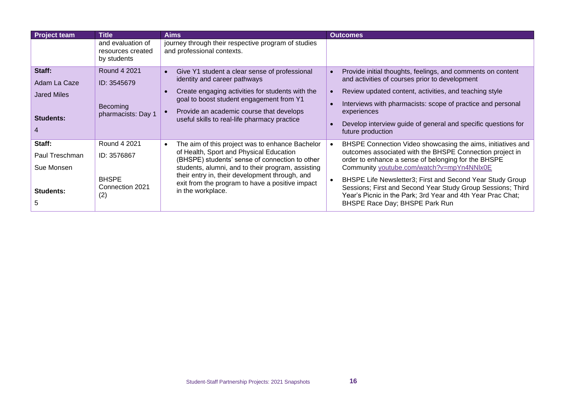| <b>Project team</b>                                              | <b>Title</b>                                                          | Aims                                                                                                                                                                                                                                                                                                                        | <b>Outcomes</b>                                                                                                                                                                                                                                                                                                                                                                                                                                          |
|------------------------------------------------------------------|-----------------------------------------------------------------------|-----------------------------------------------------------------------------------------------------------------------------------------------------------------------------------------------------------------------------------------------------------------------------------------------------------------------------|----------------------------------------------------------------------------------------------------------------------------------------------------------------------------------------------------------------------------------------------------------------------------------------------------------------------------------------------------------------------------------------------------------------------------------------------------------|
|                                                                  | and evaluation of<br>resources created<br>by students                 | journey through their respective program of studies<br>and professional contexts.                                                                                                                                                                                                                                           |                                                                                                                                                                                                                                                                                                                                                                                                                                                          |
| Staff:<br>Adam La Caze<br><b>Jared Miles</b><br><b>Students:</b> | Round 4 2021<br>ID: 3545679<br>Becoming<br>pharmacists: Day 1         | Give Y1 student a clear sense of professional<br>identity and career pathways<br>Create engaging activities for students with the<br>goal to boost student engagement from Y1<br>Provide an academic course that develops<br>useful skills to real-life pharmacy practice                                                   | Provide initial thoughts, feelings, and comments on content<br>and activities of courses prior to development<br>Review updated content, activities, and teaching style<br>Interviews with pharmacists: scope of practice and personal<br>experiences<br>Develop interview guide of general and specific questions for<br>future production                                                                                                              |
| Staff:<br>Paul Treschman<br>Sue Monsen<br><b>Students:</b>       | Round 4 2021<br>ID: 3576867<br><b>BHSPE</b><br>Connection 2021<br>(2) | The aim of this project was to enhance Bachelor<br>of Health, Sport and Physical Education<br>(BHSPE) students' sense of connection to other<br>students, alumni, and to their program, assisting<br>their entry in, their development through, and<br>exit from the program to have a positive impact<br>in the workplace. | BHSPE Connection Video showcasing the aims, initiatives and<br>outcomes associated with the BHSPE Connection project in<br>order to enhance a sense of belonging for the BHSPE<br>Community youtube.com/watch?v=mpYn4NNIx0E<br>BHSPE Life Newsletter3; First and Second Year Study Group<br>Sessions; First and Second Year Study Group Sessions; Third<br>Year's Picnic in the Park; 3rd Year and 4th Year Prac Chat;<br>BHSPE Race Day; BHSPE Park Run |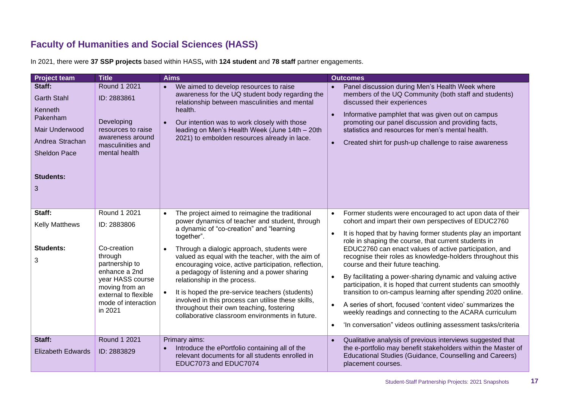## **Faculty of Humanities and Social Sciences (HASS)**

<span id="page-16-0"></span>

| <b>Project team</b>                                                                                                                      | <b>Title</b>                                                                                                                                              | <b>Aims</b>                                                                                                                                                                                                                                                                                                                                                                                                                                                                            | <b>Outcomes</b>                                                                                                                                                                                                                                                                                                                                                                                                                                                                                                                                                                                                                                                                                   |
|------------------------------------------------------------------------------------------------------------------------------------------|-----------------------------------------------------------------------------------------------------------------------------------------------------------|----------------------------------------------------------------------------------------------------------------------------------------------------------------------------------------------------------------------------------------------------------------------------------------------------------------------------------------------------------------------------------------------------------------------------------------------------------------------------------------|---------------------------------------------------------------------------------------------------------------------------------------------------------------------------------------------------------------------------------------------------------------------------------------------------------------------------------------------------------------------------------------------------------------------------------------------------------------------------------------------------------------------------------------------------------------------------------------------------------------------------------------------------------------------------------------------------|
| Staff:<br><b>Garth Stahl</b><br>Kenneth<br>Pakenham<br>Mair Underwood<br>Andrea Strachan<br><b>Sheldon Pace</b><br><b>Students:</b><br>3 | Round 1 2021<br>ID: 2883861<br>Developing<br>resources to raise<br>awareness around<br>masculinities and<br>mental health                                 | We aimed to develop resources to raise<br>$\bullet$<br>awareness for the UQ student body regarding the<br>relationship between masculinities and mental<br>health.<br>Our intention was to work closely with those<br>$\bullet$<br>leading on Men's Health Week (June 14th - 20th<br>2021) to embolden resources already in lace.                                                                                                                                                      | Panel discussion during Men's Health Week where<br>members of the UQ Community (both staff and students)<br>discussed their experiences<br>Informative pamphlet that was given out on campus<br>promoting our panel discussion and providing facts,<br>statistics and resources for men's mental health.<br>Created shirt for push-up challenge to raise awareness<br>$\bullet$                                                                                                                                                                                                                                                                                                                   |
| Staff:                                                                                                                                   | Round 1 2021                                                                                                                                              | The project aimed to reimagine the traditional<br>$\bullet$                                                                                                                                                                                                                                                                                                                                                                                                                            | Former students were encouraged to act upon data of their                                                                                                                                                                                                                                                                                                                                                                                                                                                                                                                                                                                                                                         |
| <b>Kelly Matthews</b>                                                                                                                    | ID: 2883806                                                                                                                                               | power dynamics of teacher and student, through<br>a dynamic of "co-creation" and "learning                                                                                                                                                                                                                                                                                                                                                                                             | cohort and impart their own perspectives of EDUC2760                                                                                                                                                                                                                                                                                                                                                                                                                                                                                                                                                                                                                                              |
| <b>Students:</b><br>3                                                                                                                    | Co-creation<br>through<br>partnership to<br>enhance a 2nd<br>year HASS course<br>moving from an<br>external to flexible<br>mode of interaction<br>in 2021 | together".<br>Through a dialogic approach, students were<br>$\bullet$<br>valued as equal with the teacher, with the aim of<br>encouraging voice, active participation, reflection,<br>a pedagogy of listening and a power sharing<br>relationship in the process.<br>It is hoped the pre-service teachers (students)<br>$\bullet$<br>involved in this process can utilise these skills,<br>throughout their own teaching, fostering<br>collaborative classroom environments in future. | It is hoped that by having former students play an important<br>$\bullet$<br>role in shaping the course, that current students in<br>EDUC2760 can enact values of active participation, and<br>recognise their roles as knowledge-holders throughout this<br>course and their future teaching.<br>By facilitating a power-sharing dynamic and valuing active<br>participation, it is hoped that current students can smoothly<br>transition to on-campus learning after spending 2020 online.<br>A series of short, focused 'content video' summarizes the<br>weekly readings and connecting to the ACARA curriculum<br>'In conversation" videos outlining assessment tasks/criteria<br>$\bullet$ |
| Staff:                                                                                                                                   | Round 1 2021                                                                                                                                              | Primary aims:                                                                                                                                                                                                                                                                                                                                                                                                                                                                          | Qualitative analysis of previous interviews suggested that                                                                                                                                                                                                                                                                                                                                                                                                                                                                                                                                                                                                                                        |
| <b>Elizabeth Edwards</b>                                                                                                                 | ID: 2883829                                                                                                                                               | Introduce the ePortfolio containing all of the<br>$\bullet$<br>relevant documents for all students enrolled in<br>EDUC7073 and EDUC7074                                                                                                                                                                                                                                                                                                                                                | the e-portfolio may benefit stakeholders within the Master of<br>Educational Studies (Guidance, Counselling and Careers)<br>placement courses.                                                                                                                                                                                                                                                                                                                                                                                                                                                                                                                                                    |

In 2021, there were **37 SSP projects** based within HASS**,** with **124 student** and **78 staff** partner engagements.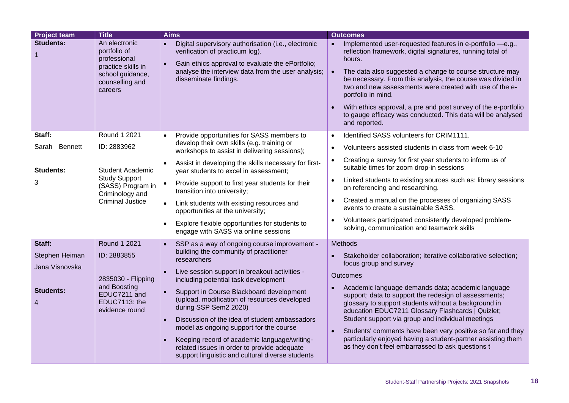| <b>Project team</b>              | <b>Title</b>                                                                                                          | <b>Aims</b>                                                                                                                                                                                                                                                                                                                                         | <b>Outcomes</b>                                                                                                                                                                                                                                                                                                                                                                                                                                                                                              |
|----------------------------------|-----------------------------------------------------------------------------------------------------------------------|-----------------------------------------------------------------------------------------------------------------------------------------------------------------------------------------------------------------------------------------------------------------------------------------------------------------------------------------------------|--------------------------------------------------------------------------------------------------------------------------------------------------------------------------------------------------------------------------------------------------------------------------------------------------------------------------------------------------------------------------------------------------------------------------------------------------------------------------------------------------------------|
| <b>Students:</b><br>$\mathbf{1}$ | An electronic<br>portfolio of<br>professional<br>practice skills in<br>school guidance,<br>counselling and<br>careers | Digital supervisory authorisation (i.e., electronic<br>$\bullet$<br>verification of practicum log).<br>Gain ethics approval to evaluate the ePortfolio;<br>$\bullet$<br>analyse the interview data from the user analysis;<br>disseminate findings.                                                                                                 | Implemented user-requested features in e-portfolio -e.g.,<br>$\bullet$<br>reflection framework, digital signatures, running total of<br>hours.<br>The data also suggested a change to course structure may<br>be necessary. From this analysis, the course was divided in<br>two and new assessments were created with use of the e-<br>portfolio in mind.<br>With ethics approval, a pre and post survey of the e-portfolio<br>to gauge efficacy was conducted. This data will be analysed<br>and reported. |
| Staff:                           | Round 1 2021                                                                                                          | Provide opportunities for SASS members to<br>$\bullet$                                                                                                                                                                                                                                                                                              | Identified SASS volunteers for CRIM1111.                                                                                                                                                                                                                                                                                                                                                                                                                                                                     |
| Sarah Bennett                    | ID: 2883962                                                                                                           | develop their own skills (e.g. training or<br>workshops to assist in delivering sessions);                                                                                                                                                                                                                                                          | Volunteers assisted students in class from week 6-10<br>$\bullet$                                                                                                                                                                                                                                                                                                                                                                                                                                            |
| <b>Students:</b>                 | <b>Student Academic</b>                                                                                               | Assist in developing the skills necessary for first-<br>$\bullet$<br>year students to excel in assessment;                                                                                                                                                                                                                                          | Creating a survey for first year students to inform us of<br>suitable times for zoom drop-in sessions                                                                                                                                                                                                                                                                                                                                                                                                        |
| 3                                | <b>Study Support</b><br>(SASS) Program in<br>Criminology and                                                          | Provide support to first year students for their<br>$\bullet$<br>transition into university;                                                                                                                                                                                                                                                        | Linked students to existing sources such as: library sessions<br>on referencing and researching.                                                                                                                                                                                                                                                                                                                                                                                                             |
|                                  | <b>Criminal Justice</b>                                                                                               | Link students with existing resources and<br>$\bullet$<br>opportunities at the university;                                                                                                                                                                                                                                                          | Created a manual on the processes of organizing SASS<br>events to create a sustainable SASS.                                                                                                                                                                                                                                                                                                                                                                                                                 |
|                                  |                                                                                                                       | Explore flexible opportunities for students to<br>$\bullet$<br>engage with SASS via online sessions                                                                                                                                                                                                                                                 | Volunteers participated consistently developed problem-<br>solving, communication and teamwork skills                                                                                                                                                                                                                                                                                                                                                                                                        |
| Staff:                           | Round 1 2021                                                                                                          | SSP as a way of ongoing course improvement -<br>$\bullet$                                                                                                                                                                                                                                                                                           | Methods                                                                                                                                                                                                                                                                                                                                                                                                                                                                                                      |
| Stephen Heiman<br>Jana Visnovska | ID: 2883855                                                                                                           | building the community of practitioner<br>researchers                                                                                                                                                                                                                                                                                               | Stakeholder collaboration; iterative collaborative selection;<br>focus group and survey                                                                                                                                                                                                                                                                                                                                                                                                                      |
|                                  | 2835030 - Flipping                                                                                                    | Live session support in breakout activities -<br>including potential task development                                                                                                                                                                                                                                                               | Outcomes                                                                                                                                                                                                                                                                                                                                                                                                                                                                                                     |
| <b>Students:</b><br>4            | and Boosting<br>EDUC7211 and<br>EDUC7113: the<br>evidence round                                                       | Support in Course Blackboard development<br>$\bullet$<br>(upload, modification of resources developed<br>during SSP Sem2 2020)<br>Discussion of the idea of student ambassadors<br>$\bullet$<br>model as ongoing support for the course<br>Keeping record of academic language/writing-<br>$\bullet$<br>related issues in order to provide adequate | Academic language demands data; academic language<br>support; data to support the redesign of assessments;<br>glossary to support students without a background in<br>education EDUC7211 Glossary Flashcards   Quizlet;<br>Student support via group and individual meetings<br>Students' comments have been very positive so far and they<br>particularly enjoyed having a student-partner assisting them<br>as they don't feel embarrassed to ask questions t                                              |
|                                  |                                                                                                                       | support linguistic and cultural diverse students                                                                                                                                                                                                                                                                                                    |                                                                                                                                                                                                                                                                                                                                                                                                                                                                                                              |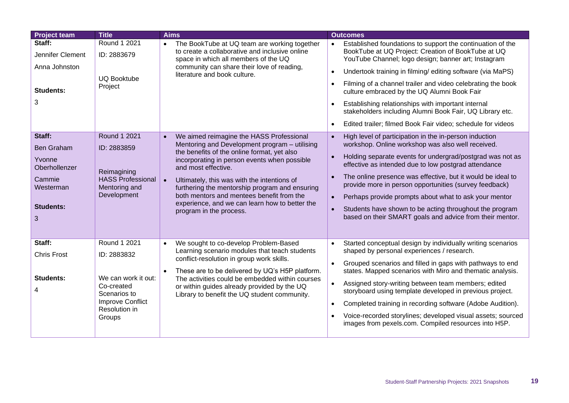| <b>Project team</b>                                                                                    | <b>Title</b>                                                                                                                           | <b>Aims</b>                                                                                                                                                                                                                                                                                                                                                                                                                                                          | <b>Outcomes</b>                                                                                                                                                                                                                                                                                                                                                                                                                                                                                                                                                                                 |
|--------------------------------------------------------------------------------------------------------|----------------------------------------------------------------------------------------------------------------------------------------|----------------------------------------------------------------------------------------------------------------------------------------------------------------------------------------------------------------------------------------------------------------------------------------------------------------------------------------------------------------------------------------------------------------------------------------------------------------------|-------------------------------------------------------------------------------------------------------------------------------------------------------------------------------------------------------------------------------------------------------------------------------------------------------------------------------------------------------------------------------------------------------------------------------------------------------------------------------------------------------------------------------------------------------------------------------------------------|
| Staff:<br>Jennifer Clement<br>Anna Johnston                                                            | Round 1 2021<br>ID: 2883679<br><b>UQ Booktube</b>                                                                                      | The BookTube at UQ team are working together<br>$\bullet$<br>to create a collaborative and inclusive online<br>space in which all members of the UQ<br>community can share their love of reading,<br>literature and book culture.                                                                                                                                                                                                                                    | Established foundations to support the continuation of the<br>$\bullet$<br>BookTube at UQ Project: Creation of BookTube at UQ<br>YouTube Channel; logo design; banner art; Instagram<br>Undertook training in filming/editing software (via MaPS)<br>$\bullet$                                                                                                                                                                                                                                                                                                                                  |
| <b>Students:</b><br>3                                                                                  | Project                                                                                                                                |                                                                                                                                                                                                                                                                                                                                                                                                                                                                      | Filming of a channel trailer and video celebrating the book<br>$\bullet$<br>culture embraced by the UQ Alumni Book Fair<br>Establishing relationships with important internal<br>$\bullet$<br>stakeholders including Alumni Book Fair, UQ Library etc.<br>Edited trailer; filmed Book Fair video; schedule for videos<br>$\bullet$                                                                                                                                                                                                                                                              |
| Staff:<br><b>Ben Graham</b><br>Yvonne<br>Oberhollenzer<br>Cammie<br>Westerman<br><b>Students:</b><br>3 | <b>Round 1 2021</b><br>ID: 2883859<br>Reimagining<br><b>HASS Professional</b><br>Mentoring and<br>Development                          | We aimed reimagine the HASS Professional<br>$\bullet$<br>Mentoring and Development program - utilising<br>the benefits of the online format, yet also<br>incorporating in person events when possible<br>and most effective.<br>Ultimately, this was with the intentions of<br>$\bullet$<br>furthering the mentorship program and ensuring<br>both mentors and mentees benefit from the<br>experience, and we can learn how to better the<br>program in the process. | High level of participation in the in-person induction<br>$\bullet$<br>workshop. Online workshop was also well received.<br>Holding separate events for undergrad/postgrad was not as<br>$\bullet$<br>effective as intended due to low postgrad attendance<br>The online presence was effective, but it would be ideal to<br>$\bullet$<br>provide more in person opportunities (survey feedback)<br>Perhaps provide prompts about what to ask your mentor<br>$\bullet$<br>Students have shown to be acting throughout the program<br>based on their SMART goals and advice from their mentor.   |
| Staff:<br><b>Chris Frost</b><br><b>Students:</b><br>4                                                  | Round 1 2021<br>ID: 2883832<br>We can work it out:<br>Co-created<br>Scenarios to<br><b>Improve Conflict</b><br>Resolution in<br>Groups | We sought to co-develop Problem-Based<br>$\bullet$<br>Learning scenario modules that teach students<br>conflict-resolution in group work skills.<br>These are to be delivered by UQ's H5P platform.<br>The activities could be embedded within courses<br>or within guides already provided by the UQ<br>Library to benefit the UQ student community.                                                                                                                | Started conceptual design by individually writing scenarios<br>$\bullet$<br>shaped by personal experiences / research.<br>Grouped scenarios and filled in gaps with pathways to end<br>states. Mapped scenarios with Miro and thematic analysis.<br>Assigned story-writing between team members; edited<br>$\bullet$<br>storyboard using template developed in previous project.<br>Completed training in recording software (Adobe Audition).<br>$\bullet$<br>Voice-recorded storylines; developed visual assets; sourced<br>$\bullet$<br>images from pexels.com. Compiled resources into H5P. |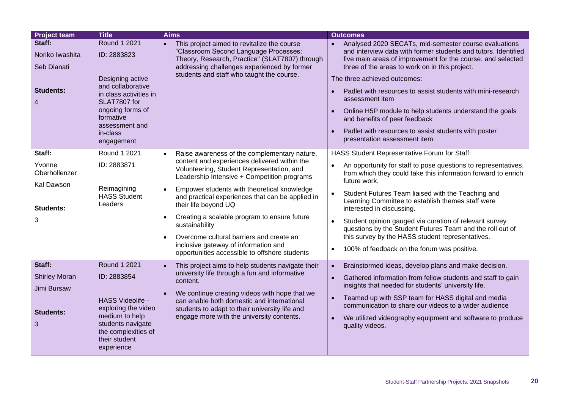| <b>Project team</b>                                                    | <b>Title</b>                                                                                                                                                                                       | <b>Aims</b>                                                                                                                                                                                                                                                                                                                            | <b>Outcomes</b>                                                                                                                                                                                                                                                                                                                                                                                                                                                                                                                                             |
|------------------------------------------------------------------------|----------------------------------------------------------------------------------------------------------------------------------------------------------------------------------------------------|----------------------------------------------------------------------------------------------------------------------------------------------------------------------------------------------------------------------------------------------------------------------------------------------------------------------------------------|-------------------------------------------------------------------------------------------------------------------------------------------------------------------------------------------------------------------------------------------------------------------------------------------------------------------------------------------------------------------------------------------------------------------------------------------------------------------------------------------------------------------------------------------------------------|
| Staff:<br>Noriko Iwashita<br>Seb Dianati<br><b>Students:</b><br>4      | <b>Round 1 2021</b><br>ID: 2883823<br>Designing active<br>and collaborative<br>in class activities in<br>SLAT7807 for<br>ongoing forms of<br>formative<br>assessment and<br>in-class<br>engagement | This project aimed to revitalize the course<br>$\bullet$<br>"Classroom Second Language Processes:<br>Theory, Research, Practice" (SLAT7807) through<br>addressing challenges experienced by former<br>students and staff who taught the course.                                                                                        | Analysed 2020 SECATs, mid-semester course evaluations<br>and interview data with former students and tutors. Identified<br>five main areas of improvement for the course, and selected<br>three of the areas to work on in this project.<br>The three achieved outcomes:<br>Padlet with resources to assist students with mini-research<br>$\bullet$<br>assessment item<br>Online H5P module to help students understand the goals<br>and benefits of peer feedback<br>Padlet with resources to assist students with poster<br>presentation assessment item |
| Staff:<br>Yvonne                                                       | Round 1 2021<br>ID: 2883871                                                                                                                                                                        | Raise awareness of the complementary nature,<br>$\bullet$<br>content and experiences delivered within the<br>Volunteering, Student Representation, and                                                                                                                                                                                 | HASS Student Representative Forum for Staff:<br>An opportunity for staff to pose questions to representatives,                                                                                                                                                                                                                                                                                                                                                                                                                                              |
| Oberhollenzer<br>Kal Dawson                                            |                                                                                                                                                                                                    | Leadership Intensive + Competition programs                                                                                                                                                                                                                                                                                            | from which they could take this information forward to enrich<br>future work.                                                                                                                                                                                                                                                                                                                                                                                                                                                                               |
| Students:                                                              | Reimagining<br><b>HASS Student</b><br>Leaders                                                                                                                                                      | Empower students with theoretical knowledge<br>$\bullet$<br>and practical experiences that can be applied in<br>their life beyond UQ                                                                                                                                                                                                   | Student Futures Team liaised with the Teaching and<br>Learning Committee to establish themes staff were<br>interested in discussing.                                                                                                                                                                                                                                                                                                                                                                                                                        |
| 3                                                                      |                                                                                                                                                                                                    | Creating a scalable program to ensure future<br>$\bullet$<br>sustainability                                                                                                                                                                                                                                                            | Student opinion gauged via curation of relevant survey<br>questions by the Student Futures Team and the roll out of                                                                                                                                                                                                                                                                                                                                                                                                                                         |
|                                                                        |                                                                                                                                                                                                    | Overcome cultural barriers and create an<br>inclusive gateway of information and                                                                                                                                                                                                                                                       | this survey by the HASS student representatives.<br>100% of feedback on the forum was positive.<br>$\bullet$                                                                                                                                                                                                                                                                                                                                                                                                                                                |
|                                                                        |                                                                                                                                                                                                    | opportunities accessible to offshore students                                                                                                                                                                                                                                                                                          |                                                                                                                                                                                                                                                                                                                                                                                                                                                                                                                                                             |
| Staff:<br><b>Shirley Moran</b><br>Jimi Bursaw<br><b>Students:</b><br>3 | Round 1 2021<br>ID: 2883854<br>HASS Videolife -<br>exploring the video<br>medium to help<br>students navigate<br>the complexities of<br>their student<br>experience                                | This project aims to help students navigate their<br>$\bullet$<br>university life through a fun and informative<br>content.<br>We continue creating videos with hope that we<br>$\bullet$<br>can enable both domestic and international<br>students to adapt to their university life and<br>engage more with the university contents. | Brainstormed ideas, develop plans and make decision.<br>$\bullet$<br>Gathered information from fellow students and staff to gain<br>insights that needed for students' university life.<br>Teamed up with SSP team for HASS digital and media<br>$\bullet$<br>communication to share our videos to a wider audience<br>We utilized videography equipment and software to produce<br>$\bullet$<br>quality videos.                                                                                                                                            |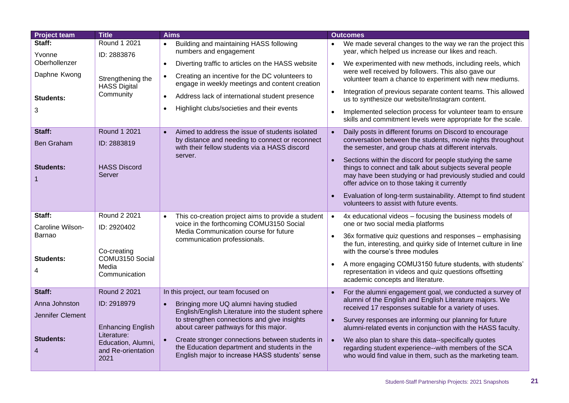| <b>Project team</b>                | <b>Title</b>                                     | <b>Aims</b>                                                                                                                                       | <b>Outcomes</b>                                                                                                                                                                                                                                 |
|------------------------------------|--------------------------------------------------|---------------------------------------------------------------------------------------------------------------------------------------------------|-------------------------------------------------------------------------------------------------------------------------------------------------------------------------------------------------------------------------------------------------|
| Staff:<br>Yvonne                   | Round 1 2021<br>ID: 2883876                      | Building and maintaining HASS following<br>numbers and engagement                                                                                 | We made several changes to the way we ran the project this<br>year, which helped us increase our likes and reach.                                                                                                                               |
| Oberhollenzer                      |                                                  | Diverting traffic to articles on the HASS website<br>$\bullet$                                                                                    | We experimented with new methods, including reels, which                                                                                                                                                                                        |
| Daphne Kwong                       | Strengthening the<br><b>HASS Digital</b>         | Creating an incentive for the DC volunteers to<br>$\bullet$<br>engage in weekly meetings and content creation                                     | were well received by followers. This also gave our<br>volunteer team a chance to experiment with new mediums.                                                                                                                                  |
| <b>Students:</b>                   | Community                                        | Address lack of international student presence<br>$\bullet$                                                                                       | Integration of previous separate content teams. This allowed<br>us to synthesize our website/Instagram content.                                                                                                                                 |
| 3                                  |                                                  | Highlight clubs/societies and their events<br>$\bullet$                                                                                           | Implemented selection process for volunteer team to ensure<br>skills and commitment levels were appropriate for the scale.                                                                                                                      |
| Staff:                             | Round 1 2021                                     | Aimed to address the issue of students isolated<br>$\bullet$                                                                                      | Daily posts in different forums on Discord to encourage                                                                                                                                                                                         |
| <b>Ben Graham</b>                  | ID: 2883819                                      | by distance and needing to connect or reconnect<br>with their fellow students via a HASS discord                                                  | conversation between the students, movie nights throughout<br>the semester, and group chats at different intervals.                                                                                                                             |
| <b>Students:</b>                   | <b>HASS Discord</b><br>Server                    | server.                                                                                                                                           | Sections within the discord for people studying the same<br>$\bullet$<br>things to connect and talk about subjects several people<br>may have been studying or had previously studied and could<br>offer advice on to those taking it currently |
|                                    |                                                  |                                                                                                                                                   | Evaluation of long-term sustainability. Attempt to find student<br>volunteers to assist with future events.                                                                                                                                     |
| Staff:                             | Round 2 2021                                     | This co-creation project aims to provide a student                                                                                                | 4x educational videos - focusing the business models of<br>$\bullet$                                                                                                                                                                            |
| Caroline Wilson-                   | ID: 2920402                                      | voice in the forthcoming COMU3150 Social<br>Media Communication course for future                                                                 | one or two social media platforms                                                                                                                                                                                                               |
| Barnao                             | Co-creating                                      | communication professionals.                                                                                                                      | 36x formative quiz questions and responses - emphasising<br>the fun, interesting, and quirky side of Internet culture in line<br>with the course's three modules                                                                                |
| <b>Students:</b>                   | COMU3150 Social<br>Media                         |                                                                                                                                                   | A more engaging COMU3150 future students, with students'                                                                                                                                                                                        |
| 4                                  | Communication                                    |                                                                                                                                                   | representation in videos and quiz questions offsetting<br>academic concepts and literature.                                                                                                                                                     |
| Staff:                             | Round 2 2021                                     | In this project, our team focused on                                                                                                              | For the alumni engagement goal, we conducted a survey of                                                                                                                                                                                        |
| Anna Johnston                      | ID: 2918979                                      | Bringing more UQ alumni having studied<br>$\bullet$                                                                                               | alumni of the English and English Literature majors. We<br>received 17 responses suitable for a variety of uses.                                                                                                                                |
| Jennifer Clement                   |                                                  | English/English Literature into the student sphere<br>to strengthen connections and give insights                                                 | Survey responses are informing our planning for future                                                                                                                                                                                          |
|                                    | <b>Enhancing English</b><br>Literature:          | about career pathways for this major.                                                                                                             | alumni-related events in conjunction with the HASS faculty.                                                                                                                                                                                     |
| <b>Students:</b><br>$\overline{4}$ | Education, Alumni,<br>and Re-orientation<br>2021 | Create stronger connections between students in<br>the Education department and students in the<br>English major to increase HASS students' sense | $\bullet$<br>We also plan to share this data--specifically quotes<br>regarding student experience--with members of the SCA<br>who would find value in them, such as the marketing team.                                                         |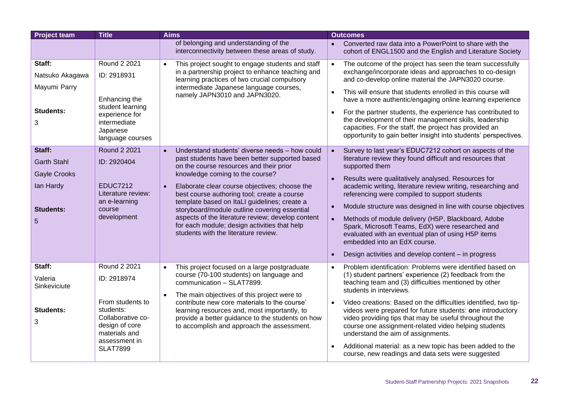| <b>Project team</b> | <b>Title</b>                          | <b>Aims</b>                                                                                               | <b>Outcomes</b>                                                                                                           |
|---------------------|---------------------------------------|-----------------------------------------------------------------------------------------------------------|---------------------------------------------------------------------------------------------------------------------------|
|                     |                                       | of belonging and understanding of the<br>interconnectivity between these areas of study.                  | Converted raw data into a PowerPoint to share with the<br>cohort of ENGL1500 and the English and Literature Society       |
| Staff:              | Round 2 2021                          | This project sought to engage students and staff<br>$\bullet$                                             | The outcome of the project has seen the team successfully                                                                 |
| Natsuko Akagawa     | ID: 2918931                           | in a partnership project to enhance teaching and<br>learning practices of two crucial compulsory          | exchange/incorporate ideas and approaches to co-design<br>and co-develop online material the JAPN3020 course.             |
| Mayumi Parry        | Enhancing the                         | intermediate Japanese language courses,<br>namely JAPN3010 and JAPN3020.                                  | This will ensure that students enrolled in this course will<br>have a more authentic/engaging online learning experience  |
| <b>Students:</b>    | student learning<br>experience for    |                                                                                                           | For the partner students, the experience has contributed to                                                               |
| 3                   | intermediate                          |                                                                                                           | the development of their management skills, leadership                                                                    |
|                     | Japanese<br>language courses          |                                                                                                           | capacities. For the staff, the project has provided an<br>opportunity to gain better insight into students' perspectives. |
| Staff:              | <b>Round 2 2021</b>                   | Understand students' diverse needs - how could<br>$\bullet$                                               | Survey to last year's EDUC7212 cohort on aspects of the                                                                   |
| <b>Garth Stahl</b>  | ID: 2920404                           | past students have been better supported based                                                            | literature review they found difficult and resources that                                                                 |
|                     |                                       | on the course resources and their prior                                                                   | supported them                                                                                                            |
| <b>Gayle Crooks</b> |                                       | knowledge coming to the course?                                                                           | Results were qualitatively analysed. Resources for                                                                        |
| lan Hardy           | <b>EDUC7212</b><br>Literature review: | Elaborate clear course objectives; choose the<br>$\bullet$<br>best course authoring tool; create a course | academic writing, literature review writing, researching and<br>referencing were compiled to support students             |
| <b>Students:</b>    | an e-learning<br>course               | template based on ItaLI guidelines; create a<br>storyboard/module outline covering essential              | Module structure was designed in line with course objectives                                                              |
| 5                   | development                           | aspects of the literature review; develop content                                                         | Methods of module delivery (H5P, Blackboard, Adobe<br>$\bullet$                                                           |
|                     |                                       | for each module; design activities that help<br>students with the literature review.                      | Spark, Microsoft Teams, EdX) were researched and                                                                          |
|                     |                                       |                                                                                                           | evaluated with an eventual plan of using H5P items<br>embedded into an EdX course.                                        |
|                     |                                       |                                                                                                           | Design activities and develop content - in progress<br>$\bullet$                                                          |
| Staff:              | Round 2 2021                          | This project focused on a large postgraduate<br>$\bullet$                                                 | Problem identification: Problems were identified based on                                                                 |
| Valeria             | ID: 2918974                           | course (70-100 students) on language and<br>communication - SLAT7899.                                     | (1) student partners' experience (2) feedback from the<br>teaching team and (3) difficulties mentioned by other           |
| Sinkeviciute        |                                       |                                                                                                           | students in interviews.                                                                                                   |
|                     | From students to                      | The main objectives of this project were to<br>contribute new core materials to the course'               | Video creations: Based on the difficulties identified, two tip-                                                           |
| <b>Students:</b>    | students:                             | learning resources and, most importantly, to                                                              | videos were prepared for future students: one introductory                                                                |
| 3                   | Collaborative co-                     | provide a better guidance to the students on how                                                          | video providing tips that may be useful throughout the                                                                    |
|                     | design of core<br>materials and       | to accomplish and approach the assessment.                                                                | course one assignment-related video helping students<br>understand the aim of assignments.                                |
|                     | assessment in                         |                                                                                                           |                                                                                                                           |
|                     | <b>SLAT7899</b>                       |                                                                                                           | Additional material: as a new topic has been added to the<br>course, new readings and data sets were suggested            |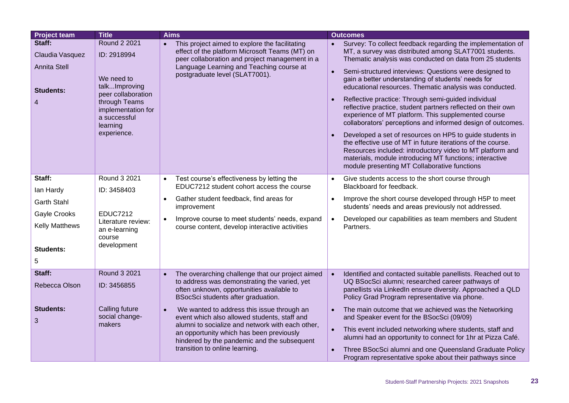| <b>Project team</b>                                                       | <b>Title</b>                                                                                                                                                              | <b>Aims</b>                                                                                                                                                                                                                                                                              | <b>Outcomes</b>                                                                                                                                                                                                                                                                                                                                                                                                                                                                                                                                                                                                                                                                                                                                                                                                                                                                                             |
|---------------------------------------------------------------------------|---------------------------------------------------------------------------------------------------------------------------------------------------------------------------|------------------------------------------------------------------------------------------------------------------------------------------------------------------------------------------------------------------------------------------------------------------------------------------|-------------------------------------------------------------------------------------------------------------------------------------------------------------------------------------------------------------------------------------------------------------------------------------------------------------------------------------------------------------------------------------------------------------------------------------------------------------------------------------------------------------------------------------------------------------------------------------------------------------------------------------------------------------------------------------------------------------------------------------------------------------------------------------------------------------------------------------------------------------------------------------------------------------|
| Staff:<br>Claudia Vasquez<br><b>Annita Stell</b><br><b>Students:</b><br>4 | <b>Round 2 2021</b><br>ID: 2918994<br>We need to<br>talkImproving<br>peer collaboration<br>through Teams<br>implementation for<br>a successful<br>learning<br>experience. | This project aimed to explore the facilitating<br>$\bullet$<br>effect of the platform Microsoft Teams (MT) on<br>peer collaboration and project management in a<br>Language Learning and Teaching course at<br>postgraduate level (SLAT7001).                                            | Survey: To collect feedback regarding the implementation of<br>MT, a survey was distributed among SLAT7001 students.<br>Thematic analysis was conducted on data from 25 students<br>Semi-structured interviews: Questions were designed to<br>gain a better understanding of students' needs for<br>educational resources. Thematic analysis was conducted.<br>Reflective practice: Through semi-guided individual<br>reflective practice, student partners reflected on their own<br>experience of MT platform. This supplemented course<br>collaborators' perceptions and informed design of outcomes.<br>Developed a set of resources on HP5 to guide students in<br>the effective use of MT in future iterations of the course.<br>Resources included: introductory video to MT platform and<br>materials, module introducing MT functions; interactive<br>module presenting MT Collaborative functions |
| Staff:                                                                    | Round 3 2021                                                                                                                                                              | Test course's effectiveness by letting the<br>$\bullet$                                                                                                                                                                                                                                  | Give students access to the short course through                                                                                                                                                                                                                                                                                                                                                                                                                                                                                                                                                                                                                                                                                                                                                                                                                                                            |
| lan Hardy                                                                 | ID: 3458403                                                                                                                                                               | EDUC7212 student cohort access the course                                                                                                                                                                                                                                                | Blackboard for feedback.                                                                                                                                                                                                                                                                                                                                                                                                                                                                                                                                                                                                                                                                                                                                                                                                                                                                                    |
| <b>Garth Stahl</b>                                                        |                                                                                                                                                                           | Gather student feedback, find areas for<br>$\bullet$<br>improvement                                                                                                                                                                                                                      | Improve the short course developed through H5P to meet<br>$\bullet$<br>students' needs and areas previously not addressed.                                                                                                                                                                                                                                                                                                                                                                                                                                                                                                                                                                                                                                                                                                                                                                                  |
| Gayle Crooks                                                              | <b>EDUC7212</b><br>Literature review:                                                                                                                                     | Improve course to meet students' needs, expand<br>$\bullet$                                                                                                                                                                                                                              | Developed our capabilities as team members and Student<br>$\bullet$                                                                                                                                                                                                                                                                                                                                                                                                                                                                                                                                                                                                                                                                                                                                                                                                                                         |
| <b>Kelly Matthews</b>                                                     | an e-learning<br>course                                                                                                                                                   | course content, develop interactive activities                                                                                                                                                                                                                                           | Partners.                                                                                                                                                                                                                                                                                                                                                                                                                                                                                                                                                                                                                                                                                                                                                                                                                                                                                                   |
| Students:                                                                 | development                                                                                                                                                               |                                                                                                                                                                                                                                                                                          |                                                                                                                                                                                                                                                                                                                                                                                                                                                                                                                                                                                                                                                                                                                                                                                                                                                                                                             |
| 5                                                                         |                                                                                                                                                                           |                                                                                                                                                                                                                                                                                          |                                                                                                                                                                                                                                                                                                                                                                                                                                                                                                                                                                                                                                                                                                                                                                                                                                                                                                             |
| Staff:                                                                    | Round 3 2021                                                                                                                                                              | The overarching challenge that our project aimed<br>$\bullet$                                                                                                                                                                                                                            | Identified and contacted suitable panellists. Reached out to                                                                                                                                                                                                                                                                                                                                                                                                                                                                                                                                                                                                                                                                                                                                                                                                                                                |
| Rebecca Olson                                                             | ID: 3456855                                                                                                                                                               | to address was demonstrating the varied, yet<br>often unknown, opportunities available to<br>BSocSci students after graduation.                                                                                                                                                          | UQ BSocSci alumni; researched career pathways of<br>panellists via LinkedIn ensure diversity. Approached a QLD<br>Policy Grad Program representative via phone.                                                                                                                                                                                                                                                                                                                                                                                                                                                                                                                                                                                                                                                                                                                                             |
| <b>Students:</b><br>3                                                     | Calling future<br>social change-<br>makers                                                                                                                                | We wanted to address this issue through an<br>$\bullet$<br>event which also allowed students, staff and<br>alumni to socialize and network with each other,<br>an opportunity which has been previously<br>hindered by the pandemic and the subsequent<br>transition to online learning. | The main outcome that we achieved was the Networking<br>and Speaker event for the BSocSci (09/09)<br>This event included networking where students, staff and<br>alumni had an opportunity to connect for 1hr at Pizza Café.<br>Three BSocSci alumni and one Queensland Graduate Policy<br>Program representative spoke about their pathways since                                                                                                                                                                                                                                                                                                                                                                                                                                                                                                                                                          |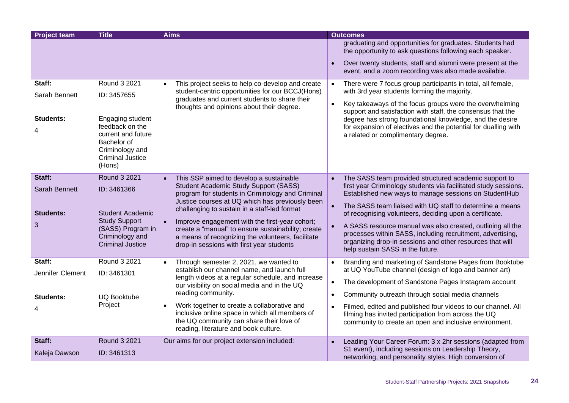| <b>Project team</b>   | <b>Title</b>                                                                                                                     | <b>Aims</b>                                                                                                                                                                                                         | <b>Outcomes</b>                                                                                                                                                                                                                            |
|-----------------------|----------------------------------------------------------------------------------------------------------------------------------|---------------------------------------------------------------------------------------------------------------------------------------------------------------------------------------------------------------------|--------------------------------------------------------------------------------------------------------------------------------------------------------------------------------------------------------------------------------------------|
|                       |                                                                                                                                  |                                                                                                                                                                                                                     | graduating and opportunities for graduates. Students had<br>the opportunity to ask questions following each speaker.<br>Over twenty students, staff and alumni were present at the<br>event, and a zoom recording was also made available. |
| Staff:                | Round 3 2021                                                                                                                     | This project seeks to help co-develop and create<br>$\bullet$<br>student-centric opportunities for our BCCJ(Hons)                                                                                                   | There were 7 focus group participants in total, all female,<br>with 3rd year students forming the majority.                                                                                                                                |
| Sarah Bennett         | ID: 3457655                                                                                                                      | graduates and current students to share their<br>thoughts and opinions about their degree.                                                                                                                          | Key takeaways of the focus groups were the overwhelming<br>$\bullet$<br>support and satisfaction with staff, the consensus that the                                                                                                        |
| <b>Students:</b><br>4 | Engaging student<br>feedback on the<br>current and future<br>Bachelor of<br>Criminology and<br><b>Criminal Justice</b><br>(Hons) |                                                                                                                                                                                                                     | degree has strong foundational knowledge, and the desire<br>for expansion of electives and the potential for dualling with<br>a related or complimentary degree.                                                                           |
| Staff:                | <b>Round 3 2021</b>                                                                                                              | This SSP aimed to develop a sustainable<br>$\bullet$                                                                                                                                                                | The SASS team provided structured academic support to                                                                                                                                                                                      |
| <b>Sarah Bennett</b>  | ID: 3461366                                                                                                                      | Student Academic Study Support (SASS)<br>program for students in Criminology and Criminal                                                                                                                           | first year Criminology students via facilitated study sessions.<br>Established new ways to manage sessions on StudentHub                                                                                                                   |
| <b>Students:</b>      | <b>Student Academic</b>                                                                                                          | Justice courses at UQ which has previously been<br>challenging to sustain in a staff-led format                                                                                                                     | The SASS team liaised with UQ staff to determine a means<br>of recognising volunteers, deciding upon a certificate.                                                                                                                        |
| 3                     | <b>Study Support</b><br>(SASS) Program in<br>Criminology and<br><b>Criminal Justice</b>                                          | Improve engagement with the first-year cohort;<br>$\bullet$<br>create a "manual" to ensure sustainability; create<br>a means of recognizing the volunteers, facilitate<br>drop-in sessions with first year students | A SASS resource manual was also created, outlining all the<br>processes within SASS, including recruitment, advertising,<br>organizing drop-in sessions and other resources that will<br>help sustain SASS in the future.                  |
| Staff:                | Round 3 2021                                                                                                                     | Through semester 2, 2021, we wanted to<br>$\bullet$                                                                                                                                                                 | Branding and marketing of Sandstone Pages from Booktube                                                                                                                                                                                    |
| Jennifer Clement      | ID: 3461301                                                                                                                      | establish our channel name, and launch full<br>length videos at a regular schedule, and increase                                                                                                                    | at UQ YouTube channel (design of logo and banner art)<br>The development of Sandstone Pages Instagram account                                                                                                                              |
|                       |                                                                                                                                  | our visibility on social media and in the UQ<br>reading community.                                                                                                                                                  | $\bullet$<br>Community outreach through social media channels<br>$\bullet$                                                                                                                                                                 |
| <b>Students:</b>      | <b>UQ Booktube</b><br>Project                                                                                                    | Work together to create a collaborative and<br>$\bullet$                                                                                                                                                            |                                                                                                                                                                                                                                            |
|                       |                                                                                                                                  | inclusive online space in which all members of<br>the UQ community can share their love of<br>reading, literature and book culture.                                                                                 | Filmed, edited and published four videos to our channel. All<br>$\bullet$<br>filming has invited participation from across the UQ<br>community to create an open and inclusive environment.                                                |
| Staff:                | <b>Round 3 2021</b>                                                                                                              | Our aims for our project extension included:                                                                                                                                                                        | Leading Your Career Forum: 3 x 2hr sessions (adapted from                                                                                                                                                                                  |
| Kaleja Dawson         | ID: 3461313                                                                                                                      |                                                                                                                                                                                                                     | S1 event), including sessions on Leadership Theory,<br>networking, and personality styles. High conversion of                                                                                                                              |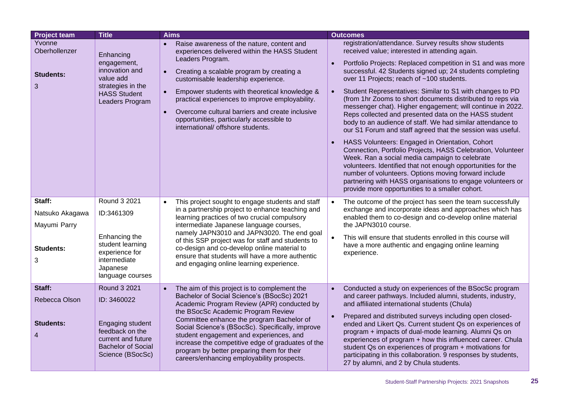| <b>Project team</b>                                         | <b>Title</b>                                                                                                                              | <b>Aims</b>                                                                                                                                                                                                                                                                                                                                                                                                                                                                              | <b>Outcomes</b>                                                                                                                                                                                                                                                                                                                                                                                                                                                                                                                                                                                                                                                                                                                                                                                                                                                                                                                                                                                                                                                                          |
|-------------------------------------------------------------|-------------------------------------------------------------------------------------------------------------------------------------------|------------------------------------------------------------------------------------------------------------------------------------------------------------------------------------------------------------------------------------------------------------------------------------------------------------------------------------------------------------------------------------------------------------------------------------------------------------------------------------------|------------------------------------------------------------------------------------------------------------------------------------------------------------------------------------------------------------------------------------------------------------------------------------------------------------------------------------------------------------------------------------------------------------------------------------------------------------------------------------------------------------------------------------------------------------------------------------------------------------------------------------------------------------------------------------------------------------------------------------------------------------------------------------------------------------------------------------------------------------------------------------------------------------------------------------------------------------------------------------------------------------------------------------------------------------------------------------------|
| Yvonne<br>Oberhollenzer<br><b>Students:</b><br>3            | Enhancing<br>engagement,<br>innovation and<br>value add<br>strategies in the<br><b>HASS Student</b><br>Leaders Program                    | Raise awareness of the nature, content and<br>experiences delivered within the HASS Student<br>Leaders Program.<br>Creating a scalable program by creating a<br>$\bullet$<br>customisable leadership experience.<br>Empower students with theoretical knowledge &<br>$\bullet$<br>practical experiences to improve employability.<br>Overcome cultural barriers and create inclusive<br>$\bullet$<br>opportunities, particularly accessible to<br>international/ offshore students.      | registration/attendance. Survey results show students<br>received value; interested in attending again.<br>Portfolio Projects: Replaced competition in S1 and was more<br>successful. 42 Students signed up; 24 students completing<br>over 11 Projects; reach of ~100 students.<br>Student Representatives: Similar to S1 with changes to PD<br>$\bullet$<br>(from 1hr Zooms to short documents distributed to reps via<br>messenger chat). Higher engagement; will continue in 2022.<br>Reps collected and presented data on the HASS student<br>body to an audience of staff. We had similar attendance to<br>our S1 Forum and staff agreed that the session was useful.<br>HASS Volunteers: Engaged in Orientation, Cohort<br>Connection, Portfolio Projects, HASS Celebration, Volunteer<br>Week. Ran a social media campaign to celebrate<br>volunteers. Identified that not enough opportunities for the<br>number of volunteers. Options moving forward include<br>partnering with HASS organisations to engage volunteers or<br>provide more opportunities to a smaller cohort. |
| Staff:<br>Natsuko Akagawa<br>Mayumi Parry<br>Students:<br>3 | Round 3 2021<br>ID:3461309<br>Enhancing the<br>student learning<br>experience for<br>intermediate<br>Japanese<br>language courses         | This project sought to engage students and staff<br>in a partnership project to enhance teaching and<br>learning practices of two crucial compulsory<br>intermediate Japanese language courses,<br>namely JAPN3010 and JAPN3020. The end goal<br>of this SSP project was for staff and students to<br>co-design and co-develop online material to<br>ensure that students will have a more authentic<br>and engaging online learning experience.                                         | The outcome of the project has seen the team successfully<br>$\bullet$<br>exchange and incorporate ideas and approaches which has<br>enabled them to co-design and co-develop online material<br>the JAPN3010 course.<br>This will ensure that students enrolled in this course will<br>have a more authentic and engaging online learning<br>experience.                                                                                                                                                                                                                                                                                                                                                                                                                                                                                                                                                                                                                                                                                                                                |
| Staff:<br>Rebecca Olson<br>Students:<br>4                   | Round 3 2021<br>ID: 3460022<br>Engaging student<br>feedback on the<br>current and future<br><b>Bachelor of Social</b><br>Science (BSocSc) | The aim of this project is to complement the<br>$\bullet$<br>Bachelor of Social Science's (BSocSc) 2021<br>Academic Program Review (APR) conducted by<br>the BSocSc Academic Program Review<br>Committee enhance the program Bachelor of<br>Social Science's (BSocSc). Specifically, improve<br>student engagement and experiences, and<br>increase the competitive edge of graduates of the<br>program by better preparing them for their<br>careers/enhancing employability prospects. | Conducted a study on experiences of the BSocSc program<br>$\bullet$<br>and career pathways. Included alumni, students, industry,<br>and affiliated international students (Chula)<br>Prepared and distributed surveys including open closed-<br>ended and Likert Qs. Current student Qs on experiences of<br>program + impacts of dual-mode learning. Alumni Qs on<br>experiences of program + how this influenced career. Chula<br>student Qs on experiences of program + motivations for<br>participating in this collaboration. 9 responses by students,<br>27 by alumni, and 2 by Chula students.                                                                                                                                                                                                                                                                                                                                                                                                                                                                                    |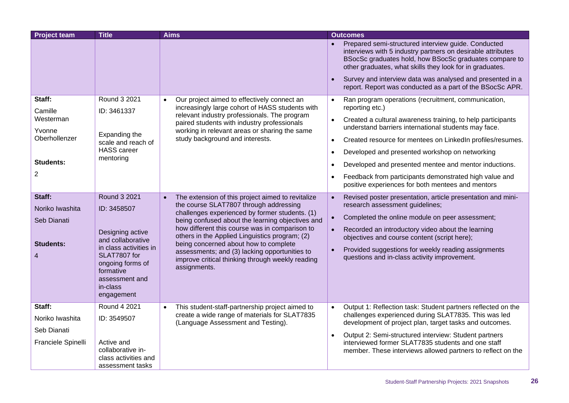| <b>Project team</b>                                                            | <b>Title</b>                                                                                                                                                                                | <b>Aims</b>                                                                                                                                                                                                                                                                                                                                                                                                                                                         | <b>Outcomes</b>                                                                                                                                                                                                                                                                                                                                                            |
|--------------------------------------------------------------------------------|---------------------------------------------------------------------------------------------------------------------------------------------------------------------------------------------|---------------------------------------------------------------------------------------------------------------------------------------------------------------------------------------------------------------------------------------------------------------------------------------------------------------------------------------------------------------------------------------------------------------------------------------------------------------------|----------------------------------------------------------------------------------------------------------------------------------------------------------------------------------------------------------------------------------------------------------------------------------------------------------------------------------------------------------------------------|
|                                                                                |                                                                                                                                                                                             |                                                                                                                                                                                                                                                                                                                                                                                                                                                                     | Prepared semi-structured interview guide. Conducted<br>interviews with 5 industry partners on desirable attributes<br>BSocSc graduates hold, how BSocSc graduates compare to<br>other graduates, what skills they look for in graduates.                                                                                                                                   |
|                                                                                |                                                                                                                                                                                             |                                                                                                                                                                                                                                                                                                                                                                                                                                                                     | Survey and interview data was analysed and presented in a<br>report. Report was conducted as a part of the BSocSc APR.                                                                                                                                                                                                                                                     |
| Staff:<br>Camille                                                              | Round 3 2021<br>ID: 3461337                                                                                                                                                                 | Our project aimed to effectively connect an<br>$\bullet$<br>increasingly large cohort of HASS students with                                                                                                                                                                                                                                                                                                                                                         | Ran program operations (recruitment, communication,<br>$\bullet$<br>reporting etc.)                                                                                                                                                                                                                                                                                        |
| Westerman                                                                      |                                                                                                                                                                                             | relevant industry professionals. The program<br>paired students with industry professionals                                                                                                                                                                                                                                                                                                                                                                         | Created a cultural awareness training, to help participants<br>understand barriers international students may face.                                                                                                                                                                                                                                                        |
| Yvonne<br>Oberhollenzer                                                        | Expanding the<br>scale and reach of                                                                                                                                                         | working in relevant areas or sharing the same<br>study background and interests.                                                                                                                                                                                                                                                                                                                                                                                    | Created resource for mentees on LinkedIn profiles/resumes.<br>$\bullet$                                                                                                                                                                                                                                                                                                    |
|                                                                                | <b>HASS</b> career<br>mentoring                                                                                                                                                             |                                                                                                                                                                                                                                                                                                                                                                                                                                                                     | Developed and presented workshop on networking<br>$\bullet$                                                                                                                                                                                                                                                                                                                |
| <b>Students:</b>                                                               |                                                                                                                                                                                             |                                                                                                                                                                                                                                                                                                                                                                                                                                                                     | Developed and presented mentee and mentor inductions.<br>$\bullet$                                                                                                                                                                                                                                                                                                         |
| $\overline{2}$                                                                 |                                                                                                                                                                                             |                                                                                                                                                                                                                                                                                                                                                                                                                                                                     | Feedback from participants demonstrated high value and<br>positive experiences for both mentees and mentors                                                                                                                                                                                                                                                                |
| Staff:<br>Noriko Iwashita<br>Seb Dianati<br><b>Students:</b><br>$\overline{4}$ | Round 3 2021<br>ID: 3458507<br>Designing active<br>and collaborative<br>in class activities in<br>SLAT7807 for<br>ongoing forms of<br>formative<br>assessment and<br>in-class<br>engagement | The extension of this project aimed to revitalize<br>the course SLAT7807 through addressing<br>challenges experienced by former students. (1)<br>being confused about the learning objectives and<br>how different this course was in comparison to<br>others in the Applied Linguistics program; (2)<br>being concerned about how to complete<br>assessments; and (3) lacking opportunities to<br>improve critical thinking through weekly reading<br>assignments. | Revised poster presentation, article presentation and mini-<br>research assessment guidelines;<br>Completed the online module on peer assessment;<br>Recorded an introductory video about the learning<br>objectives and course content (script here);<br>Provided suggestions for weekly reading assignments<br>$\bullet$<br>questions and in-class activity improvement. |
| Staff:<br>Noriko Iwashita                                                      | Round 4 2021<br>ID: 3549507                                                                                                                                                                 | This student-staff-partnership project aimed to<br>$\bullet$<br>create a wide range of materials for SLAT7835<br>(Language Assessment and Testing).                                                                                                                                                                                                                                                                                                                 | Output 1: Reflection task: Student partners reflected on the<br>challenges experienced during SLAT7835. This was led<br>development of project plan, target tasks and outcomes.                                                                                                                                                                                            |
| Seb Dianati<br>Franciele Spinelli                                              | Active and<br>collaborative in-<br>class activities and<br>assessment tasks                                                                                                                 |                                                                                                                                                                                                                                                                                                                                                                                                                                                                     | Output 2: Semi-structured interview: Student partners<br>interviewed former SLAT7835 students and one staff<br>member. These interviews allowed partners to reflect on the                                                                                                                                                                                                 |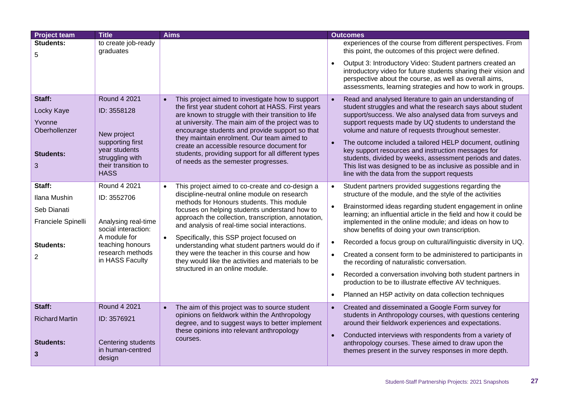| <b>Project team</b>     | <b>Title</b>                               | <b>Aims</b>                                                                                               | <b>Outcomes</b>                                                                                                                                                                                                                                       |
|-------------------------|--------------------------------------------|-----------------------------------------------------------------------------------------------------------|-------------------------------------------------------------------------------------------------------------------------------------------------------------------------------------------------------------------------------------------------------|
| <b>Students:</b><br>5   | to create job-ready<br>graduates           |                                                                                                           | experiences of the course from different perspectives. From<br>this point, the outcomes of this project were defined.                                                                                                                                 |
|                         |                                            |                                                                                                           | Output 3: Introductory Video: Student partners created an<br>introductory video for future students sharing their vision and<br>perspective about the course, as well as overall aims,<br>assessments, learning strategies and how to work in groups. |
| Staff:                  | <b>Round 4 2021</b>                        | This project aimed to investigate how to support<br>$\bullet$                                             | Read and analysed literature to gain an understanding of                                                                                                                                                                                              |
| Locky Kaye              | ID: 3558128                                | the first year student cohort at HASS. First years<br>are known to struggle with their transition to life | student struggles and what the research says about student<br>support/success. We also analysed data from surveys and                                                                                                                                 |
| Yvonne<br>Oberhollenzer |                                            | at university. The main aim of the project was to<br>encourage students and provide support so that       | support requests made by UQ students to understand the<br>volume and nature of requests throughout semester.                                                                                                                                          |
|                         | New project<br>supporting first            | they maintain enrolment. Our team aimed to                                                                | The outcome included a tailored HELP document, outlining                                                                                                                                                                                              |
| <b>Students:</b>        | year students                              | create an accessible resource document for<br>students, providing support for all different types         | key support resources and instruction messages for                                                                                                                                                                                                    |
| 3                       | struggling with<br>their transition to     | of needs as the semester progresses.                                                                      | students, divided by weeks, assessment periods and dates.<br>This list was designed to be as inclusive as possible and in                                                                                                                             |
|                         | <b>HASS</b>                                |                                                                                                           | line with the data from the support requests                                                                                                                                                                                                          |
| Staff:                  | <b>Round 4 2021</b>                        | This project aimed to co-create and co-design a                                                           | Student partners provided suggestions regarding the                                                                                                                                                                                                   |
| Ilana Mushin            | ID: 3552706                                | discipline-neutral online module on research<br>methods for Honours students. This module                 | structure of the module, and the style of the activities                                                                                                                                                                                              |
| Seb Dianati             |                                            | focuses on helping students understand how to                                                             | Brainstormed ideas regarding student engagement in online<br>learning; an influential article in the field and how it could be                                                                                                                        |
| Franciele Spinelli      | Analysing real-time<br>social interaction: | approach the collection, transcription, annotation,<br>and analysis of real-time social interactions.     | implemented in the online module; and ideas on how to<br>show benefits of doing your own transcription.                                                                                                                                               |
|                         | A module for                               | Specifically, this SSP project focused on<br>$\bullet$                                                    | Recorded a focus group on cultural/linguistic diversity in UQ.                                                                                                                                                                                        |
| <b>Students:</b>        | teaching honours<br>research methods       | understanding what student partners would do if<br>they were the teacher in this course and how           | Created a consent form to be administered to participants in                                                                                                                                                                                          |
| 2                       | in HASS Faculty                            | they would like the activities and materials to be                                                        | the recording of naturalistic conversation.                                                                                                                                                                                                           |
|                         |                                            | structured in an online module.                                                                           | Recorded a conversation involving both student partners in<br>$\bullet$<br>production to be to illustrate effective AV techniques.                                                                                                                    |
|                         |                                            |                                                                                                           | Planned an H5P activity on data collection techniques                                                                                                                                                                                                 |
| Staff:                  | <b>Round 4 2021</b>                        | The aim of this project was to source student<br>$\bullet$                                                | Created and disseminated a Google Form survey for                                                                                                                                                                                                     |
| <b>Richard Martin</b>   | ID: 3576921                                | opinions on fieldwork within the Anthropology<br>degree, and to suggest ways to better implement          | students in Anthropology courses, with questions centering<br>around their fieldwork experiences and expectations.                                                                                                                                    |
|                         |                                            | these opinions into relevant anthropology<br>courses.                                                     | Conducted interviews with respondents from a variety of                                                                                                                                                                                               |
| <b>Students:</b>        | Centering students<br>in human-centred     |                                                                                                           | anthropology courses. These aimed to draw upon the<br>themes present in the survey responses in more depth.                                                                                                                                           |
| 3                       | design                                     |                                                                                                           |                                                                                                                                                                                                                                                       |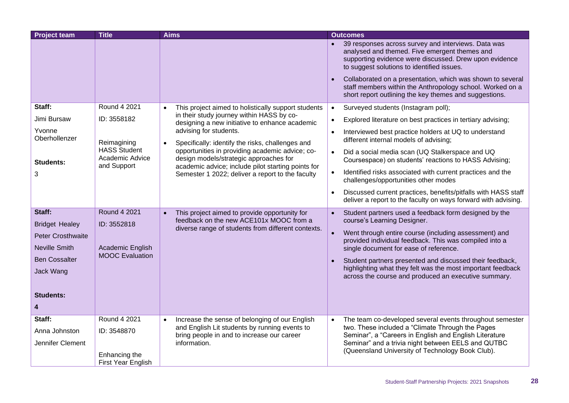| <b>Project team</b>      | <b>Title</b>                                          | <b>Aims</b>                                                                                            | <b>Outcomes</b>                                                                                                                                                                                              |
|--------------------------|-------------------------------------------------------|--------------------------------------------------------------------------------------------------------|--------------------------------------------------------------------------------------------------------------------------------------------------------------------------------------------------------------|
|                          |                                                       |                                                                                                        | 39 responses across survey and interviews. Data was<br>analysed and themed. Five emergent themes and<br>supporting evidence were discussed. Drew upon evidence<br>to suggest solutions to identified issues. |
|                          |                                                       |                                                                                                        | Collaborated on a presentation, which was shown to several<br>staff members within the Anthropology school. Worked on a<br>short report outlining the key themes and suggestions.                            |
| Staff:                   | Round 4 2021                                          | This project aimed to holistically support students<br>$\bullet$                                       | Surveyed students (Instagram poll);<br>$\bullet$                                                                                                                                                             |
| Jimi Bursaw              | ID: 3558182                                           | in their study journey within HASS by co-<br>designing a new initiative to enhance academic            | Explored literature on best practices in tertiary advising;                                                                                                                                                  |
| Yvonne<br>Oberhollenzer  | Reimagining                                           | advising for students.<br>Specifically: identify the risks, challenges and<br>$\bullet$                | Interviewed best practice holders at UQ to understand<br>different internal models of advising;                                                                                                              |
| <b>Students:</b>         | <b>HASS Student</b><br>Academic Advice<br>and Support | opportunities in providing academic advice; co-<br>design models/strategic approaches for              | Did a social media scan (UQ Stalkerspace and UQ<br>$\bullet$<br>Coursespace) on students' reactions to HASS Advising;                                                                                        |
| 3                        |                                                       | academic advice; include pilot starting points for<br>Semester 1 2022; deliver a report to the faculty | Identified risks associated with current practices and the<br>challenges/opportunities other modes                                                                                                           |
|                          |                                                       |                                                                                                        | Discussed current practices, benefits/pitfalls with HASS staff<br>$\bullet$<br>deliver a report to the faculty on ways forward with advising.                                                                |
| Staff:                   | <b>Round 4 2021</b>                                   | This project aimed to provide opportunity for<br>$\bullet$                                             | Student partners used a feedback form designed by the<br>$\bullet$                                                                                                                                           |
| <b>Bridget Healey</b>    | ID: 3552818                                           | feedback on the new ACE101x MOOC from a<br>diverse range of students from different contexts.          | course's Learning Designer.                                                                                                                                                                                  |
| <b>Peter Crosthwaite</b> |                                                       |                                                                                                        | Went through entire course (including assessment) and<br>provided individual feedback. This was compiled into a                                                                                              |
| <b>Neville Smith</b>     | Academic English                                      |                                                                                                        | single document for ease of reference.                                                                                                                                                                       |
| <b>Ben Cossalter</b>     | <b>MOOC</b> Evaluation                                |                                                                                                        | Student partners presented and discussed their feedback,                                                                                                                                                     |
| Jack Wang                |                                                       |                                                                                                        | highlighting what they felt was the most important feedback<br>across the course and produced an executive summary.                                                                                          |
| <b>Students:</b>         |                                                       |                                                                                                        |                                                                                                                                                                                                              |
|                          |                                                       |                                                                                                        |                                                                                                                                                                                                              |
| Staff:                   | Round 4 2021                                          | Increase the sense of belonging of our English<br>$\bullet$                                            | The team co-developed several events throughout semester<br>$\bullet$                                                                                                                                        |
| Anna Johnston            | ID: 3548870                                           | and English Lit students by running events to<br>bring people in and to increase our career            | two. These included a "Climate Through the Pages<br>Seminar", a "Careers in English and English Literature                                                                                                   |
| Jennifer Clement         |                                                       | information.                                                                                           | Seminar" and a trivia night between EELS and QUTBC                                                                                                                                                           |
|                          | Enhancing the<br>First Year English                   |                                                                                                        | (Queensland University of Technology Book Club).                                                                                                                                                             |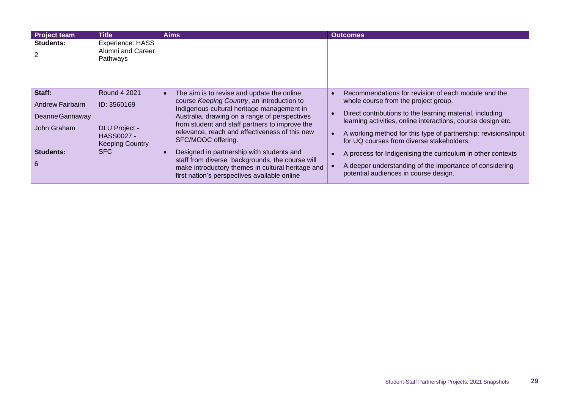| <b>Project team</b>                                                                   | <b>Title</b>                                                                                              | <b>Aims</b>                                                                                                                                                                                                                                                                                                                                                                                                                                                                                                            | <b>Outcomes</b>                                                                                                                                                                                                                                                                                                                                                                                                                                                                                           |
|---------------------------------------------------------------------------------------|-----------------------------------------------------------------------------------------------------------|------------------------------------------------------------------------------------------------------------------------------------------------------------------------------------------------------------------------------------------------------------------------------------------------------------------------------------------------------------------------------------------------------------------------------------------------------------------------------------------------------------------------|-----------------------------------------------------------------------------------------------------------------------------------------------------------------------------------------------------------------------------------------------------------------------------------------------------------------------------------------------------------------------------------------------------------------------------------------------------------------------------------------------------------|
| Students:                                                                             | Experience: HASS<br>Alumni and Career<br>Pathways                                                         |                                                                                                                                                                                                                                                                                                                                                                                                                                                                                                                        |                                                                                                                                                                                                                                                                                                                                                                                                                                                                                                           |
| Staff:<br>Andrew Fairbairn<br>Deanne Gannaway<br>John Graham<br><b>Students:</b><br>6 | Round 4 2021<br>ID: 3560169<br><b>DLU Project -</b><br>HASS0027 -<br><b>Keeping Country</b><br><b>SFC</b> | The aim is to revise and update the online<br>course Keeping Country, an introduction to<br>Indigenous cultural heritage management in<br>Australia, drawing on a range of perspectives<br>from student and staff partners to improve the<br>relevance, reach and effectiveness of this new<br>SFC/MOOC offering.<br>Designed in partnership with students and<br>staff from diverse backgrounds, the course will<br>make introductory themes in cultural heritage and<br>first nation's perspectives available online | Recommendations for revision of each module and the<br>whole course from the project group.<br>Direct contributions to the learning material, including<br>learning activities, online interactions, course design etc.<br>A working method for this type of partnership: revisions/input<br>for UQ courses from diverse stakeholders.<br>A process for Indigenising the curriculum in other contexts<br>A deeper understanding of the importance of considering<br>potential audiences in course design. |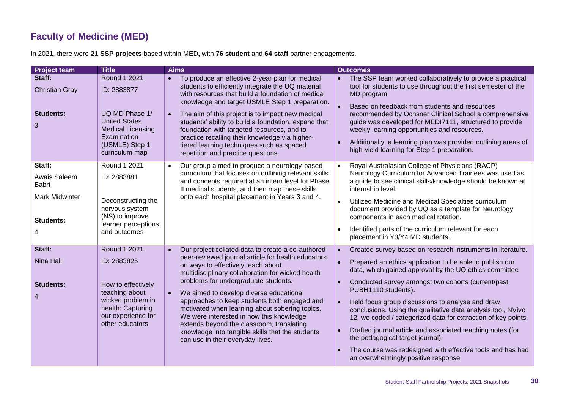## **Faculty of Medicine (MED)**

|  |  | In 2021, there were 21 SSP projects based within MED, with 76 student and 64 staff partner engagements. |  |  |
|--|--|---------------------------------------------------------------------------------------------------------|--|--|
|--|--|---------------------------------------------------------------------------------------------------------|--|--|

<span id="page-29-0"></span>

| <b>Project team</b>                                                   | <b>Title</b>                                                                                                                                           | <b>Aims</b>                                                                                                                                                                                                                                                                                                                                                                                                                                                                                                                                                              | <b>Outcomes</b>                                                                                                                                                                                                                                                                                                                                                                                                                                                                                                                                                                                                                                                          |
|-----------------------------------------------------------------------|--------------------------------------------------------------------------------------------------------------------------------------------------------|--------------------------------------------------------------------------------------------------------------------------------------------------------------------------------------------------------------------------------------------------------------------------------------------------------------------------------------------------------------------------------------------------------------------------------------------------------------------------------------------------------------------------------------------------------------------------|--------------------------------------------------------------------------------------------------------------------------------------------------------------------------------------------------------------------------------------------------------------------------------------------------------------------------------------------------------------------------------------------------------------------------------------------------------------------------------------------------------------------------------------------------------------------------------------------------------------------------------------------------------------------------|
| Staff:<br><b>Christian Gray</b><br><b>Students:</b><br>3              | Round 1 2021<br>ID: 2883877<br>UQ MD Phase 1/<br><b>United States</b><br><b>Medical Licensing</b><br>Examination<br>(USMLE) Step 1<br>curriculum map   | To produce an effective 2-year plan for medical<br>$\bullet$<br>students to efficiently integrate the UQ material<br>with resources that build a foundation of medical<br>knowledge and target USMLE Step 1 preparation.<br>The aim of this project is to impact new medical<br>students' ability to build a foundation, expand that<br>foundation with targeted resources, and to<br>practice recalling their knowledge via higher-<br>tiered learning techniques such as spaced<br>repetition and practice questions.                                                  | The SSP team worked collaboratively to provide a practical<br>$\bullet$<br>tool for students to use throughout the first semester of the<br>MD program.<br>Based on feedback from students and resources<br>recommended by Ochsner Clinical School a comprehensive<br>guide was developed for MEDI7111, structured to provide<br>weekly learning opportunities and resources.<br>Additionally, a learning plan was provided outlining areas of<br>high-yield learning for Step 1 preparation.                                                                                                                                                                            |
| Staff:<br>Awais Saleem<br>Babri<br><b>Mark Midwinter</b><br>Students: | Round 1 2021<br>ID: 2883881<br>Deconstructing the<br>nervous system<br>(NS) to improve<br>learner perceptions<br>and outcomes                          | Our group aimed to produce a neurology-based<br>$\bullet$<br>curriculum that focuses on outlining relevant skills<br>and concepts required at an intern level for Phase<br>Il medical students, and then map these skills<br>onto each hospital placement in Years 3 and 4.                                                                                                                                                                                                                                                                                              | Royal Australasian College of Physicians (RACP)<br>$\bullet$<br>Neurology Curriculum for Advanced Trainees was used as<br>a guide to see clinical skills/knowledge should be known at<br>internship level.<br>Utilized Medicine and Medical Specialties curriculum<br>document provided by UQ as a template for Neurology<br>components in each medical rotation.<br>Identified parts of the curriculum relevant for each<br>placement in Y3/Y4 MD students.                                                                                                                                                                                                             |
| Staff:<br>Nina Hall<br><b>Students:</b><br>$\overline{4}$             | Round 1 2021<br>ID: 2883825<br>How to effectively<br>teaching about<br>wicked problem in<br>health: Capturing<br>our experience for<br>other educators | Our project collated data to create a co-authored<br>peer-reviewed journal article for health educators<br>on ways to effectively teach about<br>multidisciplinary collaboration for wicked health<br>problems for undergraduate students.<br>We aimed to develop diverse educational<br>approaches to keep students both engaged and<br>motivated when learning about sobering topics.<br>We were interested in how this knowledge<br>extends beyond the classroom, translating<br>knowledge into tangible skills that the students<br>can use in their everyday lives. | Created survey based on research instruments in literature.<br>$\bullet$<br>Prepared an ethics application to be able to publish our<br>data, which gained approval by the UQ ethics committee<br>Conducted survey amongst two cohorts (current/past<br>PUBH1110 students).<br>Held focus group discussions to analyse and draw<br>conclusions. Using the qualitative data analysis tool, NVivo<br>12, we coded / categorized data for extraction of key points.<br>Drafted journal article and associated teaching notes (for<br>the pedagogical target journal).<br>The course was redesigned with effective tools and has had<br>an overwhelmingly positive response. |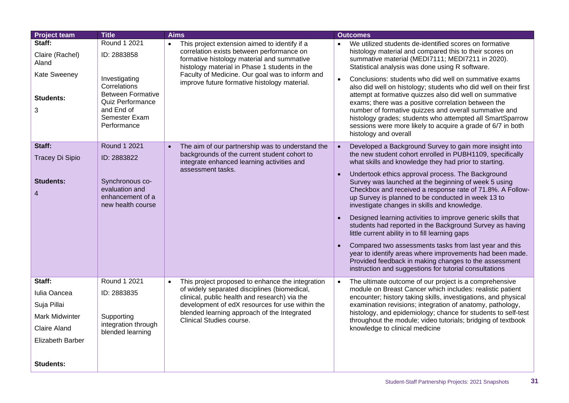| <b>Project team</b>                                                                                                           | <b>Title</b>                                                                                                                                               | <b>Aims</b>                                                                                                                                                                                                                                                                                  | <b>Outcomes</b>                                                                                                                                                                                                                                                                                                                                                                                                                                                                                                                                                                                                                                                                                                                                                                                                                                                                      |
|-------------------------------------------------------------------------------------------------------------------------------|------------------------------------------------------------------------------------------------------------------------------------------------------------|----------------------------------------------------------------------------------------------------------------------------------------------------------------------------------------------------------------------------------------------------------------------------------------------|--------------------------------------------------------------------------------------------------------------------------------------------------------------------------------------------------------------------------------------------------------------------------------------------------------------------------------------------------------------------------------------------------------------------------------------------------------------------------------------------------------------------------------------------------------------------------------------------------------------------------------------------------------------------------------------------------------------------------------------------------------------------------------------------------------------------------------------------------------------------------------------|
| Staff:<br>Claire (Rachel)<br>Aland<br><b>Kate Sweeney</b><br><b>Students:</b><br>3                                            | Round 1 2021<br>ID: 2883858<br>Investigating<br>Correlations<br><b>Between Formative</b><br>Quiz Performance<br>and End of<br>Semester Exam<br>Performance | This project extension aimed to identify if a<br>correlation exists between performance on<br>formative histology material and summative<br>histology material in Phase 1 students in the<br>Faculty of Medicine. Our goal was to inform and<br>improve future formative histology material. | We utilized students de-identified scores on formative<br>histology material and compared this to their scores on<br>summative material (MEDI7111; MEDI7211 in 2020).<br>Statistical analysis was done using R software.<br>Conclusions: students who did well on summative exams<br>$\bullet$<br>also did well on histology; students who did well on their first<br>attempt at formative quizzes also did well on summative<br>exams; there was a positive correlation between the<br>number of formative quizzes and overall summative and<br>histology grades; students who attempted all SmartSparrow<br>sessions were more likely to acquire a grade of 6/7 in both<br>histology and overall                                                                                                                                                                                   |
| Staff:<br>Tracey Di Sipio<br><b>Students:</b><br>$\overline{4}$                                                               | Round 1 2021<br>ID: 2883822<br>Synchronous co-<br>evaluation and<br>enhancement of a<br>new health course                                                  | The aim of our partnership was to understand the<br>$\bullet$<br>backgrounds of the current student cohort to<br>integrate enhanced learning activities and<br>assessment tasks.                                                                                                             | Developed a Background Survey to gain more insight into<br>the new student cohort enrolled in PUBH1109, specifically<br>what skills and knowledge they had prior to starting.<br>Undertook ethics approval process. The Background<br>Survey was launched at the beginning of week 5 using<br>Checkbox and received a response rate of 71.8%. A Follow-<br>up Survey is planned to be conducted in week 13 to<br>investigate changes in skills and knowledge.<br>Designed learning activities to improve generic skills that<br>students had reported in the Background Survey as having<br>little current ability in to fill learning gaps<br>Compared two assessments tasks from last year and this<br>year to identify areas where improvements had been made.<br>Provided feedback in making changes to the assessment<br>instruction and suggestions for tutorial consultations |
| Staff:<br>Iulia Oancea<br>Suja Pillai<br><b>Mark Midwinter</b><br><b>Claire Aland</b><br>Elizabeth Barber<br><b>Students:</b> | Round 1 2021<br>ID: 2883835<br>Supporting<br>integration through<br>blended learning                                                                       | This project proposed to enhance the integration<br>$\bullet$<br>of widely separated disciplines (biomedical,<br>clinical, public health and research) via the<br>development of edX resources for use within the<br>blended learning approach of the Integrated<br>Clinical Studies course. | The ultimate outcome of our project is a comprehensive<br>$\bullet$<br>module on Breast Cancer which includes: realistic patient<br>encounter; history taking skills, investigations, and physical<br>examination revisions; integration of anatomy, pathology,<br>histology, and epidemiology; chance for students to self-test<br>throughout the module; video tutorials; bridging of textbook<br>knowledge to clinical medicine                                                                                                                                                                                                                                                                                                                                                                                                                                                   |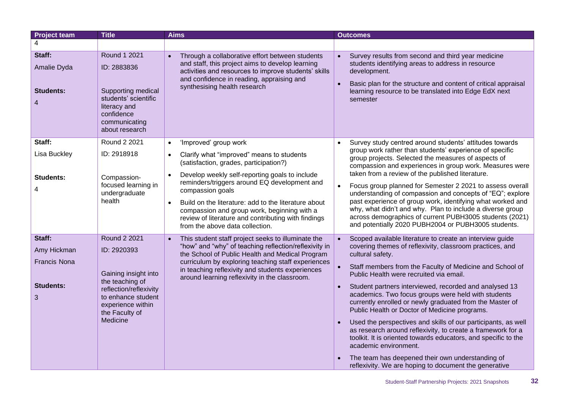| <b>Project team</b>                            | <b>Title</b>                                                                                                                               | <b>Aims</b>                                                                                                                                                                                                                                                                                                                                                                                                                                       | <b>Outcomes</b>                                                                                                                                                                                                                                                                                                                                                                                                                                                                                                                                                                                      |
|------------------------------------------------|--------------------------------------------------------------------------------------------------------------------------------------------|---------------------------------------------------------------------------------------------------------------------------------------------------------------------------------------------------------------------------------------------------------------------------------------------------------------------------------------------------------------------------------------------------------------------------------------------------|------------------------------------------------------------------------------------------------------------------------------------------------------------------------------------------------------------------------------------------------------------------------------------------------------------------------------------------------------------------------------------------------------------------------------------------------------------------------------------------------------------------------------------------------------------------------------------------------------|
| 4                                              |                                                                                                                                            |                                                                                                                                                                                                                                                                                                                                                                                                                                                   |                                                                                                                                                                                                                                                                                                                                                                                                                                                                                                                                                                                                      |
| Staff:<br>Amalie Dyda<br><b>Students:</b><br>4 | Round 1 2021<br>ID: 2883836<br>Supporting medical<br>students' scientific<br>literacy and<br>confidence<br>communicating<br>about research | Through a collaborative effort between students<br>$\bullet$<br>and staff, this project aims to develop learning<br>activities and resources to improve students' skills<br>and confidence in reading, appraising and<br>synthesising health research                                                                                                                                                                                             | Survey results from second and third year medicine<br>students identifying areas to address in resource<br>development.<br>Basic plan for the structure and content of critical appraisal<br>learning resource to be translated into Edge EdX next<br>semester                                                                                                                                                                                                                                                                                                                                       |
| Staff:                                         | Round 2 2021                                                                                                                               | 'Improved' group work<br>$\bullet$                                                                                                                                                                                                                                                                                                                                                                                                                | Survey study centred around students' attitudes towards                                                                                                                                                                                                                                                                                                                                                                                                                                                                                                                                              |
| Lisa Buckley<br>Students:<br>4                 | ID: 2918918<br>Compassion-<br>focused learning in<br>undergraduate<br>health                                                               | Clarify what "improved" means to students<br>$\bullet$<br>(satisfaction, grades, participation?)<br>Develop weekly self-reporting goals to include<br>$\bullet$<br>reminders/triggers around EQ development and<br>compassion goals<br>Build on the literature: add to the literature about<br>$\bullet$<br>compassion and group work, beginning with a<br>review of literature and contributing with findings<br>from the above data collection. | group work rather than students' experience of specific<br>group projects. Selected the measures of aspects of<br>compassion and experiences in group work. Measures were<br>taken from a review of the published literature.<br>Focus group planned for Semester 2 2021 to assess overall<br>understanding of compassion and concepts of "EQ"; explore<br>past experience of group work, identifying what worked and<br>why, what didn't and why. Plan to include a diverse group<br>across demographics of current PUBH3005 students (2021)<br>and potentially 2020 PUBH2004 or PUBH3005 students. |
| Staff:                                         | Round 2 2021                                                                                                                               | This student staff project seeks to illuminate the<br>$\bullet$                                                                                                                                                                                                                                                                                                                                                                                   | Scoped available literature to create an interview guide                                                                                                                                                                                                                                                                                                                                                                                                                                                                                                                                             |
| Amy Hickman                                    | ID: 2920393                                                                                                                                | "how" and "why" of teaching reflection/reflexivity in<br>the School of Public Health and Medical Program                                                                                                                                                                                                                                                                                                                                          | covering themes of reflexivity, classroom practices, and<br>cultural safety.                                                                                                                                                                                                                                                                                                                                                                                                                                                                                                                         |
| <b>Francis Nona</b>                            | Gaining insight into                                                                                                                       | curriculum by exploring teaching staff experiences<br>in teaching reflexivity and students experiences<br>around learning reflexivity in the classroom.                                                                                                                                                                                                                                                                                           | Staff members from the Faculty of Medicine and School of<br>Public Health were recruited via email.                                                                                                                                                                                                                                                                                                                                                                                                                                                                                                  |
| Students:<br>3                                 | the teaching of<br>reflection/reflexivity<br>to enhance student<br>experience within<br>the Faculty of                                     |                                                                                                                                                                                                                                                                                                                                                                                                                                                   | Student partners interviewed, recorded and analysed 13<br>$\bullet$<br>academics. Two focus groups were held with students<br>currently enrolled or newly graduated from the Master of<br>Public Health or Doctor of Medicine programs.                                                                                                                                                                                                                                                                                                                                                              |
|                                                | Medicine                                                                                                                                   |                                                                                                                                                                                                                                                                                                                                                                                                                                                   | Used the perspectives and skills of our participants, as well<br>as research around reflexivity, to create a framework for a<br>toolkit. It is oriented towards educators, and specific to the<br>academic environment.                                                                                                                                                                                                                                                                                                                                                                              |
|                                                |                                                                                                                                            |                                                                                                                                                                                                                                                                                                                                                                                                                                                   | The team has deepened their own understanding of<br>reflexivity. We are hoping to document the generative                                                                                                                                                                                                                                                                                                                                                                                                                                                                                            |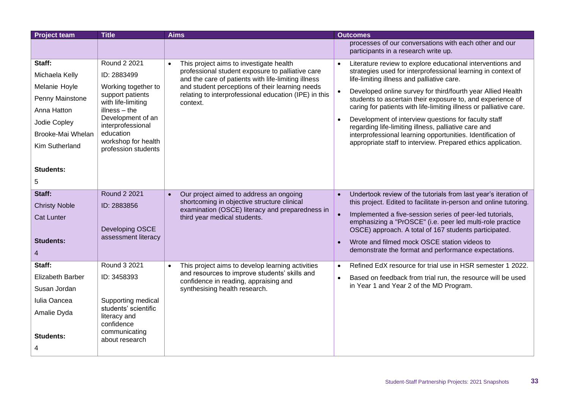| processes of our conversations with each other and our                                                                                                                                                                                                 |  |
|--------------------------------------------------------------------------------------------------------------------------------------------------------------------------------------------------------------------------------------------------------|--|
| participants in a research write up.                                                                                                                                                                                                                   |  |
| Round 2 2021<br>Staff:<br>This project aims to investigate health<br>Literature review to explore educational interventions and<br>$\bullet$                                                                                                           |  |
| professional student exposure to palliative care<br>strategies used for interprofessional learning in context of<br>Michaela Kelly<br>ID: 2883499<br>and the care of patients with life-limiting illness<br>life-limiting illness and palliative care. |  |
| and student perceptions of their learning needs<br>Melanie Hoyle<br>Working together to<br>Developed online survey for third/fourth year Allied Health                                                                                                 |  |
| support patients<br>relating to interprofessional education (IPE) in this<br>Penny Mainstone<br>students to ascertain their exposure to, and experience of<br>with life-limiting<br>context.                                                           |  |
| caring for patients with life-limiting illness or palliative care.<br>$illness - the$<br>Anna Hatton                                                                                                                                                   |  |
| Development of an<br>Development of interview questions for faculty staff<br>$\bullet$<br>Jodie Copley<br>interprofessional<br>regarding life-limiting illness, palliative care and                                                                    |  |
| education<br>Brooke-Mai Whelan<br>interprofessional learning opportunities. Identification of                                                                                                                                                          |  |
| workshop for health<br>appropriate staff to interview. Prepared ethics application.<br>Kim Sutherland<br>profession students                                                                                                                           |  |
|                                                                                                                                                                                                                                                        |  |
| <b>Students:</b>                                                                                                                                                                                                                                       |  |
| 5                                                                                                                                                                                                                                                      |  |
| Staff:<br>Round 2 2021<br>Our project aimed to address an ongoing<br>Undertook review of the tutorials from last year's iteration of<br>$\bullet$                                                                                                      |  |
| shortcoming in objective structure clinical<br>this project. Edited to facilitate in-person and online tutoring.<br><b>Christy Noble</b><br>ID: 2883856<br>examination (OSCE) literacy and preparedness in                                             |  |
| Implemented a five-session series of peer-led tutorials,<br><b>Cat Lunter</b><br>third year medical students.<br>emphasizing a "PrOSCE" (i.e. peer led multi-role practice                                                                             |  |
| Developing OSCE<br>OSCE) approach. A total of 167 students participated.                                                                                                                                                                               |  |
| assessment literacy<br><b>Students:</b><br>Wrote and filmed mock OSCE station videos to<br>$\bullet$                                                                                                                                                   |  |
| demonstrate the format and performance expectations.<br>4                                                                                                                                                                                              |  |
| <b>Round 3 2021</b><br>Staff:<br>Refined EdX resource for trial use in HSR semester 1 2022.<br>This project aims to develop learning activities<br>$\bullet$<br>$\bullet$                                                                              |  |
| and resources to improve students' skills and<br><b>Elizabeth Barber</b><br>ID: 3458393<br>Based on feedback from trial run, the resource will be used<br>confidence in reading, appraising and                                                        |  |
| in Year 1 and Year 2 of the MD Program.<br>synthesising health research.<br>Susan Jordan                                                                                                                                                               |  |
| Iulia Oancea<br>Supporting medical                                                                                                                                                                                                                     |  |
| students' scientific<br>Amalie Dyda<br>literacy and                                                                                                                                                                                                    |  |
| confidence                                                                                                                                                                                                                                             |  |
| communicating<br><b>Students:</b><br>about research                                                                                                                                                                                                    |  |
| 4                                                                                                                                                                                                                                                      |  |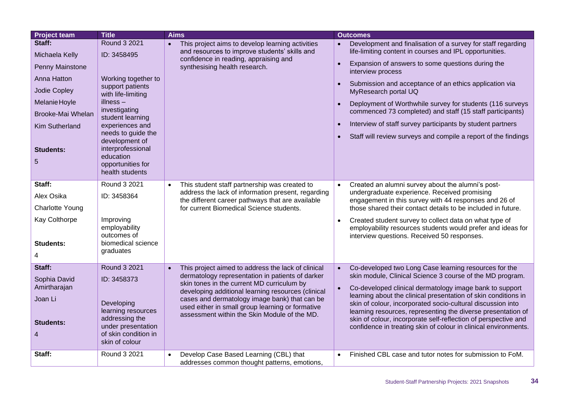| <b>Project team</b>          | <b>Title</b>                                                                             | <b>Aims</b>                                                                                                                                                                                                                                                                                               | <b>Outcomes</b>                                                                                                                                                                   |
|------------------------------|------------------------------------------------------------------------------------------|-----------------------------------------------------------------------------------------------------------------------------------------------------------------------------------------------------------------------------------------------------------------------------------------------------------|-----------------------------------------------------------------------------------------------------------------------------------------------------------------------------------|
| Staff:<br>Michaela Kelly     | Round 3 2021<br>ID: 3458495                                                              | • This project aims to develop learning activities<br>and resources to improve students' skills and                                                                                                                                                                                                       | Development and finalisation of a survey for staff regarding<br>life-limiting content in courses and IPL opportunities.                                                           |
| Penny Mainstone              |                                                                                          | confidence in reading, appraising and<br>synthesising health research.                                                                                                                                                                                                                                    | Expansion of answers to some questions during the<br>$\bullet$<br>interview process                                                                                               |
| Anna Hatton                  | Working together to                                                                      |                                                                                                                                                                                                                                                                                                           | Submission and acceptance of an ethics application via                                                                                                                            |
| Jodie Copley                 | support patients<br>with life-limiting                                                   |                                                                                                                                                                                                                                                                                                           | MyResearch portal UQ                                                                                                                                                              |
| Melanie Hoyle                | $illness -$                                                                              |                                                                                                                                                                                                                                                                                                           | Deployment of Worthwhile survey for students (116 surveys<br>$\bullet$                                                                                                            |
| Brooke-Mai Whelan            | investigating<br>student learning                                                        |                                                                                                                                                                                                                                                                                                           | commenced 73 completed) and staff (15 staff participants)                                                                                                                         |
| <b>Kim Sutherland</b>        | experiences and<br>needs to guide the                                                    |                                                                                                                                                                                                                                                                                                           | Interview of staff survey participants by student partners<br>$\bullet$                                                                                                           |
| <b>Students:</b><br>5        | development of<br>interprofessional<br>education<br>opportunities for<br>health students |                                                                                                                                                                                                                                                                                                           | Staff will review surveys and compile a report of the findings                                                                                                                    |
| Staff:                       | Round 3 2021                                                                             | This student staff partnership was created to<br>$\bullet$                                                                                                                                                                                                                                                | Created an alumni survey about the alumni's post-<br>$\bullet$                                                                                                                    |
| Alex Osika                   | ID: 3458364                                                                              | address the lack of information present, regarding<br>the different career pathways that are available<br>for current Biomedical Science students.                                                                                                                                                        | undergraduate experience. Received promising<br>engagement in this survey with 44 responses and 26 of                                                                             |
| <b>Charlotte Young</b>       |                                                                                          |                                                                                                                                                                                                                                                                                                           | those shared their contact details to be included in future.                                                                                                                      |
| Kay Colthorpe                | Improving<br>employability<br>outcomes of                                                |                                                                                                                                                                                                                                                                                                           | Created student survey to collect data on what type of<br>$\bullet$<br>employability resources students would prefer and ideas for<br>interview questions. Received 50 responses. |
| <b>Students:</b>             | biomedical science                                                                       |                                                                                                                                                                                                                                                                                                           |                                                                                                                                                                                   |
| 4                            | graduates                                                                                |                                                                                                                                                                                                                                                                                                           |                                                                                                                                                                                   |
| Staff:                       | Round 3 2021                                                                             | This project aimed to address the lack of clinical<br>$\bullet$                                                                                                                                                                                                                                           | Co-developed two Long Case learning resources for the                                                                                                                             |
| Sophia David<br>Amirtharajan | ID: 3458373                                                                              | dermatology representation in patients of darker<br>skin tones in the current MD curriculum by<br>developing additional learning resources (clinical<br>cases and dermatology image bank) that can be<br>used either in small group learning or formative<br>assessment within the Skin Module of the MD. | skin module, Clinical Science 3 course of the MD program.<br>Co-developed clinical dermatology image bank to support                                                              |
| Joan Li                      | Developing                                                                               |                                                                                                                                                                                                                                                                                                           | learning about the clinical presentation of skin conditions in<br>skin of colour, incorporated socio-cultural discussion into                                                     |
|                              | learning resources                                                                       |                                                                                                                                                                                                                                                                                                           | learning resources, representing the diverse presentation of                                                                                                                      |
| <b>Students:</b>             | addressing the<br>under presentation                                                     |                                                                                                                                                                                                                                                                                                           | skin of colour, incorporate self-reflection of perspective and<br>confidence in treating skin of colour in clinical environments.                                                 |
| $\overline{4}$               | of skin condition in<br>skin of colour                                                   |                                                                                                                                                                                                                                                                                                           |                                                                                                                                                                                   |
| Staff:                       | Round 3 2021                                                                             | Develop Case Based Learning (CBL) that<br>$\bullet$<br>addresses common thought patterns, emotions,                                                                                                                                                                                                       | Finished CBL case and tutor notes for submission to FoM.<br>$\bullet$                                                                                                             |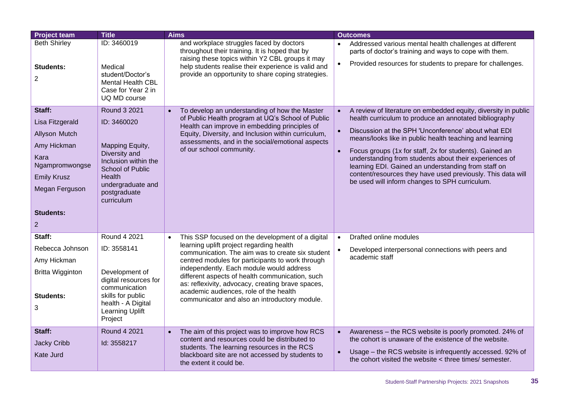| <b>Project team</b>                                                                                                                                               | <b>Title</b>                                                                                                                                                                                  | <b>Aims</b>                                                                                                                                                                                                                                                                                                                                                                                                                                                      | <b>Outcomes</b>                                                                                                                                                                                                                                                                                                                                                                                                                                                                                                                                      |
|-------------------------------------------------------------------------------------------------------------------------------------------------------------------|-----------------------------------------------------------------------------------------------------------------------------------------------------------------------------------------------|------------------------------------------------------------------------------------------------------------------------------------------------------------------------------------------------------------------------------------------------------------------------------------------------------------------------------------------------------------------------------------------------------------------------------------------------------------------|------------------------------------------------------------------------------------------------------------------------------------------------------------------------------------------------------------------------------------------------------------------------------------------------------------------------------------------------------------------------------------------------------------------------------------------------------------------------------------------------------------------------------------------------------|
| <b>Beth Shirley</b><br><b>Students:</b><br>$\overline{2}$                                                                                                         | ID: 3460019<br>Medical<br>student/Doctor's<br><b>Mental Health CBL</b><br>Case for Year 2 in<br>UQ MD course                                                                                  | and workplace struggles faced by doctors<br>throughout their training. It is hoped that by<br>raising these topics within Y2 CBL groups it may<br>help students realise their experience is valid and<br>provide an opportunity to share coping strategies.                                                                                                                                                                                                      | Addressed various mental health challenges at different<br>parts of doctor's training and ways to cope with them.<br>Provided resources for students to prepare for challenges.<br>$\bullet$                                                                                                                                                                                                                                                                                                                                                         |
| Staff:<br>Lisa Fitzgerald<br>Allyson Mutch<br>Amy Hickman<br>Kara<br>Ngampromwongse<br><b>Emily Krusz</b><br>Megan Ferguson<br><b>Students:</b><br>$\overline{2}$ | <b>Round 3 2021</b><br>ID: 3460020<br>Mapping Equity,<br>Diversity and<br>Inclusion within the<br><b>School of Public</b><br><b>Health</b><br>undergraduate and<br>postgraduate<br>curriculum | To develop an understanding of how the Master<br>of Public Health program at UQ's School of Public<br>Health can improve in embedding principles of<br>Equity, Diversity, and Inclusion within curriculum,<br>assessments, and in the social/emotional aspects<br>of our school community.                                                                                                                                                                       | A review of literature on embedded equity, diversity in public<br>health curriculum to produce an annotated bibliography<br>Discussion at the SPH 'Unconference' about what EDI<br>means/looks like in public health teaching and learning<br>Focus groups (1x for staff, 2x for students). Gained an<br>$\bullet$<br>understanding from students about their experiences of<br>learning EDI. Gained an understanding from staff on<br>content/resources they have used previously. This data will<br>be used will inform changes to SPH curriculum. |
| Staff:<br>Rebecca Johnson<br>Amy Hickman<br><b>Britta Wigginton</b><br><b>Students:</b><br>3                                                                      | Round 4 2021<br>ID: 3558141<br>Development of<br>digital resources for<br>communication<br>skills for public<br>health - A Digital<br><b>Learning Uplift</b><br>Project                       | This SSP focused on the development of a digital<br>$\bullet$<br>learning uplift project regarding health<br>communication. The aim was to create six student<br>centred modules for participants to work through<br>independently. Each module would address<br>different aspects of health communication, such<br>as: reflexivity, advocacy, creating brave spaces,<br>academic audiences, role of the health<br>communicator and also an introductory module. | Drafted online modules<br>$\bullet$<br>Developed interpersonal connections with peers and<br>academic staff                                                                                                                                                                                                                                                                                                                                                                                                                                          |
| Staff:<br>Jacky Cribb<br>Kate Jurd                                                                                                                                | <b>Round 4 2021</b><br>Id: 3558217                                                                                                                                                            | The aim of this project was to improve how RCS<br>content and resources could be distributed to<br>students. The learning resources in the RCS<br>blackboard site are not accessed by students to<br>the extent it could be.                                                                                                                                                                                                                                     | Awareness - the RCS website is poorly promoted. 24% of<br>$\bullet$<br>the cohort is unaware of the existence of the website.<br>Usage – the RCS website is infrequently accessed. 92% of<br>the cohort visited the website < three times/ semester.                                                                                                                                                                                                                                                                                                 |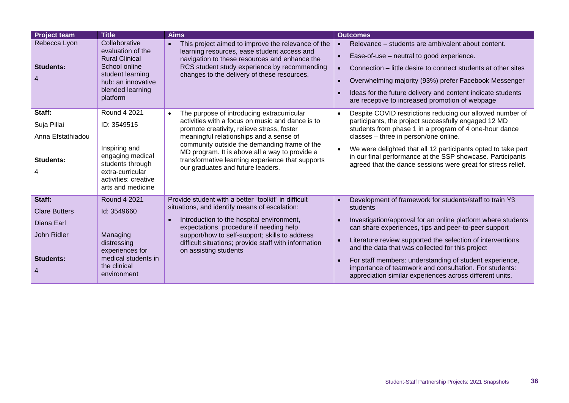| <b>Project team</b>                                | <b>Title</b>                                                                                                                                           | <b>Aims</b>                                                                                                                                                                                                                                       | <b>Outcomes</b>                                                                                                                                                                                                                                                                                                                                                                    |
|----------------------------------------------------|--------------------------------------------------------------------------------------------------------------------------------------------------------|---------------------------------------------------------------------------------------------------------------------------------------------------------------------------------------------------------------------------------------------------|------------------------------------------------------------------------------------------------------------------------------------------------------------------------------------------------------------------------------------------------------------------------------------------------------------------------------------------------------------------------------------|
| Rebecca Lyon<br><b>Students:</b><br>$\overline{4}$ | Collaborative<br>evaluation of the<br><b>Rural Clinical</b><br>School online<br>student learning<br>hub: an innovative<br>blended learning<br>platform | This project aimed to improve the relevance of the<br>learning resources, ease student access and<br>navigation to these resources and enhance the<br>RCS student study experience by recommending<br>changes to the delivery of these resources. | Relevance – students are ambivalent about content.<br>$\bullet$<br>Ease-of-use – neutral to good experience.<br>Connection – little desire to connect students at other sites<br>$\bullet$<br>Overwhelming majority (93%) prefer Facebook Messenger<br>$\bullet$<br>Ideas for the future delivery and content indicate students<br>are receptive to increased promotion of webpage |
| Staff:                                             | Round 4 2021                                                                                                                                           | The purpose of introducing extracurricular<br>$\bullet$                                                                                                                                                                                           | Despite COVID restrictions reducing our allowed number of<br>$\bullet$                                                                                                                                                                                                                                                                                                             |
| Suja Pillai                                        | ID: 3549515                                                                                                                                            | activities with a focus on music and dance is to<br>promote creativity, relieve stress, foster                                                                                                                                                    | participants, the project successfully engaged 12 MD<br>students from phase 1 in a program of 4 one-hour dance                                                                                                                                                                                                                                                                     |
| Anna Efstathiadou                                  |                                                                                                                                                        | meaningful relationships and a sense of                                                                                                                                                                                                           | classes - three in person/one online.                                                                                                                                                                                                                                                                                                                                              |
| Students:<br>4                                     | Inspiring and<br>engaging medical<br>students through<br>extra-curricular<br>activities: creative<br>arts and medicine                                 | community outside the demanding frame of the<br>MD program. It is above all a way to provide a<br>transformative learning experience that supports<br>our graduates and future leaders.                                                           | We were delighted that all 12 participants opted to take part<br>in our final performance at the SSP showcase. Participants<br>agreed that the dance sessions were great for stress relief.                                                                                                                                                                                        |
| Staff:                                             | Round 4 2021                                                                                                                                           | Provide student with a better "toolkit" in difficult                                                                                                                                                                                              | Development of framework for students/staff to train Y3<br>$\bullet$                                                                                                                                                                                                                                                                                                               |
| <b>Clare Butters</b>                               | Id: 3549660                                                                                                                                            | situations, and identify means of escalation:                                                                                                                                                                                                     | students                                                                                                                                                                                                                                                                                                                                                                           |
| Diana Earl                                         |                                                                                                                                                        | Introduction to the hospital environment,<br>expectations, procedure if needing help,                                                                                                                                                             | Investigation/approval for an online platform where students<br>$\bullet$<br>can share experiences, tips and peer-to-peer support                                                                                                                                                                                                                                                  |
| John Ridler                                        | Managing<br>distressing<br>experiences for                                                                                                             | support/how to self-support; skills to address<br>difficult situations; provide staff with information<br>on assisting students                                                                                                                   | Literature review supported the selection of interventions<br>$\bullet$<br>and the data that was collected for this project                                                                                                                                                                                                                                                        |
| <b>Students:</b><br>$\overline{4}$                 | medical students in<br>the clinical<br>environment                                                                                                     |                                                                                                                                                                                                                                                   | For staff members: understanding of student experience,<br>importance of teamwork and consultation. For students:<br>appreciation similar experiences across different units.                                                                                                                                                                                                      |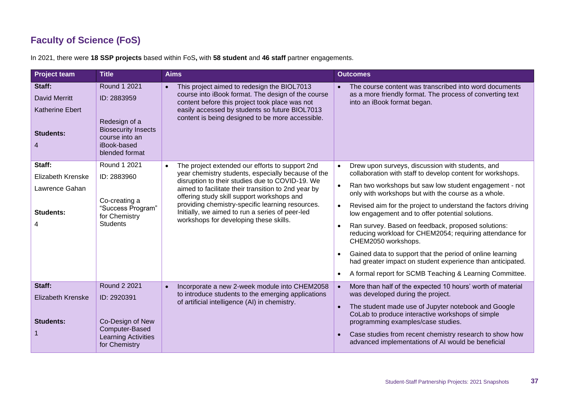## **Faculty of Science (FoS)**

<span id="page-36-0"></span>

| <b>Project team</b>                                                               | <b>Title</b>                                                                                                                  | <b>Aims</b>                                                                                                                                                                                                                                                            | <b>Outcomes</b>                                                                                                                                            |
|-----------------------------------------------------------------------------------|-------------------------------------------------------------------------------------------------------------------------------|------------------------------------------------------------------------------------------------------------------------------------------------------------------------------------------------------------------------------------------------------------------------|------------------------------------------------------------------------------------------------------------------------------------------------------------|
| Staff:<br><b>David Merritt</b><br><b>Katherine Ebert</b><br><b>Students:</b><br>4 | Round 1 2021<br>ID: 2883959<br>Redesign of a<br><b>Biosecurity Insects</b><br>course into an<br>iBook-based<br>blended format | This project aimed to redesign the BIOL7013<br>$\bullet$<br>course into iBook format. The design of the course<br>content before this project took place was not<br>easily accessed by students so future BIOL7013<br>content is being designed to be more accessible. | The course content was transcribed into word documents<br>as a more friendly format. The process of converting text<br>into an iBook format began.         |
| Staff:                                                                            | Round 1 2021                                                                                                                  | The project extended our efforts to support 2nd<br>year chemistry students, especially because of the                                                                                                                                                                  | Drew upon surveys, discussion with students, and<br>$\bullet$<br>collaboration with staff to develop content for workshops.                                |
| Elizabeth Krenske<br>Lawrence Gahan                                               | ID: 2883960                                                                                                                   | disruption to their studies due to COVID-19. We<br>aimed to facilitate their transition to 2nd year by<br>offering study skill support workshops and                                                                                                                   | Ran two workshops but saw low student engagement - not<br>$\bullet$<br>only with workshops but with the course as a whole.                                 |
| <b>Students:</b>                                                                  | Co-creating a<br>"Success Program"<br>for Chemistry                                                                           | providing chemistry-specific learning resources.<br>Initially, we aimed to run a series of peer-led<br>workshops for developing these skills.                                                                                                                          | Revised aim for the project to understand the factors driving<br>$\bullet$<br>low engagement and to offer potential solutions.                             |
| 4                                                                                 | <b>Students</b>                                                                                                               |                                                                                                                                                                                                                                                                        | Ran survey. Based on feedback, proposed solutions:<br>reducing workload for CHEM2054; requiring attendance for<br>CHEM2050 workshops.                      |
|                                                                                   |                                                                                                                               |                                                                                                                                                                                                                                                                        | Gained data to support that the period of online learning<br>had greater impact on student experience than anticipated.                                    |
|                                                                                   |                                                                                                                               |                                                                                                                                                                                                                                                                        | A formal report for SCMB Teaching & Learning Committee.                                                                                                    |
| Staff:                                                                            | <b>Round 2 2021</b>                                                                                                           | Incorporate a new 2-week module into CHEM2058<br>$\bullet$<br>to introduce students to the emerging applications                                                                                                                                                       | More than half of the expected 10 hours' worth of material<br>$\bullet$<br>was developed during the project.                                               |
| <b>Elizabeth Krenske</b><br><b>Students:</b>                                      | ID: 2920391<br>Co-Design of New                                                                                               | of artificial intelligence (AI) in chemistry.                                                                                                                                                                                                                          | The student made use of Jupyter notebook and Google<br>$\bullet$<br>CoLab to produce interactive workshops of simple<br>programming examples/case studies. |
|                                                                                   | Computer-Based<br><b>Learning Activities</b><br>for Chemistry                                                                 |                                                                                                                                                                                                                                                                        | Case studies from recent chemistry research to show how<br>advanced implementations of AI would be beneficial                                              |

In 2021, there were **18 SSP projects** based within FoS**,** with **58 student** and **46 staff** partner engagements.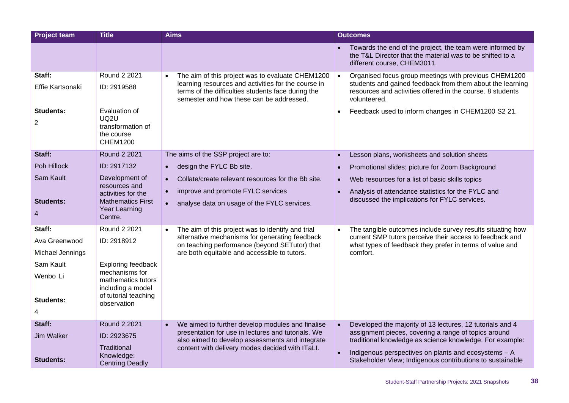| <b>Project team</b> | <b>Title</b>                              | <b>Aims</b>                                                                                                                                           | <b>Outcomes</b>                                                                                                                                       |
|---------------------|-------------------------------------------|-------------------------------------------------------------------------------------------------------------------------------------------------------|-------------------------------------------------------------------------------------------------------------------------------------------------------|
|                     |                                           |                                                                                                                                                       | Towards the end of the project, the team were informed by<br>the T&L Director that the material was to be shifted to a<br>different course, CHEM3011. |
| Staff:              | Round 2 2021                              | The aim of this project was to evaluate CHEM1200<br>$\bullet$                                                                                         | Organised focus group meetings with previous CHEM1200<br>$\bullet$                                                                                    |
| Effie Kartsonaki    | ID: 2919588                               | learning resources and activities for the course in<br>terms of the difficulties students face during the<br>semester and how these can be addressed. | students and gained feedback from them about the learning<br>resources and activities offered in the course. 8 students<br>volunteered.               |
| Students:           | Evaluation of<br>UQ <sub>2U</sub>         |                                                                                                                                                       | Feedback used to inform changes in CHEM1200 S2 21.<br>$\bullet$                                                                                       |
| $\overline{2}$      | transformation of                         |                                                                                                                                                       |                                                                                                                                                       |
|                     | the course<br><b>CHEM1200</b>             |                                                                                                                                                       |                                                                                                                                                       |
| Staff:              | <b>Round 2 2021</b>                       | The aims of the SSP project are to:                                                                                                                   | Lesson plans, worksheets and solution sheets<br>$\bullet$                                                                                             |
| Poh Hillock         | ID: 2917132                               | design the FYLC Bb site.<br>$\bullet$                                                                                                                 | Promotional slides; picture for Zoom Background<br>$\bullet$                                                                                          |
| Sam Kault           | Development of                            | Collate/create relevant resources for the Bb site.<br>$\bullet$                                                                                       | Web resources for a list of basic skills topics<br>$\bullet$                                                                                          |
|                     | resources and<br>activities for the       | improve and promote FYLC services<br>$\bullet$                                                                                                        | Analysis of attendance statistics for the FYLC and                                                                                                    |
| <b>Students:</b>    | <b>Mathematics First</b><br>Year Learning | analyse data on usage of the FYLC services.<br>$\bullet$                                                                                              | discussed the implications for FYLC services.                                                                                                         |
| $\overline{4}$      | Centre.                                   |                                                                                                                                                       |                                                                                                                                                       |
| Staff:              | Round 2 2021                              | The aim of this project was to identify and trial<br>$\bullet$                                                                                        | The tangible outcomes include survey results situating how                                                                                            |
| Ava Greenwood       | ID: 2918912                               | alternative mechanisms for generating feedback<br>on teaching performance (beyond SETutor) that                                                       | current SMP tutors perceive their access to feedback and<br>what types of feedback they prefer in terms of value and                                  |
| Michael Jennings    |                                           | are both equitable and accessible to tutors.                                                                                                          | comfort.                                                                                                                                              |
| Sam Kault           | <b>Exploring feedback</b>                 |                                                                                                                                                       |                                                                                                                                                       |
| Wenbo Li            | mechanisms for<br>mathematics tutors      |                                                                                                                                                       |                                                                                                                                                       |
| <b>Students:</b>    | including a model<br>of tutorial teaching |                                                                                                                                                       |                                                                                                                                                       |
| 4                   | observation                               |                                                                                                                                                       |                                                                                                                                                       |
| Staff:              | Round 2 2021                              | We aimed to further develop modules and finalise<br>$\bullet$                                                                                         | Developed the majority of 13 lectures, 12 tutorials and 4<br>$\bullet$                                                                                |
| <b>Jim Walker</b>   | ID: 2923675                               | presentation for use in lectures and tutorials. We<br>also aimed to develop assessments and integrate                                                 | assignment pieces, covering a range of topics around<br>traditional knowledge as science knowledge. For example:                                      |
|                     | Traditional                               | content with delivery modes decided with ITaLI.                                                                                                       |                                                                                                                                                       |
| <b>Students:</b>    | Knowledge:<br><b>Centring Deadly</b>      |                                                                                                                                                       | Indigenous perspectives on plants and ecosystems - A<br>$\bullet$<br>Stakeholder View; Indigenous contributions to sustainable                        |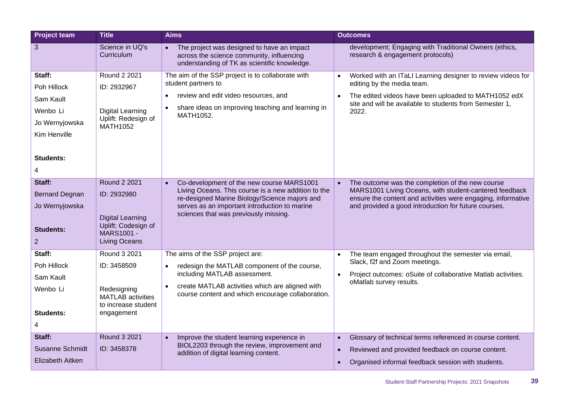| <b>Project team</b>                                                                                       | <b>Title</b>                                                                                                        | <b>Aims</b>                                                                                                                                                                                                                                              | <b>Outcomes</b>                                                                                                                                                                                                                                 |
|-----------------------------------------------------------------------------------------------------------|---------------------------------------------------------------------------------------------------------------------|----------------------------------------------------------------------------------------------------------------------------------------------------------------------------------------------------------------------------------------------------------|-------------------------------------------------------------------------------------------------------------------------------------------------------------------------------------------------------------------------------------------------|
| 3                                                                                                         | Science in UQ's<br>Curriculum                                                                                       | The project was designed to have an impact<br>across the science community, influencing<br>understanding of TK as scientific knowledge.                                                                                                                  | development; Engaging with Traditional Owners (ethics,<br>research & engagement protocols)                                                                                                                                                      |
| Staff:<br>Poh Hillock<br>Sam Kault<br>Wenbo Li<br>Jo Wernyjowska<br>Kim Henville<br><b>Students:</b><br>4 | Round 2 2021<br>ID: 2932967<br><b>Digital Learning</b><br>Uplift: Redesign of<br>MATH1052                           | The aim of the SSP project is to collaborate with<br>student partners to<br>review and edit video resources, and<br>share ideas on improving teaching and learning in<br>MATH1052.                                                                       | Worked with an ITaLI Learning designer to review videos for<br>$\bullet$<br>editing by the media team.<br>The edited videos have been uploaded to MATH1052 edX<br>$\bullet$<br>site and will be available to students from Semester 1,<br>2022. |
| Staff:<br><b>Bernard Degnan</b><br>Jo Wernyjowska<br><b>Students:</b><br>$\overline{2}$                   | Round 2 2021<br>ID: 2932980<br><b>Digital Learning</b><br>Uplift: Codesign of<br>MARS1001 -<br><b>Living Oceans</b> | Co-development of the new course MARS1001<br>$\bullet$<br>Living Oceans. This course is a new addition to the<br>re-designed Marine Biology/Science majors and<br>serves as an important introduction to marine<br>sciences that was previously missing. | The outcome was the completion of the new course<br>$\bullet$<br>MARS1001 Living Oceans, with student-cantered feedback<br>ensure the content and activities were engaging, informative<br>and provided a good introduction for future courses. |
| Staff:<br>Poh Hillock<br>Sam Kault<br>Wenbo Li<br><b>Students:</b><br>4                                   | Round 3 2021<br>ID: 3458509<br>Redesigning<br><b>MATLAB</b> activities<br>to increase student<br>engagement         | The aims of the SSP project are:<br>redesign the MATLAB component of the course,<br>including MATLAB assessment.<br>create MATLAB activities which are aligned with<br>course content and which encourage collaboration.                                 | The team engaged throughout the semester via email,<br>$\bullet$<br>Slack, f2f and Zoom meetings.<br>Project outcomes: oSuite of collaborative Matlab activities.<br>$\bullet$<br>oMatlab survey results.                                       |
| Staff:<br><b>Susanne Schmidt</b><br>Elizabeth Aitken                                                      | Round 3 2021<br>ID: 3458378                                                                                         | Improve the student learning experience in<br>$\bullet$<br>BIOL2203 through the review, improvement and<br>addition of digital learning content.                                                                                                         | Glossary of technical terms referenced in course content.<br>$\bullet$<br>Reviewed and provided feedback on course content.<br>$\bullet$<br>Organised informal feedback session with students.<br>$\bullet$                                     |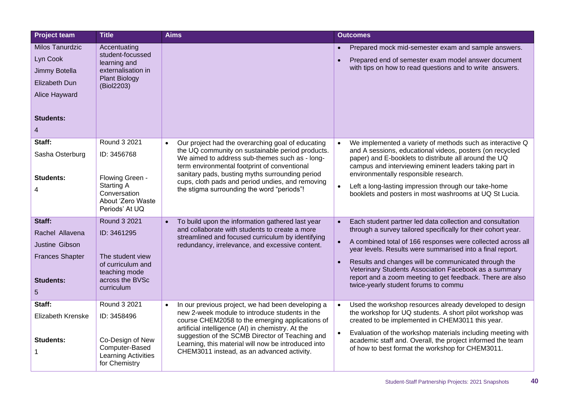| <b>Project team</b>                                                                                     | <b>Title</b>                                                                                                               | <b>Aims</b>                                                                                                                                                                                                                                                                                                                                                                      | <b>Outcomes</b>                                                                                                                                                                                                                                                                                                                                                                                                                                                                           |
|---------------------------------------------------------------------------------------------------------|----------------------------------------------------------------------------------------------------------------------------|----------------------------------------------------------------------------------------------------------------------------------------------------------------------------------------------------------------------------------------------------------------------------------------------------------------------------------------------------------------------------------|-------------------------------------------------------------------------------------------------------------------------------------------------------------------------------------------------------------------------------------------------------------------------------------------------------------------------------------------------------------------------------------------------------------------------------------------------------------------------------------------|
| Milos Tanurdzic<br>Lyn Cook<br>Jimmy Botella<br>Elizabeth Dun<br>Alice Hayward<br><b>Students:</b><br>4 | Accentuating<br>student-focussed<br>learning and<br>externalisation in<br><b>Plant Biology</b><br>(Biol2203)               |                                                                                                                                                                                                                                                                                                                                                                                  | Prepared mock mid-semester exam and sample answers.<br>Prepared end of semester exam model answer document<br>with tips on how to read questions and to write answers.                                                                                                                                                                                                                                                                                                                    |
| Staff:<br>Sasha Osterburg<br><b>Students:</b><br>4                                                      | Round 3 2021<br>ID: 3456768<br>Flowing Green -<br><b>Starting A</b><br>Conversation<br>About 'Zero Waste<br>Periods' At UQ | Our project had the overarching goal of educating<br>$\bullet$<br>the UQ community on sustainable period products.<br>We aimed to address sub-themes such as - long-<br>term environmental footprint of conventional<br>sanitary pads, busting myths surrounding period<br>cups, cloth pads and period undies, and removing<br>the stigma surrounding the word "periods"!        | We implemented a variety of methods such as interactive Q<br>and A sessions, educational videos, posters (on recycled<br>paper) and E-booklets to distribute all around the UQ<br>campus and interviewing eminent leaders taking part in<br>environmentally responsible research.<br>Left a long-lasting impression through our take-home<br>booklets and posters in most washrooms at UQ St Lucia.                                                                                       |
| Staff:<br>Rachel Allavena<br>Justine Gibson<br><b>Frances Shapter</b><br><b>Students:</b><br>5          | Round 3 2021<br>ID: 3461295<br>The student view<br>of curriculum and<br>teaching mode<br>across the BVSc<br>curriculum     | To build upon the information gathered last year<br>$\bullet$<br>and collaborate with students to create a more<br>streamlined and focused curriculum by identifying<br>redundancy, irrelevance, and excessive content.                                                                                                                                                          | Each student partner led data collection and consultation<br>$\bullet$<br>through a survey tailored specifically for their cohort year.<br>A combined total of 166 responses were collected across all<br>year levels. Results were summarised into a final report.<br>Results and changes will be communicated through the<br>Veterinary Students Association Facebook as a summary<br>report and a zoom meeting to get feedback. There are also<br>twice-yearly student forums to commu |
| Staff:<br>Elizabeth Krenske<br><b>Students:</b>                                                         | Round 3 2021<br>ID: 3458496<br>Co-Design of New<br>Computer-Based<br>Learning Activities<br>for Chemistry                  | In our previous project, we had been developing a<br>$\bullet$<br>new 2-week module to introduce students in the<br>course CHEM2058 to the emerging applications of<br>artificial intelligence (AI) in chemistry. At the<br>suggestion of the SCMB Director of Teaching and<br>Learning, this material will now be introduced into<br>CHEM3011 instead, as an advanced activity. | Used the workshop resources already developed to design<br>$\bullet$<br>the workshop for UQ students. A short pilot workshop was<br>created to be implemented in CHEM3011 this year.<br>Evaluation of the workshop materials including meeting with<br>academic staff and. Overall, the project informed the team<br>of how to best format the workshop for CHEM3011.                                                                                                                     |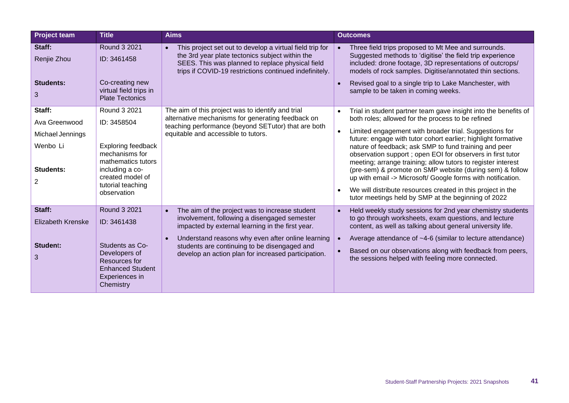| <b>Project team</b>                                                                    | <b>Title</b>                                                                                                                                                                | <b>Aims</b>                                                                                                                                                                                                                                                                                                                              | <b>Outcomes</b>                                                                                                                                                                                                                                                                                                                                                                                                                                                                                                                                                                                                                                                                          |
|----------------------------------------------------------------------------------------|-----------------------------------------------------------------------------------------------------------------------------------------------------------------------------|------------------------------------------------------------------------------------------------------------------------------------------------------------------------------------------------------------------------------------------------------------------------------------------------------------------------------------------|------------------------------------------------------------------------------------------------------------------------------------------------------------------------------------------------------------------------------------------------------------------------------------------------------------------------------------------------------------------------------------------------------------------------------------------------------------------------------------------------------------------------------------------------------------------------------------------------------------------------------------------------------------------------------------------|
| Staff:<br>Renjie Zhou<br><b>Students:</b><br>3                                         | Round 3 2021<br>ID: 3461458<br>Co-creating new<br>virtual field trips in<br><b>Plate Tectonics</b>                                                                          | This project set out to develop a virtual field trip for<br>$\bullet$<br>the 3rd year plate tectonics subject within the<br>SEES. This was planned to replace physical field<br>trips if COVID-19 restrictions continued indefinitely.                                                                                                   | Three field trips proposed to Mt Mee and surrounds.<br>Suggested methods to 'digitise' the field trip experience<br>included: drone footage, 3D representations of outcrops/<br>models of rock samples. Digitise/annotated thin sections.<br>Revised goal to a single trip to Lake Manchester, with<br>sample to be taken in coming weeks.                                                                                                                                                                                                                                                                                                                                               |
| Staff:<br>Ava Greenwood<br>Michael Jennings<br>Wenbo Li<br>Students:<br>$\overline{2}$ | Round 3 2021<br>ID: 3458504<br><b>Exploring feedback</b><br>mechanisms for<br>mathematics tutors<br>including a co-<br>created model of<br>tutorial teaching<br>observation | The aim of this project was to identify and trial<br>alternative mechanisms for generating feedback on<br>teaching performance (beyond SETutor) that are both<br>equitable and accessible to tutors.                                                                                                                                     | Trial in student partner team gave insight into the benefits of<br>both roles; allowed for the process to be refined<br>Limited engagement with broader trial. Suggestions for<br>future: engage with tutor cohort earlier; highlight formative<br>nature of feedback; ask SMP to fund training and peer<br>observation support ; open EOI for observers in first tutor<br>meeting; arrange training; allow tutors to register interest<br>(pre-sem) & promote on SMP website (during sem) & follow<br>up with email -> Microsoft/ Google forms with notification.<br>We will distribute resources created in this project in the<br>tutor meetings held by SMP at the beginning of 2022 |
| Staff:<br><b>Elizabeth Krenske</b><br><b>Student:</b><br>3                             | Round 3 2021<br>ID: 3461438<br>Students as Co-<br>Developers of<br>Resources for<br><b>Enhanced Student</b><br>Experiences in<br>Chemistry                                  | The aim of the project was to increase student<br>$\bullet$<br>involvement, following a disengaged semester<br>impacted by external learning in the first year.<br>Understand reasons why even after online learning<br>$\bullet$<br>students are continuing to be disengaged and<br>develop an action plan for increased participation. | Held weekly study sessions for 2nd year chemistry students<br>to go through worksheets, exam questions, and lecture<br>content, as well as talking about general university life.<br>Average attendance of ~4-6 (similar to lecture attendance)<br>Based on our observations along with feedback from peers,<br>the sessions helped with feeling more connected.                                                                                                                                                                                                                                                                                                                         |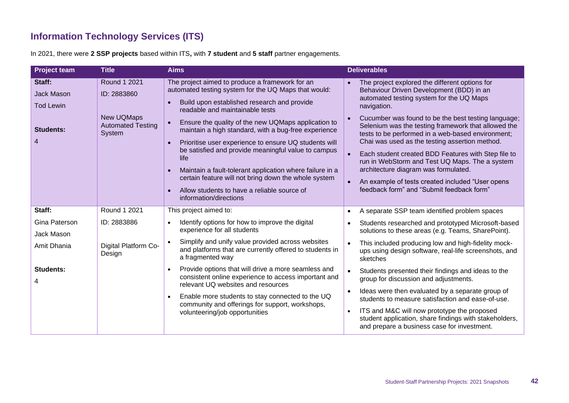#### **Information Technology Services (ITS)**

In 2021, there were **2 SSP projects** based within ITS**,** with **7 student** and **5 staff** partner engagements.

<span id="page-41-0"></span>

| <b>Project team</b>                                                      | <b>Title</b>                                                                           | <b>Aims</b>                                                                                                                                                                                                                                                                                                                                                                                                                                                                                                                                                                                                                   | <b>Deliverables</b>                                                                                                                                                                                                                                                                                                                                                                                                                                                                                                                                                                                                                                    |
|--------------------------------------------------------------------------|----------------------------------------------------------------------------------------|-------------------------------------------------------------------------------------------------------------------------------------------------------------------------------------------------------------------------------------------------------------------------------------------------------------------------------------------------------------------------------------------------------------------------------------------------------------------------------------------------------------------------------------------------------------------------------------------------------------------------------|--------------------------------------------------------------------------------------------------------------------------------------------------------------------------------------------------------------------------------------------------------------------------------------------------------------------------------------------------------------------------------------------------------------------------------------------------------------------------------------------------------------------------------------------------------------------------------------------------------------------------------------------------------|
| Staff:<br><b>Jack Mason</b><br><b>Tod Lewin</b><br><b>Students:</b><br>4 | Round 1 2021<br>ID: 2883860<br><b>New UQMaps</b><br><b>Automated Testing</b><br>System | The project aimed to produce a framework for an<br>automated testing system for the UQ Maps that would:<br>Build upon established research and provide<br>readable and maintainable tests<br>Ensure the quality of the new UQMaps application to<br>maintain a high standard, with a bug-free experience<br>Prioritise user experience to ensure UQ students will<br>be satisfied and provide meaningful value to campus<br>life<br>Maintain a fault-tolerant application where failure in a<br>certain feature will not bring down the whole system<br>Allow students to have a reliable source of<br>information/directions | The project explored the different options for<br>$\bullet$<br>Behaviour Driven Development (BDD) in an<br>automated testing system for the UQ Maps<br>navigation.<br>Cucumber was found to be the best testing language;<br>Selenium was the testing framework that allowed the<br>tests to be performed in a web-based environment;<br>Chai was used as the testing assertion method.<br>Each student created BDD Features with Step file to<br>$\bullet$<br>run in WebStorm and Test UQ Maps. The a system<br>architecture diagram was formulated.<br>An example of tests created included "User opens<br>feedback form" and "Submit feedback form" |
| Staff:                                                                   | Round 1 2021                                                                           | This project aimed to:                                                                                                                                                                                                                                                                                                                                                                                                                                                                                                                                                                                                        | A separate SSP team identified problem spaces                                                                                                                                                                                                                                                                                                                                                                                                                                                                                                                                                                                                          |
| Gina Paterson<br>Jack Mason                                              | ID: 2883886                                                                            | Identify options for how to improve the digital<br>experience for all students                                                                                                                                                                                                                                                                                                                                                                                                                                                                                                                                                | Students researched and prototyped Microsoft-based<br>٠<br>solutions to these areas (e.g. Teams, SharePoint).                                                                                                                                                                                                                                                                                                                                                                                                                                                                                                                                          |
| Amit Dhania                                                              | Digital Platform Co-<br>Design                                                         | Simplify and unify value provided across websites<br>and platforms that are currently offered to students in<br>a fragmented way                                                                                                                                                                                                                                                                                                                                                                                                                                                                                              | This included producing low and high-fidelity mock-<br>$\bullet$<br>ups using design software, real-life screenshots, and<br>sketches                                                                                                                                                                                                                                                                                                                                                                                                                                                                                                                  |
| <b>Students:</b>                                                         |                                                                                        | Provide options that will drive a more seamless and<br>consistent online experience to access important and<br>relevant UQ websites and resources                                                                                                                                                                                                                                                                                                                                                                                                                                                                             | Students presented their findings and ideas to the<br>$\bullet$<br>group for discussion and adjustments.                                                                                                                                                                                                                                                                                                                                                                                                                                                                                                                                               |
|                                                                          |                                                                                        | Enable more students to stay connected to the UQ<br>community and offerings for support, workshops,<br>volunteering/job opportunities                                                                                                                                                                                                                                                                                                                                                                                                                                                                                         | Ideas were then evaluated by a separate group of<br>$\bullet$<br>students to measure satisfaction and ease-of-use.<br>ITS and M&C will now prototype the proposed<br>$\bullet$<br>student application, share findings with stakeholders,<br>and prepare a business case for investment.                                                                                                                                                                                                                                                                                                                                                                |
|                                                                          |                                                                                        |                                                                                                                                                                                                                                                                                                                                                                                                                                                                                                                                                                                                                               |                                                                                                                                                                                                                                                                                                                                                                                                                                                                                                                                                                                                                                                        |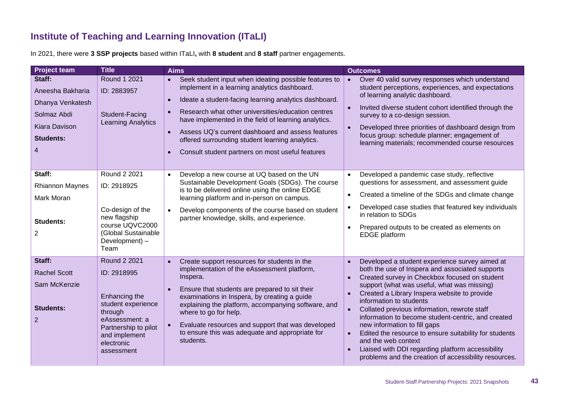#### **Institute of Teaching and Learning Innovation (ITaLI)**

In 2021, there were **3 SSP projects** based within ITaLI**,** with **8 student** and **8 staff** partner engagements.

<span id="page-42-0"></span>

| <b>Project team</b>                                                                                     | <b>Title</b>                                                                                                                                                                | <b>Aims</b>                                                                                                                                                                                                                                                                                                                                                                                                                                           | <b>Outcomes</b>                                                                                                                                                                                                                                                                                                                                                                                                                                                                                                                                                                                                                                          |
|---------------------------------------------------------------------------------------------------------|-----------------------------------------------------------------------------------------------------------------------------------------------------------------------------|-------------------------------------------------------------------------------------------------------------------------------------------------------------------------------------------------------------------------------------------------------------------------------------------------------------------------------------------------------------------------------------------------------------------------------------------------------|----------------------------------------------------------------------------------------------------------------------------------------------------------------------------------------------------------------------------------------------------------------------------------------------------------------------------------------------------------------------------------------------------------------------------------------------------------------------------------------------------------------------------------------------------------------------------------------------------------------------------------------------------------|
| Staff:<br>Aneesha Bakharia<br>Dhanya Venkatesh<br>Solmaz Abdi<br>Kiara Davison<br><b>Students:</b><br>4 | Round 1 2021<br>ID: 2883957<br>Student-Facing<br><b>Learning Analytics</b>                                                                                                  | Seek student input when ideating possible features to<br>$\bullet$<br>implement in a learning analytics dashboard.<br>Ideate a student-facing learning analytics dashboard.<br>Research what other universities/education centres<br>have implemented in the field of learning analytics.<br>Assess UQ's current dashboard and assess features<br>offered surrounding student learning analytics.<br>Consult student partners on most useful features | Over 40 valid survey responses which understand<br>$\bullet$<br>student perceptions, experiences, and expectations<br>of learning analytic dashboard.<br>Invited diverse student cohort identified through the<br>$\bullet$<br>survey to a co-design session.<br>Developed three priorities of dashboard design from<br>focus group: schedule planner; engagement of<br>learning materials; recommended course resources                                                                                                                                                                                                                                 |
| Staff:<br><b>Rhiannon Maynes</b><br>Mark Moran<br><b>Students:</b><br>2                                 | Round 2 2021<br>ID: 2918925<br>Co-design of the<br>new flagship<br>course UQVC2000<br>(Global Sustainable<br>Development) -<br>Team                                         | Develop a new course at UQ based on the UN<br>$\bullet$<br>Sustainable Development Goals (SDGs). The course<br>is to be delivered online using the online EDGE<br>learning platform and in-person on campus.<br>Develop components of the course based on student<br>partner knowledge, skills, and experience.                                                                                                                                       | Developed a pandemic case study, reflective<br>$\bullet$<br>questions for assessment, and assessment guide<br>Created a timeline of the SDGs and climate change<br>$\bullet$<br>Developed case studies that featured key individuals<br>$\bullet$<br>in relation to SDGs<br>Prepared outputs to be created as elements on<br>$\bullet$<br><b>EDGE</b> platform                                                                                                                                                                                                                                                                                           |
| Staff:<br><b>Rachel Scott</b><br>Sam McKenzie<br><b>Students:</b><br>$\overline{2}$                     | <b>Round 2 2021</b><br>ID: 2918995<br>Enhancing the<br>student experience<br>through<br>eAssessment: a<br>Partnership to pilot<br>and implement<br>electronic<br>assessment | Create support resources for students in the<br>$\bullet$<br>implementation of the eAssessment platform,<br>Inspera.<br>Ensure that students are prepared to sit their<br>examinations in Inspera, by creating a guide<br>explaining the platform, accompanying software, and<br>where to go for help.<br>Evaluate resources and support that was developed<br>to ensure this was adequate and appropriate for<br>students.                           | Developed a student experience survey aimed at<br>$\bullet$<br>both the use of Inspera and associated supports<br>Created survey in Checkbox focused on student<br>$\bullet$<br>support (what was useful, what was missing)<br>Created a Library Inspera website to provide<br>$\bullet$<br>information to students<br>Collated previous information, rewrote staff<br>information to become student-centric, and created<br>new information to fill gaps<br>Edited the resource to ensure suitability for students<br>and the web context<br>Liaised with DDI regarding platform accessibility<br>problems and the creation of accessibility resources. |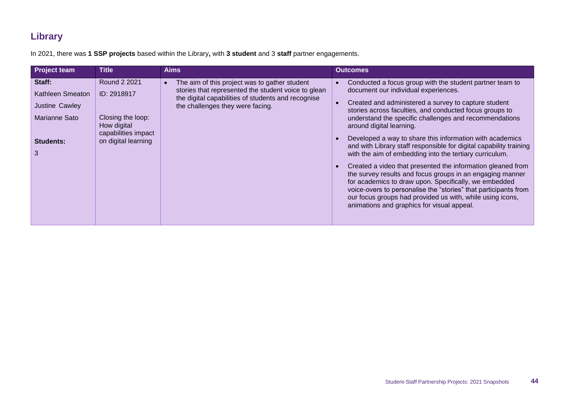#### **Library**

In 2021, there was **1 SSP projects** based within the Library**,** with **3 student** and 3 **staff** partner engagements.

<span id="page-43-0"></span>

| <b>Project team</b>                                                                    | <b>Title</b>                                                                                                  | <b>Aims</b>                                                                                                                                                                                    | <b>Outcomes</b>                                                                                                                                                                                                                                                                                                                                                                                                                                                                                                                                                                                                                                                                                                                                                                                                                                                                        |
|----------------------------------------------------------------------------------------|---------------------------------------------------------------------------------------------------------------|------------------------------------------------------------------------------------------------------------------------------------------------------------------------------------------------|----------------------------------------------------------------------------------------------------------------------------------------------------------------------------------------------------------------------------------------------------------------------------------------------------------------------------------------------------------------------------------------------------------------------------------------------------------------------------------------------------------------------------------------------------------------------------------------------------------------------------------------------------------------------------------------------------------------------------------------------------------------------------------------------------------------------------------------------------------------------------------------|
| Staff:<br>Kathleen Smeaton<br>Justine Cawley<br>Marianne Sato<br><b>Students:</b><br>3 | Round 2 2021<br>ID: 2918917<br>Closing the loop:<br>How digital<br>capabilities impact<br>on digital learning | The aim of this project was to gather student<br>stories that represented the student voice to glean<br>the digital capabilities of students and recognise<br>the challenges they were facing. | Conducted a focus group with the student partner team to<br>document our individual experiences.<br>Created and administered a survey to capture student<br>stories across faculties, and conducted focus groups to<br>understand the specific challenges and recommendations<br>around digital learning.<br>Developed a way to share this information with academics<br>and with Library staff responsible for digital capability training<br>with the aim of embedding into the tertiary curriculum.<br>Created a video that presented the information gleaned from<br>$\bullet$<br>the survey results and focus groups in an engaging manner<br>for academics to draw upon. Specifically, we embedded<br>voice-overs to personalise the "stories" that participants from<br>our focus groups had provided us with, while using icons,<br>animations and graphics for visual appeal. |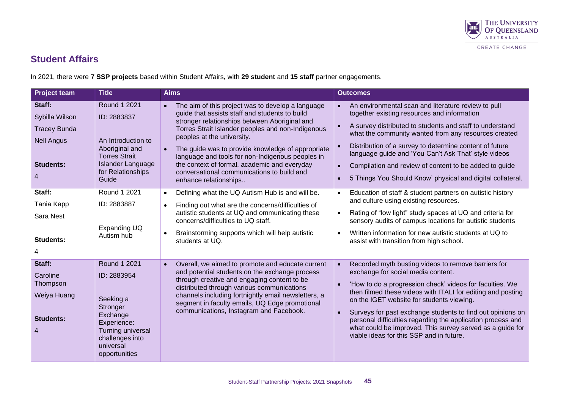

#### **Student Affairs**

In 2021, there were **7 SSP projects** based within Student Affairs**,** with **29 student** and **15 staff** partner engagements.

<span id="page-44-0"></span>

| <b>Project team</b>                                                                           | <b>Title</b>                                                                                                                                          | <b>Aims</b>                                                                                                                                                                                                                                                                                                                                                                                                                                                                                       | <b>Outcomes</b>                                                                                                                                                                                                                                                                                                                                                                                                                                                                                                                                |
|-----------------------------------------------------------------------------------------------|-------------------------------------------------------------------------------------------------------------------------------------------------------|---------------------------------------------------------------------------------------------------------------------------------------------------------------------------------------------------------------------------------------------------------------------------------------------------------------------------------------------------------------------------------------------------------------------------------------------------------------------------------------------------|------------------------------------------------------------------------------------------------------------------------------------------------------------------------------------------------------------------------------------------------------------------------------------------------------------------------------------------------------------------------------------------------------------------------------------------------------------------------------------------------------------------------------------------------|
| Staff:<br>Sybilla Wilson<br><b>Tracey Bunda</b><br><b>Nell Angus</b><br><b>Students:</b><br>4 | Round 1 2021<br>ID: 2883837<br>An Introduction to<br>Aboriginal and<br><b>Torres Strait</b><br><b>Islander Language</b><br>for Relationships<br>Guide | The aim of this project was to develop a language<br>$\bullet$<br>guide that assists staff and students to build<br>stronger relationships between Aboriginal and<br>Torres Strait Islander peoples and non-Indigenous<br>peoples at the university.<br>The guide was to provide knowledge of appropriate<br>$\bullet$<br>language and tools for non-Indigenous peoples in<br>the context of formal, academic and everyday<br>conversational communications to build and<br>enhance relationships | An environmental scan and literature review to pull<br>together existing resources and information<br>A survey distributed to students and staff to understand<br>$\bullet$<br>what the community wanted from any resources created<br>Distribution of a survey to determine content of future<br>$\bullet$<br>language guide and 'You Can't Ask That' style videos<br>Compilation and review of content to be added to guide<br>$\bullet$<br>5 Things You Should Know' physical and digital collateral.<br>$\bullet$                          |
| Staff:<br>Tania Kapp<br>Sara Nest<br><b>Students:</b>                                         | Round 1 2021<br>ID: 2883887<br>Expanding UQ<br>Autism hub                                                                                             | Defining what the UQ Autism Hub is and will be.<br>Finding out what are the concerns/difficulties of<br>$\bullet$<br>autistic students at UQ and ommunicating these<br>concerns/difficulties to UQ staff.<br>Brainstorming supports which will help autistic<br>$\bullet$<br>students at UQ.                                                                                                                                                                                                      | Education of staff & student partners on autistic history<br>and culture using existing resources.<br>Rating of "low light" study spaces at UQ and criteria for<br>sensory audits of campus locations for autistic students<br>Written information for new autistic students at UQ to<br>assist with transition from high school.                                                                                                                                                                                                              |
| Staff:<br>Caroline<br>Thompson<br>Weiya Huang<br><b>Students:</b><br>4                        | Round 1 2021<br>ID: 2883954<br>Seeking a<br>Stronger<br>Exchange<br>Experience:<br>Turning universal<br>challenges into<br>universal<br>opportunities | Overall, we aimed to promote and educate current<br>$\bullet$<br>and potential students on the exchange process<br>through creative and engaging content to be<br>distributed through various communications<br>channels including fortnightly email newsletters, a<br>segment in faculty emails, UQ Edge promotional<br>communications, Instagram and Facebook.                                                                                                                                  | Recorded myth busting videos to remove barriers for<br>$\bullet$<br>exchange for social media content.<br>'How to do a progression check' videos for faculties. We<br>$\bullet$<br>then filmed these videos with ITALI for editing and posting<br>on the IGET website for students viewing.<br>Surveys for past exchange students to find out opinions on<br>$\bullet$<br>personal difficulties regarding the application process and<br>what could be improved. This survey served as a guide for<br>viable ideas for this SSP and in future. |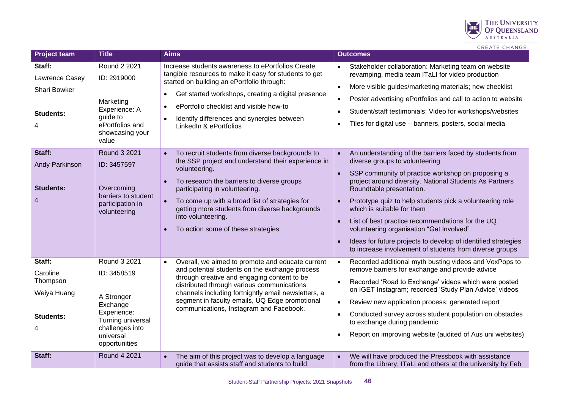

CREATE CHANGE

| <b>Project team</b>                                                    | <b>Title</b>                                                                                                                               | <b>Aims</b>                                                                                                                                                                                                                                                                                                                                                                                                                 | <b>Outcomes</b>                                                                                                                                                                                                                                                                                                                                                                                                                                                                                                                                                                                                              |
|------------------------------------------------------------------------|--------------------------------------------------------------------------------------------------------------------------------------------|-----------------------------------------------------------------------------------------------------------------------------------------------------------------------------------------------------------------------------------------------------------------------------------------------------------------------------------------------------------------------------------------------------------------------------|------------------------------------------------------------------------------------------------------------------------------------------------------------------------------------------------------------------------------------------------------------------------------------------------------------------------------------------------------------------------------------------------------------------------------------------------------------------------------------------------------------------------------------------------------------------------------------------------------------------------------|
| Staff:<br>Lawrence Casey<br>Shari Bowker<br><b>Students:</b><br>4      | Round 2 2021<br>ID: 2919000<br>Marketing<br>Experience: A<br>guide to<br>ePortfolios and<br>showcasing your<br>value                       | Increase students awareness to ePortfolios. Create<br>tangible resources to make it easy for students to get<br>started on building an ePortfolio through:<br>Get started workshops, creating a digital presence<br>$\bullet$<br>ePortfolio checklist and visible how-to<br>$\bullet$<br>Identify differences and synergies between<br>$\bullet$<br>LinkedIn & ePortfolios                                                  | Stakeholder collaboration: Marketing team on website<br>revamping, media team ITaLI for video production<br>More visible guides/marketing materials; new checklist<br>$\bullet$<br>Poster advertising ePortfolios and call to action to website<br>$\bullet$<br>Student/staff testimonials: Video for workshops/websites<br>$\bullet$<br>Tiles for digital use - banners, posters, social media<br>$\bullet$                                                                                                                                                                                                                 |
| Staff:<br><b>Andy Parkinson</b><br><b>Students:</b><br>4               | <b>Round 3 2021</b><br>ID: 3457597<br>Overcoming<br>barriers to student<br>participation in<br>volunteering                                | To recruit students from diverse backgrounds to<br>$\bullet$<br>the SSP project and understand their experience in<br>volunteering.<br>To research the barriers to diverse groups<br>$\bullet$<br>participating in volunteering.<br>To come up with a broad list of strategies for<br>$\bullet$<br>getting more students from diverse backgrounds<br>into volunteering.<br>To action some of these strategies.<br>$\bullet$ | An understanding of the barriers faced by students from<br>$\bullet$<br>diverse groups to volunteering<br>SSP community of practice workshop on proposing a<br>$\bullet$<br>project around diversity. National Students As Partners<br>Roundtable presentation.<br>Prototype quiz to help students pick a volunteering role<br>$\bullet$<br>which is suitable for them<br>List of best practice recommendations for the UQ<br>$\bullet$<br>volunteering organisation "Get Involved"<br>Ideas for future projects to develop of identified strategies<br>$\bullet$<br>to increase involvement of students from diverse groups |
| Staff:<br>Caroline<br>Thompson<br>Weiya Huang<br><b>Students:</b><br>4 | Round 3 2021<br>ID: 3458519<br>A Stronger<br>Exchange<br>Experience:<br>Turning universal<br>challenges into<br>universal<br>opportunities | Overall, we aimed to promote and educate current<br>$\bullet$<br>and potential students on the exchange process<br>through creative and engaging content to be<br>distributed through various communications<br>channels including fortnightly email newsletters, a<br>segment in faculty emails, UQ Edge promotional<br>communications, Instagram and Facebook.                                                            | Recorded additional myth busting videos and VoxPops to<br>$\bullet$<br>remove barriers for exchange and provide advice<br>Recorded 'Road to Exchange' videos which were posted<br>$\bullet$<br>on IGET Instagram; recorded 'Study Plan Advice' videos<br>Review new application process; generated report<br>$\bullet$<br>Conducted survey across student population on obstacles<br>$\bullet$<br>to exchange during pandemic<br>Report on improving website (audited of Aus uni websites)                                                                                                                                   |
| Staff:                                                                 | Round 4 2021                                                                                                                               | The aim of this project was to develop a language<br>$\bullet$<br>guide that assists staff and students to build                                                                                                                                                                                                                                                                                                            | We will have produced the Pressbook with assistance<br>$\bullet$<br>from the Library, ITaLi and others at the university by Feb                                                                                                                                                                                                                                                                                                                                                                                                                                                                                              |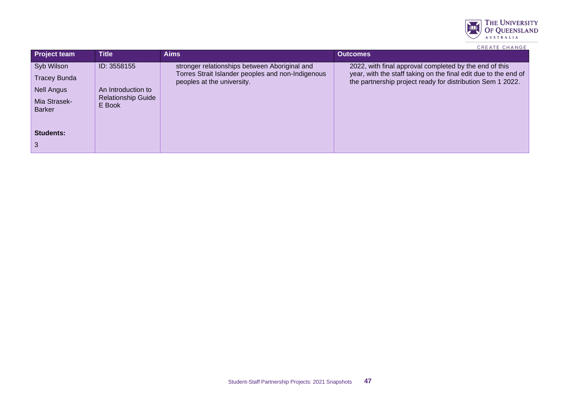

|  |  | <b>CREATE CHANGE</b> |  |  |  |  |
|--|--|----------------------|--|--|--|--|
|--|--|----------------------|--|--|--|--|

| <b>Project team</b> | <b>Title</b>                        | <b>Aims</b>                                                                     | <b>Outcomes</b>                                                                                                               |
|---------------------|-------------------------------------|---------------------------------------------------------------------------------|-------------------------------------------------------------------------------------------------------------------------------|
| Syb Wilson          | ID: 3558155                         | stronger relationships between Aboriginal and                                   | 2022, with final approval completed by the end of this                                                                        |
| <b>Tracey Bunda</b> |                                     | Torres Strait Islander peoples and non-Indigenous<br>peoples at the university. | year, with the staff taking on the final edit due to the end of<br>the partnership project ready for distribution Sem 1 2022. |
| <b>Nell Angus</b>   | An Introduction to                  |                                                                                 |                                                                                                                               |
| Mia Strasek-        | <b>Relationship Guide</b><br>E Book |                                                                                 |                                                                                                                               |
| <b>Barker</b>       |                                     |                                                                                 |                                                                                                                               |
|                     |                                     |                                                                                 |                                                                                                                               |
| <b>Students:</b>    |                                     |                                                                                 |                                                                                                                               |
|                     |                                     |                                                                                 |                                                                                                                               |